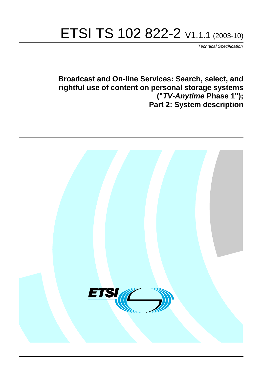# ETSI TS 102 822-2 V1.1.1 (2003-10)

Technical Specification

**Broadcast and On-line Services: Search, select, and rightful use of content on personal storage systems ("TV-Anytime Phase 1"); Part 2: System description**

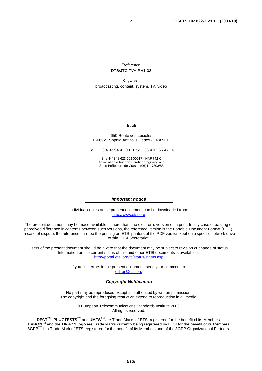Reference DTS/JTC-TVA-PH1-02

Keywords

broadcasting, content, system, TV, video

#### **ETSI**

#### 650 Route des Lucioles F-06921 Sophia Antipolis Cedex - FRANCE

Tel.: +33 4 92 94 42 00 Fax: +33 4 93 65 47 16

Siret N° 348 623 562 00017 - NAF 742 C Association à but non lucratif enregistrée à la Sous-Préfecture de Grasse (06) N° 7803/88

#### **Important notice**

Individual copies of the present document can be downloaded from: [http://www.etsi.org](http://www.etsi.org/)

The present document may be made available in more than one electronic version or in print. In any case of existing or perceived difference in contents between such versions, the reference version is the Portable Document Format (PDF). In case of dispute, the reference shall be the printing on ETSI printers of the PDF version kept on a specific network drive within ETSI Secretariat.

Users of the present document should be aware that the document may be subject to revision or change of status. Information on the current status of this and other ETSI documents is available at <http://portal.etsi.org/tb/status/status.asp>

> If you find errors in the present document, send your comment to: [editor@etsi.org](mailto:editor@etsi.org)

#### **Copyright Notification**

No part may be reproduced except as authorized by written permission. The copyright and the foregoing restriction extend to reproduction in all media.

> © European Telecommunications Standards Institute 2003. All rights reserved.

**DECT**TM, **PLUGTESTS**TM and **UMTS**TM are Trade Marks of ETSI registered for the benefit of its Members. **TIPHON**TM and the **TIPHON logo** are Trade Marks currently being registered by ETSI for the benefit of its Members. **3GPP**TM is a Trade Mark of ETSI registered for the benefit of its Members and of the 3GPP Organizational Partners.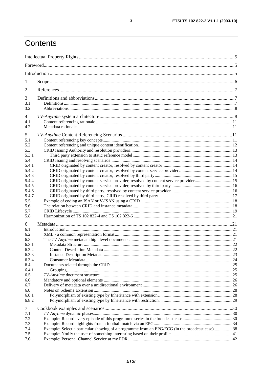# Contents

| 1               |                                                                                               |  |
|-----------------|-----------------------------------------------------------------------------------------------|--|
| 2               |                                                                                               |  |
| 3               |                                                                                               |  |
| 3.1<br>3.2      |                                                                                               |  |
| 4<br>4.1<br>4.2 |                                                                                               |  |
| 5               |                                                                                               |  |
| 5.1             |                                                                                               |  |
| 5.2             |                                                                                               |  |
| 5.3             |                                                                                               |  |
| 5.3.1           |                                                                                               |  |
| 5.4<br>5.4.1    |                                                                                               |  |
| 5.4.2           |                                                                                               |  |
| 5.4.3           |                                                                                               |  |
| 5.4.4           | CRID originated by content service provider, resolved by content service provider15           |  |
| 5.4.5           |                                                                                               |  |
| 5.4.6           |                                                                                               |  |
| 5.4.7           |                                                                                               |  |
| 5.5             |                                                                                               |  |
| 5.6             |                                                                                               |  |
| 5.7             |                                                                                               |  |
| 5.8             |                                                                                               |  |
| 6               |                                                                                               |  |
| 6.1             |                                                                                               |  |
| 6.2             |                                                                                               |  |
| 6.3             |                                                                                               |  |
| 6.3.1           |                                                                                               |  |
| 6.3.2           |                                                                                               |  |
| 6.3.3           |                                                                                               |  |
| 6.3.4           |                                                                                               |  |
| 6.4<br>6.4.1    |                                                                                               |  |
| 6.5             |                                                                                               |  |
| 6.6             |                                                                                               |  |
| 6.7             |                                                                                               |  |
| 6.8             |                                                                                               |  |
| 6.8.1           |                                                                                               |  |
| 6.8.2           |                                                                                               |  |
| 7               |                                                                                               |  |
| 7.1             |                                                                                               |  |
| 7.2             |                                                                                               |  |
| 7.3             |                                                                                               |  |
| 7.4             | Example: Select a particular showing of a programme from an EPG/ECG (in the broadcast case)38 |  |
| 7.5             |                                                                                               |  |
| 7.6             |                                                                                               |  |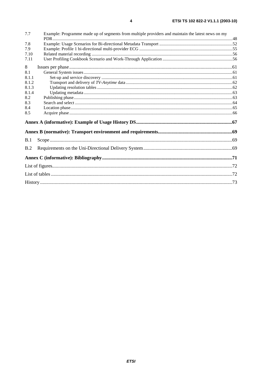| 7.7   | Example: Programme made up of segments from multiple providers and maintain the latest news on my |  |
|-------|---------------------------------------------------------------------------------------------------|--|
| 7.8   |                                                                                                   |  |
| 7.9   |                                                                                                   |  |
| 7.10  |                                                                                                   |  |
| 7.11  |                                                                                                   |  |
| 8     |                                                                                                   |  |
| 8.1   |                                                                                                   |  |
| 8.1.1 |                                                                                                   |  |
| 8.1.2 |                                                                                                   |  |
| 8.1.3 |                                                                                                   |  |
| 8.1.4 |                                                                                                   |  |
| 8.2   |                                                                                                   |  |
| 8.3   |                                                                                                   |  |
| 8.4   |                                                                                                   |  |
| 8.5   |                                                                                                   |  |
|       |                                                                                                   |  |
|       |                                                                                                   |  |
| B.1   |                                                                                                   |  |
| B.2   |                                                                                                   |  |
|       |                                                                                                   |  |
|       |                                                                                                   |  |
|       |                                                                                                   |  |
|       |                                                                                                   |  |
|       |                                                                                                   |  |

 $\overline{\mathbf{4}}$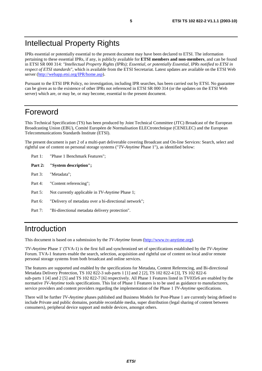# Intellectual Property Rights

IPRs essential or potentially essential to the present document may have been declared to ETSI. The information pertaining to these essential IPRs, if any, is publicly available for **ETSI members and non-members**, and can be found in ETSI SR 000 314: *"Intellectual Property Rights (IPRs); Essential, or potentially Essential, IPRs notified to ETSI in respect of ETSI standards"*, which is available from the ETSI Secretariat. Latest updates are available on the ETSI Web server (<http://webapp.etsi.org/IPR/home.asp>).

Pursuant to the ETSI IPR Policy, no investigation, including IPR searches, has been carried out by ETSI. No guarantee can be given as to the existence of other IPRs not referenced in ETSI SR 000 314 (or the updates on the ETSI Web server) which are, or may be, or may become, essential to the present document.

# Foreword

This Technical Specification (TS) has been produced by Joint Technical Committee (JTC) Broadcast of the European Broadcasting Union (EBU), Comité Européen de Normalisation ELECtrotechnique (CENELEC) and the European Telecommunications Standards Institute (ETSI).

The present document is part 2 of a multi-part deliverable covering Broadcast and On-line Services: Search, select and rightful use of content on personal storage systems ("*TV-Anytime* Phase 1"), as identified below:

- Part 1: "Phase 1 Benchmark Features";
- **Part 2: "System description";**
- Part 3: "Metadata";
- Part 4: "Content referencing":
- Part 5: Not currently applicable in *TV-Anytime* Phase 1;
- Part 6: "Delivery of metadata over a bi-directional network";
- Part 7: "Bi-directional metadata delivery protection".

# Introduction

This document is based on a submission by the *TV-Anytime* forum ([http://www.tv-anytime.org](http://www.tv-anytime.org/)).

'*TV-Anytime* Phase 1' (TVA-1) is the first full and synchronized set of specifications established by the *TV-Anytime* Forum. TVA-1 features enable the search, selection, acquisition and rightful use of content on local and/or remote personal storage systems from both broadcast and online services.

The features are supported and enabled by the specifications for Metadata, Content Referencing, and Bi-directional Metadata Delivery Protection, TS 102 822-3 sub-parts 1 [1] and 2 [2], TS 102 822-4 [3], TS 102 822-6 sub-parts 1 [4] and 2 [5] and TS 102 822-7 [6] respectively. All Phase 1 Features listed in TV035r6 are enabled by the normative *TV-Anytime* tools specifications. This list of Phase 1 Features is to be used as guidance to manufacturers, service providers and content providers regarding the implementation of the Phase 1 *TV-Anytime* specifications.

There will be further *TV-Anytime* phases published and Business Models for Post-Phase 1 are currently being defined to include Private and public domains, portable recordable media, super distribution (legal sharing of content between consumers), peripheral device support and mobile devices, amongst others.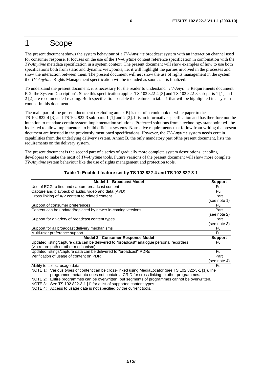# 1 Scope

The present document shows the system behaviour of a *TV-Anytime* broadcast system with an interaction channel used for consumer response. It focuses on the use of the *TV-Anytime* content reference specification in combination with the *TV-Anytime* metadata specification in a system context. The present document will show examples of how to use both specifications both from static and dynamic viewpoints, i.e. it will highlight the parties involved in the processes and show the interaction between them. The present document will **not** show the use of rights management in the system: the *TV-Anytime* Rights Management specification will be included as soon as it is finalized.

To understand the present document, it is necessary for the reader to understand "*TV-Anytime* Requirements document R-2: the System Description". Since this specification applies TS 102 822-4 [3] and TS 102 822-3 sub-parts 1 [1] and 2 [2] are recommended reading. Both specifications enable the features in table 1 that will be highlighted in a system context in this document.

The main part of the present document (excluding annex B) is that of a cookbook or white paper to the TS 102 822-4 [3] and TS 102 822-3 sub-parts 1 [1] and 2 [2]. It is an informative specification and has therefore not the intention to mandate certain system implementation solutions. Preferred solutions from a technology standpoint will be indicated to allow implementers to build efficient systems. Normative requirements that follow from writing the present document are inserted in the previously mentioned specifications. However, the *TV-Anytime* system needs certain capabilities from the underlying delivery system. Annex B, the only mandatory part ofthe present document, lists the requirements on the delivery system.

The present document is the second part of a series of gradually more complete system descriptions, enabling developers to make the most of *TV-Anytime* tools. Future versions of the present document will show more complete *TV-Anytime* system behaviour like the use of rights management and protection tools.

| <b>Model 1 - Broadcast Model</b>                                                                      | <b>Support</b> |  |  |  |
|-------------------------------------------------------------------------------------------------------|----------------|--|--|--|
| Use of ECG to find and capture broadcast content                                                      | Full           |  |  |  |
| Capture and playback of audio, video and data (AVD)                                                   | Full           |  |  |  |
| Cross linking of A/V content to related content                                                       | Part           |  |  |  |
|                                                                                                       | (see note 1)   |  |  |  |
| Support of consumer preferences                                                                       | Full           |  |  |  |
| Content can be updated/replaced by newer in-coming versions                                           | Part           |  |  |  |
|                                                                                                       | (see note 2)   |  |  |  |
| Support for a variety of broadcast content types                                                      | Part           |  |  |  |
|                                                                                                       | (see note 3)   |  |  |  |
| Support for all broadcast delivery mechanisms                                                         | Full           |  |  |  |
| Multi-user preference support                                                                         | Full           |  |  |  |
| Model 2 - Consumer Response Model                                                                     | <b>Support</b> |  |  |  |
| Updated listing/capture data can be delivered to "broadcast" analogue personal recorders              | Full           |  |  |  |
| (via return path or other mechanism)                                                                  |                |  |  |  |
| Updated listings/capture data can be delivered to "broadcast" PDRs                                    | Full           |  |  |  |
| Verification of usage of content on PDR                                                               | Part           |  |  |  |
|                                                                                                       | (see note 4)   |  |  |  |
| Ability to collect usage data                                                                         | Full           |  |  |  |
| NOTE 1: Various types of content can be cross-linked using MediaLocator (see TS 102 822-3-1 [1]). The |                |  |  |  |
| programme metadata does not contain a CRID for cross-linking to other programmes.                     |                |  |  |  |
| NOTE 2: Entire programmes can be overwritten, but segments of programmes cannot be overwritten.       |                |  |  |  |
| NOTE 3: See TS 102 822-3-1 [1] for a list of supported content types.                                 |                |  |  |  |
| NOTE 4: Access to usage data is not specified by the current tools.                                   |                |  |  |  |

#### **Table 1: Enabled feature set by TS 102 822-4 and TS 102 822-3-1**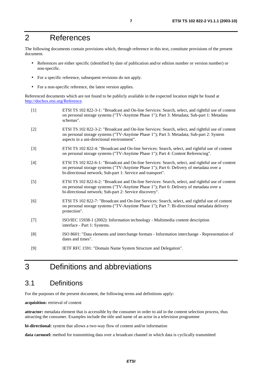# 2 References

The following documents contain provisions which, through reference in this text, constitute provisions of the present document.

- References are either specific (identified by date of publication and/or edition number or version number) or non-specific.
- For a specific reference, subsequent revisions do not apply.
- For a non-specific reference, the latest version applies.

Referenced documents which are not found to be publicly available in the expected location might be found at <http://docbox.etsi.org/Reference>.

| $[1]$ | ETSI TS 102 822-3-1: "Broadcast and On-line Services: Search, select, and rightful use of content<br>on personal storage systems ("TV-Anytime Phase 1"); Part 3: Metadata; Sub-part 1: Metadata<br>schemas".                                                |
|-------|-------------------------------------------------------------------------------------------------------------------------------------------------------------------------------------------------------------------------------------------------------------|
| $[2]$ | ETSI TS 102 822-3-2: "Broadcast and On-line Services: Search, select, and rightful use of content<br>on personal storage systems ("TV-Anytime Phase 1"); Part 3: Metadata; Sub-part 2: System<br>aspects in a uni-directional environment".                 |
| $[3]$ | ETSI TS 102 822-4: "Broadcast and On-line Services: Search, select, and rightful use of content<br>on personal storage systems ("TV-Anytime Phase 1"); Part 4: Content Referencing".                                                                        |
| $[4]$ | ETSI TS 102 822-6-1: "Broadcast and On-line Services: Search, select, and rightful use of content<br>on personal storage systems ("TV-Anytime Phase 1"); Part 6: Delivery of metadata over a<br>bi-directional network; Sub-part 1: Service and transport". |
| $[5]$ | ETSI TS 102 822-6-2: "Broadcast and On-line Services: Search, select, and rightful use of content<br>on personal storage systems ("TV-Anytime Phase 1"); Part 6: Delivery of metadata over a<br>bi-directional network; Sub-part 2: Service discovery".     |
| [6]   | ETSI TS 102 822-7: "Broadcast and On-line Services: Search, select, and rightful use of content<br>on personal storage systems ("TV-Anytime Phase 1"); Part 7: Bi-directional metadata delivery<br>protection".                                             |
| $[7]$ | ISO/IEC 15938-1 (2002): Information technology - Multimedia content description<br>interface - Part 1: Systems.                                                                                                                                             |
| [8]   | ISO 8601: "Data elements and interchange formats - Information interchange - Representation of<br>dates and times".                                                                                                                                         |
| [9]   | IETF RFC 1591: "Domain Name System Structure and Delegation".                                                                                                                                                                                               |

# 3 Definitions and abbreviations

### 3.1 Definitions

For the purposes of the present document, the following terms and definitions apply:

**acquisition:** retrieval of content

**attractor:** metadata element that is accessible by the consumer in order to aid in the content selection process, thus attracting the consumer. Examples include the title and name of an actor in a television programme

**bi-directional:** system that allows a two-way flow of content and/or information

**data carousel:** method for transmitting data over a broadcast channel in which data is cyclically transmitted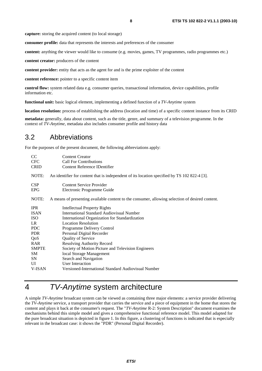**capture:** storing the acquired content (to local storage)

**consumer profile:** data that represents the interests and preferences of the consumer

**content:** anything the viewer would like to consume (e.g. movies, games, TV programmes, radio programmes etc.)

**content creator:** producers of the content

**content provider:** entity that acts as the agent for and is the prime exploiter of the content

**content reference:** pointer to a specific content item

**control flow:** system related data e.g. consumer queries, transactional information, device capabilities, profile information etc.

**functional unit:** basic logical element, implementing a defined function of a *TV-Anytime* system

**location resolution:** process of establishing the address (location and time) of a specific content instance from its CRID

**metadata:** generally, data about content, such as the title, genre, and summary of a television programme. In the context of *TV-Anytime*, metadata also includes consumer profile and history data

### 3.2 Abbreviations

For the purposes of the present document, the following abbreviations apply:

| <sub>CC</sub> | <b>Content Creator</b>                                                                          |
|---------------|-------------------------------------------------------------------------------------------------|
| <b>CFC</b>    | <b>Call For Contributions</b>                                                                   |
| <b>CRID</b>   | <b>Content Reference IDentifier</b>                                                             |
| NOTE:         | An identifier for content that is independent of its location specified by TS 102 822-4 [3].    |
| <b>CSP</b>    | <b>Content Service Provider</b>                                                                 |
| <b>EPG</b>    | Electronic Programme Guide                                                                      |
| NOTE:         | A means of presenting available content to the consumer, allowing selection of desired content. |
| <b>IPR</b>    | <b>Intellectual Property Rights</b>                                                             |
| <b>ISAN</b>   | <b>International Standard Audiovisual Number</b>                                                |
| <b>ISO</b>    | International Organization for Standardization                                                  |
| LR.           | <b>Location Resolution</b>                                                                      |
| <b>PDC</b>    | Programme Delivery Control                                                                      |
| <b>PDR</b>    | Personal Digital Recorder                                                                       |
| QoS           | Quality of Service                                                                              |
| RAR           | Resolving Authority Record                                                                      |
| <b>SMPTE</b>  | Society of Motion Picture and Television Engineers                                              |
| SM            | local Storage Management                                                                        |
| SN            | Search and Navigation                                                                           |
| UI            | <b>User Interaction</b>                                                                         |
| <b>V-ISAN</b> | Versioned-International Standard Audiovisual Number                                             |

# 4 TV-Anytime system architecture

A simple *TV-Anytime* broadcast system can be viewed as containing three major elements: a service provider delivering the *TV-Anytime* service, a transport provider that carries the service and a piece of equipment in the home that stores the content and plays it back at the consumer's request. The "*TV-Anytime* R-2: System Description" document examines the mechanisms behind this simple model and gives a comprehensive functional reference model. This model adapted for the pure broadcast situation is depicted in figure 1. In this figure, a clustering of functions is indicated that is especially relevant in the broadcast case: it shows the "PDR" (Personal Digital Recorder).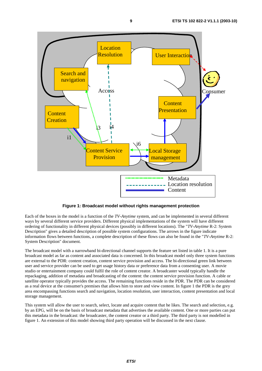

**Figure 1: Broadcast model without rights management protection** 

Each of the boxes in the model is a function of the *TV-Anytime* system, and can be implemented in several different ways by several different service providers. Different physical implementations of the system will have different ordering of functionality in different physical devices (possibly in different locations). The "*TV-Anytime* R-2: System Description" gives a detailed description of possible system configurations. The arrows in the figure indicate information flows between functions, a complete description of these flows can also be found in the "*TV-Anytime* R-2: System Description" document.

The broadcast model with a narrowband bi-directional channel supports the feature set listed in table 1. It is a pure broadcast model as far as content and associated data is concerned. In this broadcast model only three system functions are external to the PDR: content creation, content service provision and access. The bi-directional green link between user and service provider can be used to get usage history data or preference data from a consenting user. A movie studio or entertainment company could fulfil the role of content creator. A broadcaster would typically handle the repackaging, addition of metadata and broadcasting of the content: the content service provision function. A cable or satellite operator typically provides the access. The remaining functions reside in the PDR. The PDR can be considered as a real device at the consumer's premises that allows him to store and view content. In figure 1 the PDR is the grey area encompassing functions search and navigation, location resolution, user interaction, content presentation and local storage management.

This system will allow the user to search, select, locate and acquire content that he likes. The search and selection, e.g. by an EPG, will be on the basis of broadcast metadata that advertises the available content. One or more parties can put this metadata in the broadcast: the broadcaster, the content creator or a third party. The third party is not modelled in figure 1. An extension of this model showing third party operation will be discussed in the next clause.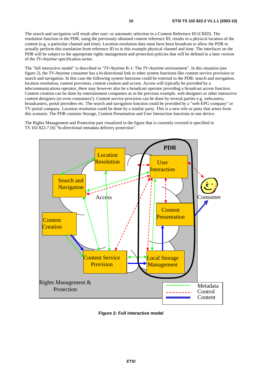The search and navigation will result after user- or automatic selection in a Content Reference ID (CRID). The resolution function in the PDR, using the previously obtained content reference ID, results in a physical location of the content (e.g. a particular channel and time). Location resolution data must have been broadcast to allow the PDR to actually perform this translation from reference ID to in this example physical channel and time. The interfaces on the PDR will be subject to the appropriate rights management and protection policies that will be defined in a later version of the *TV-Anytime* specification series.

The "full interactive model" is described in "*TV-Anytime* R-1: The *TV-Anytime* environment". In this situation (see figure 2), the *TV-Anytime* consumer has a bi-directional link to other system functions like content service provision or search and navigation. In this case the following system functions could be external to the PDR: search and navigation, location resolution, content provision, content creation and access. Access will typically be provided by a telecommunications operator, there may however also be a broadcast operator providing a broadcast access function. Content creation can be done by entertainment companies as in the previous example, web designers or other interactive content designers (or even consumers!). Content service provision can be done by several parties e.g. webcasters, broadcasters, portal providers etc. The search and navigation function could be provided by a "web-EPG company" or TV-portal company. Location resolution could be done by a similar party. This is a new role or party that arises from this scenario. The PDR contains Storage, Content Presentation and User Interaction functions in one device.

The Rights Management and Protection part visualized in the figure that is currently covered is specified in TS 102 822-7 [6] "bi-directional metadata delivery protection".



**Figure 2: Full interactive model**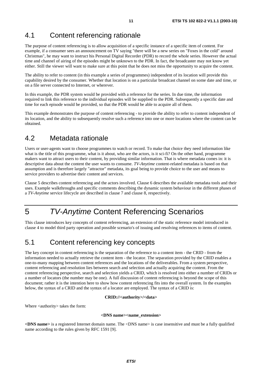# 4.1 Content referencing rationale

The purpose of content referencing is to allow acquisition of a specific instance of a specific item of content. For example, if a consumer sees an announcement on TV saying "there will be a new series on "Foxes in the cold" around Christmas", he may want to instruct his Personal Digital Recorder (PDR) to record the whole series. However the actual time and channel of airing of the episodes might be unknown to the PDR. In fact, the broadcaster may not know yet either. Still the viewer will want to make sure at this point that he does not miss the opportunity to acquire the content.

The ability to refer to content (in this example a series of programmes) independent of its location will provide this capability desired by the consumer. Whether that location is on a particular broadcast channel on some date and time, or on a file server connected to Internet, or wherever.

In this example, the PDR system would be provided with a reference for the series. In due time, the information required to link this reference to the individual episodes will be supplied to the PDR. Subsequently a specific date and time for each episode would be provided, so that the PDR would be able to acquire all of them.

This example demonstrates the purpose of content referencing - to provide the ability to refer to content independent of its location, and the ability to subsequently resolve such a reference into one or more locations where the content can be obtained.

### 4.2 Metadata rationale

Users or user-agents want to choose programmes to watch or record. To make that choice they need information like what is the title of this programme, what is it about, who are the actors, is it sci-fi? On the other hand, programme makers want to attract users to their content, by providing similar information. That is where metadata comes in: it is descriptive data about the content the user wants to consume. *TV-Anytime* content-related metadata is based on that assumption and is therefore largely "attractor" metadata, its goal being to provide choice to the user and means to service providers to advertise their content and services.

Clause 5 describes content referencing and the actors involved. Clause 6 describes the available metadata tools and their uses. Example walkthroughs and specific comments describing the dynamic system behaviour in the different phases of a *TV-Anytime* service lifecycle are described in clause 7 and clause 8, respectively.

# 5 TV-Anytime Content Referencing Scenarios

This clause introduces key concepts of content referencing, an extension of the static reference model introduced in clause 4 to model third party operation and possible scenario's of issuing and resolving references to items of content.

### 5.1 Content referencing key concepts

The key concept in content referencing is the separation of the reference to a content item - the CRID - from the information needed to actually retrieve the content item - the locator. The separation provided by the CRID enables a one-to-many mapping between content references and the locations of the deliverables. From a system perspective, content referencing and resolution lies between search and selection and actually acquiring the content. From the content referencing perspective, search and selection yields a CRID, which is resolved into either a number of CRIDs or a number of locators (the number may be one). A full discussion of content referencing is beyond the scope of this document; rather it is the intention here to show how content referencing fits into the overall system. In the examples below, the syntax of a CRID and the syntax of a locator are employed. The syntax of a CRID is:

#### **CRID://<authority>/<data>**

Where <authority> takes the form:

#### <DNS name><name\_extension>

**<DNS name>** is a registered Internet domain name. The <DNS name> is case insensitive and must be a fully qualified name according to the rules given by RFC 1591 [9].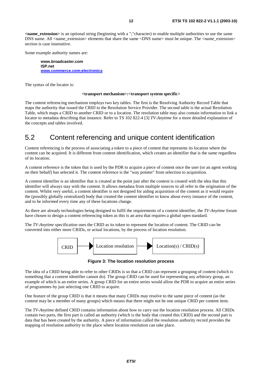**<name\_extension>** is an optional string (beginning with a ";"character) to enable multiple authorities to use the same DNS name. All <name\_extension> elements that share the same <DNS name> must be unique. The <name\_extension> section is case insensitive.

Some example authority names are:

**www.broadcaster.com ISP.net [www.commerce.com;electronics](http://www.commerce.com;electronics/)**

The syntax of the locator is:

#### **<transport mechanism>:<transport system specific>**

The content referencing mechanism employs two key tables. The first is the Resolving Authority Record Table that maps the authority that issued the CRID to the Resolution Service Provider. The second table is the actual Resolution Table, which maps a CRID to another CRID or to a location. The resolution table may also contain information to link a locator to metadata describing that instance. Refer to TS 102 822-4 [3] *TV-Anytime* for a more detailed explanation of the concepts and tables involved.

### 5.2 Content referencing and unique content identification

Content referencing is the process of associating a token to a piece of content that represents its location where the content can be acquired. It is different from content identification, which creates an identifier that is the same regardless of its location.

A content reference is the token that is used by the PDR to acquire a piece of content once the user (or an agent working on their behalf) has selected it. The content reference is the "way pointer" from selection to acquisition.

A content identifier is an identifier that is created at the point just after the content is created with the idea that this identifier will always stay with the content. It allows metadata from multiple sources to all refer to the origination of the content. Whilst very useful, a content identifier is not designed for aiding acquisition of the content as it would require the (possibly globally centralized) body that created the content identifier to know about every instance of the content, and to be informed every time any of these locations change.

As there are already technologies being designed to fulfil the requirements of a content identifier, the *TV-Anytime* forum have chosen to design a content referencing token as this is an area that requires a global open standard.

The *TV-Anytime* specification uses the CRID as its token to represent the location of content. The CRID can be converted into either more CRIDs, or actual locations, by the process of location resolution.



**Figure 3: The location resolution process** 

The idea of a CRID being able to refer to other CRIDs is so that a CRID can represent a grouping of content (which is something that a content identifier cannot do). The group CRID can be used for representing any arbitrary group, an example of which is an entire series. A group CRID for an entire series would allow the PDR to acquire an entire series of programmes by just selecting one CRID to acquire.

One feature of the group CRID is that it means that many CRIDs may resolve to the same piece of content (as the content may be a member of many groups) which means that there might not be one unique CRID per content item.

The *TV-Anytime* defined CRID contains information about how to carry out the location resolution process. All CRIDs contain two parts, the first part is called an authority (which is the body that created this CRID) and the second part is data that has been created by the authority. A piece of information called the resolution authority record provides the mapping of resolution authority to the place where location resolution can take place.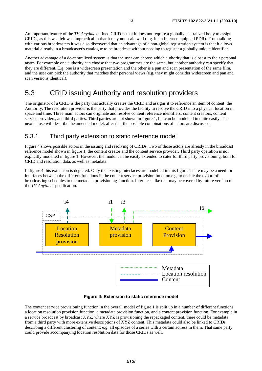An important feature of the *TV-Anytime* defined CRID is that it does not require a globally centralized body to assign CRIDs, as this was felt was impractical in that it may not scale well (e.g. in an Internet equipped PDR). From talking with various broadcasters it was also discovered that an advantage of a non-global registration system is that it allows material already in a broadcaster's catalogue to be broadcast without needing to register a globally unique identifier.

Another advantage of a de-centralized system is that the user can choose which authority that is closest to their personal tastes. For example one authority can choose that two programmes are the same, but another authority can specify that they are different. E.g. one is a widescreen presentation and the other is a pan and scan presentation of the same film, and the user can pick the authority that matches their personal views (e.g. they might consider widescreen and pan and scan versions identical).

# 5.3 CRID issuing Authority and resolution providers

The originator of a CRID is the party that actually creates the CRID and assigns it to reference an item of content: the Authority. The resolution provider is the party that provides the facility to resolve the CRID into a physical location in space and time. Three main actors can originate and resolve content reference identifiers: content creators, content service providers, and third parties. Third parties are not shown in figure 1, but can be modelled in quite easily. The next clause will describe the amended model, after that the possible combinations of actors are discussed.

### 5.3.1 Third party extension to static reference model

Figure 4 shows possible actors in the issuing and resolving of CRIDs. Two of those actors are already in the broadcast reference model shown in figure 1, the content creator and the content service provider. Third party operation is not explicitly modelled in figure 1. However, the model can be easily extended to cater for third party provisioning, both for CRID and resolution data, as well as metadata.

In figure 4 this extension is depicted. Only the existing interfaces are modelled in this figure. There may be a need for interfaces between the different functions in the content service provision function e.g. to enable the export of broadcasting schedules to the metadata provisioning function. Interfaces like that may be covered by future version of the *TV-Anytime* specification.



**Figure 4: Extension to static reference model** 

The content service provisioning function in the overall model of figure 1 is split up in a number of different functions: a location resolution provision function, a metadata provision function, and a content provision function. For example in a service broadcast by broadcast XYZ, where XYZ is provisioning the repackaged content, there could be metadata from a third party with more extensive descriptions of XYZ content. This metadata could also be linked to CRIDs describing a different clustering of content: e.g. all episodes of a series with a certain actress in them. That same party could provide accompanying location resolution data for those CRIDs as well.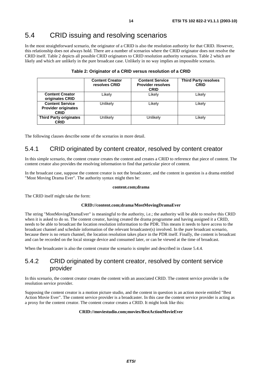# 5.4 CRID issuing and resolving scenarios

In the most straightforward scenario, the originator of a CRID is also the resolution authority for that CRID. However, this relationship does not always hold. There are a number of scenarios where the CRID originator does not resolve the CRID itself. Table 2 depicts all possible CRID originators to CRID resolution authority scenarios. Table 2 which are likely and which are unlikely in the pure broadcast case. Unlikely in no way implies an impossible scenario.

|                                                                     | <b>Content Creator</b><br>resolves CRID | <b>Content Service</b><br><b>Provider resolves</b><br><b>CRID</b> | <b>Third Party resolves</b><br><b>CRID</b> |
|---------------------------------------------------------------------|-----------------------------------------|-------------------------------------------------------------------|--------------------------------------------|
| <b>Content Creator</b><br>originates CRID                           | Likely                                  | Likely                                                            | Likely                                     |
| <b>Content Service</b><br><b>Provider originates</b><br><b>CRID</b> | Unlikely                                | Likely                                                            | Likely                                     |
| <b>Third Party originates</b><br><b>CRID</b>                        | Unlikely                                | Unlikely                                                          | Likelv                                     |

#### **Table 2: Originator of a CRID versus resolution of a CRID**

The following clauses describe some of the scenarios in more detail.

### 5.4.1 CRID originated by content creator, resolved by content creator

In this simple scenario, the content creator creates the content and creates a CRID to reference that piece of content. The content creator also provides the resolving information to find that particular piece of content.

In the broadcast case, suppose the content creator is not the broadcaster, and the content in question is a drama entitled "Most Moving Drama Ever". The authority syntax might then be:

#### **content.com;drama**

The CRID itself might take the form:

#### **CRID://content.com;drama/MostMovingDramaEver**

The string "MostMovingDramaEver" is meaningful to the authority, i.e.; the authority will be able to resolve this CRID when it is asked to do so. The content creator, having created the drama programme and having assigned it a CRID, needs to be able to broadcast the location resolution information to the PDR. This means it needs to have access to the broadcast channel and schedule information of the relevant broadcaster(s) involved. In the pure broadcast scenario, because there is no return channel, the location resolution takes place in the PDR itself. Finally, the content is broadcast and can be recorded on the local storage device and consumed later, or can be viewed at the time of broadcast.

When the broadcaster is also the content creator the scenario is simpler and described in clause 5.4.4.

### 5.4.2 CRID originated by content creator, resolved by content service provider

In this scenario, the content creator creates the content with an associated CRID. The content service provider is the resolution service provider.

Supposing the content creator is a motion picture studio, and the content in question is an action movie entitled "Best Action Movie Ever". The content service provider is a broadcaster. In this case the content service provider is acting as a proxy for the content creator. The content creator creates a CRID. It might look like this:

#### **CRID://moviestudio.com;movies/BestActionMovieEver**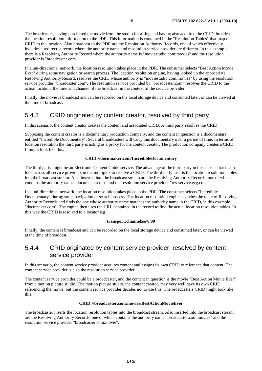The broadcaster, having purchased the movie from the studio for airing and having also acquired the CRID, broadcasts the location resolution information to the PDR. This information is contained in the "Resolution Tables" that map the CRID to the location. Also broadcast to the PDR are the Resolution Authority Records, one of which effectively includes a redirect, a record where the authority name and resolution service provider are different. In this example there is a Resolving Authority Record where the authority name is "moviestudio.com;movies" and the resolution provider is "broadcaster.com".

In a uni-directional network, the location resolution takes place in the PDR. The consumer selects "Best Action Movie Ever" during some navigation or search process. The location resolution engine, having looked up the appropriate Resolving Authority Record, resolves the CRID whose authority is "moviestudio.com;movies" by using the resolution service provider "broadcaster.com". The resolution service provided by "broadcaster.com" resolves the CRID to the actual location, the time and channel of the broadcast in the context of the service provider.

Finally, the movie is broadcast and can be recorded on the local storage device and consumed later, or can be viewed at the time of broadcast.

### 5.4.3 CRID originated by content creator, resolved by third party

In this scenario, the content creator creates the content and associated CRID. A third party resolves the CRID.

Supposing the content creator is a documentary production company, and the content in question is a documentary entitled "Incredible Documentary". Several broadcasters will carry this documentary over a period of time. In terms of location resolution the third party is acting as a proxy for the content creator. The production company creates a CRID. It might look like this:

#### **CRID://documaker.com/IncredibleDocumentary**

The third party might be an Electronic Content Guide service. The advantage of the third party in this case is that it can look across all service providers in the multiplex to resolve a CRID. The third party inserts the location resolution tables into the broadcast stream. Also inserted into the broadcast stream are the Resolving Authority Records, one of which contains the authority name "documaker.com" and the resolution service provider "res-service.ecg.com".

In a uni-directional network, the location resolution takes place in the PDR. The consumer selects "Incredible Documentary" during some navigation or search process. The location resolution engine searches the table of Resolving Authority Records and finds the one whose authority name matches the authority name in the CRID, in this example "documaker.com". The engine then uses the URL contained in the record to find the actual location resolution tables. In this way the CRID is resolved to a locator e.g.:

#### **transport:channel5@8.00**

Finally, the content is broadcast and can be recorded on the local storage device and consumed later, or can be viewed at the time of broadcast.

### 5.4.4 CRID originated by content service provider, resolved by content service provider

In this scenario, the content service provider acquires content and assigns its own CRID to reference that content. The content service provider is also the resolution service provider.

The content service provider could be a broadcaster, and the content in question is the movie "Best Action Movie Ever" from a motion picture studio. The motion picture studio, the content creator, may very well have its own CRID referencing the movie, but the content service provider decides not to use this. The broadcasters CRID might look like this:

#### **CRID://broadcaster.com;movies/BestActionMovieEver**

The broadcaster inserts the location resolution tables into the broadcast stream. Also inserted into the broadcast stream are the Resolving Authority Records, one of which contains the authority name "broadcaster.com;movies" and the resolution service provider "broadcaster.com;movie".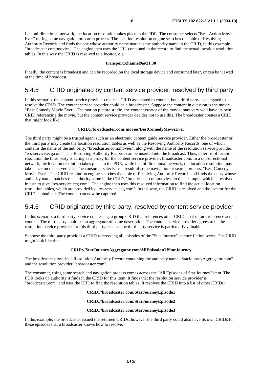In a uni-directional network, the location resolution takes place in the PDR. The consumer selects "Best Action Movie Ever" during some navigation or search process. The location resolution engine searches the table of Resolving Authority Records and finds the one whose authority name matches the authority name in the CRID, in this example "broadcaster.com;movies". The engine then uses the URL contained in the record to find the actual location resolution tables. In this way the CRID is resolved to a locator, e.g.:

#### **transport:channel9@21.30**

Finally, the content is broadcast and can be recorded on the local storage device and consumed later, or can be viewed at the time of broadcast.

### 5.4.5 CRID originated by content service provider, resolved by third party

In this scenario, the content service provider creates a CRID associated to content, but a third party is delegated to resolve the CRID. The content service provider could be a broadcaster. Suppose the content in question is the movie "Best Comedy Movie Ever". The motion picture studio, the content creator of the movie, may very well have its own CRID referencing the movie, but the content service provider decides not to use this. The broadcaster creates a CRID that might look like:

#### **CRID://broadcaster.com;movies/BestComedyMovieEver**

The third party might be a trusted agent such as an electronic content guide service provider. Either the broadcaster or the third party may create the location resolution tables as well as the Resolving Authority Records, one of which contains the name of the authority, "broadcaster.com;movies", along with the name of the resolution service provider, "res-service.ecg.com". The Resolving Authority Records can be inserted into the broadcast. Thus, in terms of location resolution the third party is acting as a proxy for the content service provider, broadcaster.com. In a uni-directional network, the location resolution takes place in the PDR, while in a bi-directional network, the location resolution may take place on the server side. The consumer selects, as a result of some navigation or search process, "Best Comedy Movie Ever". The CRID resolution engine searches the table of Resolving Authority Records and finds the entry whose authority name matches the authority name in the CRID, "broadcaster.com;movies" in this example, which is resolved in turn to give "res-service.ecg.com". The engine then uses this resolved information to find the actual location resolution tables, which are provided by "res-service.ecg.com". In this way, the CRID is resolved and the locator for the CRID is obtained. The content can now be captured.

### 5.4.6 CRID originated by third party, resolved by content service provider

In this scenario, a third party service creates e.g. a group CRID that references other CRIDs that in turn reference actual content. The third party could be an aggregator of some description. The content service provider agrees to be the resolution service provider for this third party because the third party service is particularly valuable.

Suppose the third party provides a CRID referencing all episodes of the "Star Journey" science fiction series. The CRID might look like this:

#### **CRID://StarJourneyAggregator.com/AllEpisodesOfStarJourney**

The broadcaster provides a Resolution Authority Record containing the authority name "StarJourneyAggregator.com" and the resolution provider "broadcaster.com".

The consumer, using some search and navigation process comes across the "All Episodes of Star Journey" item. The PDR looks up authority it finds in the CRID for this item. It finds that the resolution service provider is "broadcaster.com" and uses the URL to find the resolution tables. It resolves the CRID into a list of other CRIDs:

#### **CRID://broadcaster.com/StarJourneyEpisode1**

#### **CRID://broadcaster.com/StarJourneyEpisode2**

#### **CRID://broadcaster.com/StarJourneyEpisode3**

In this example, the broadcaster issued the returned CRIDs, however the third party could also have its own CRIDs for these episodes that a broadcaster knows how to resolve.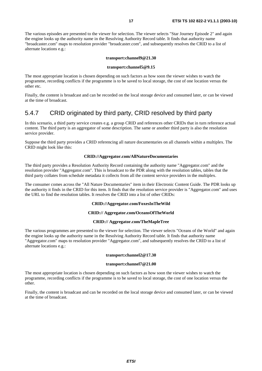The various episodes are presented to the viewer for selection. The viewer selects "Star Journey Episode 2" and again the engine looks up the authority name in the Resolving Authority Record table. It finds that authority name "broadcaster.com" maps to resolution provider "broadcaster.com", and subsequently resolves the CRID to a list of alternate locations e.g.:

#### **transport:channel9@21.30**

#### **transport:channel5@9.15**

The most appropriate location is chosen depending on such factors as how soon the viewer wishes to watch the programme, recording conflicts if the programme is to be saved to local storage, the cost of one location versus the other etc.

Finally, the content is broadcast and can be recorded on the local storage device and consumed later, or can be viewed at the time of broadcast.

### 5.4.7 CRID originated by third party, CRID resolved by third party

In this scenario, a third party service creates e.g. a group CRID and references other CRIDs that in turn reference actual content. The third party is an aggregator of some description. The same or another third party is also the resolution service provider.

Suppose the third party provides a CRID referencing all nature documentaries on all channels within a multiplex. The CRID might look like this:

#### **CRID://Aggregator.com/AllNatureDocumentaries**

The third party provides a Resolution Authority Record containing the authority name "Aggregator.com" and the resolution provider "Aggregator.com". This is broadcast to the PDR along with the resolution tables, tables that the third party collates from schedule metadata it collects from all the content service providers in the multiplex.

The consumer comes across the "All Nature Documentaries" item in their Electronic Content Guide. The PDR looks up the authority it finds in the CRID for this item. It finds that the resolution service provider is "Aggregator.com" and uses the URL to find the resolution tables. It resolves the CRID into a list of other CRIDs:

#### **CRID://Aggregator.com/FoxesInTheWild**

#### **CRID:// Aggregator.com/OceansOfTheWorld**

#### **CRID:// Aggregator.com/TheMapleTree**

The various programmes are presented to the viewer for selection. The viewer selects "Oceans of the World" and again the engine looks up the authority name in the Resolving Authority Record table. It finds that authority name "Aggregator.com" maps to resolution provider "Aggregator.com", and subsequently resolves the CRID to a list of alternate locations e.g.:

#### **transport:channel2@17.30**

#### **transport:channel7@21.00**

The most appropriate location is chosen depending on such factors as how soon the viewer wishes to watch the programme, recording conflicts if the programme is to be saved to local storage, the cost of one location versus the other.

Finally, the content is broadcast and can be recorded on the local storage device and consumed later, or can be viewed at the time of broadcast.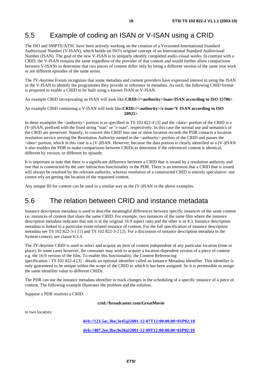# 5.5 Example of coding an ISAN or V-ISAN using a CRID

The ISO and SMPTE/ATSC have been actively working on the creation of a Versioned-International Standard Audiovisual Number (V-ISAN), which builds on ISO's original concept of an International Standard Audiovisual Number (ISAN). The goal of the new V-ISAN is to uniquely identify completed audio-visual works. In contrast with a CRID, the V-ISAN remains the same regardless of the provider of that content and would further allow comparisons between V-ISANs to determine that two pieces of content differ only by being a different version of the same root work or are different episodes of the same series.

The *TV-Anytime* Forum recognizes that some metadata and content providers have expressed interest in using the ISAN or the V-ISAN to identify the programmes they provide or reference in metadata. As such, the following CRID format is proposed to enable a CRID to be built using a known ISAN or V-ISAN.

An example CRID incorporating an ISAN will look like:**CRID://<authority>/isan<ISAN according to ISO 15706>** 

An example CRID containing a V-ISAN will look like:**CRID://<authority>/v-isan<V-ISAN according to ISO 20925>** 

In these examples the  $\langle$ authority  $\rangle$  portion is as specified in TS 102 822-4 [3] and the  $\langle$ data  $\rangle$  portion of the CRID is a (V-)ISAN, prefixed with the fixed string "isan" or "v-isan", respectively. In this case the normal use and semantics of the CRID are preserved. Namely, to convert this CRID into one or more location records the PDR contacts a location resolution service serving the Resolution Authority named in the <authority> portion of the CRID and passes the <data> portion, which in this case is a (V-)ISAN. However, because the data portion is clearly identified as a (V-)ISAN it also enables the PDR to make comparisons between CRIDs to determine if the referenced content is identical, different by version, or different by episode.

It is important to note that there is a significant difference between a CRID that is issued by a resolution authority and one that is constructed by the user interaction functionality in the PDR. There is an intention that a CRID that is issued will always be resolved by the relevant authority, whereas resolution of a constructed CRID is entirely speculative: one cannot rely on getting the location of the requested content.

Any unique ID for content can be used in a similar way as the (V-)ISAN in the above examples.

### 5.6 The relation between CRID and instance metadata

Instance description metadata is used to describe meaningful differences between specific instances of the same content i.e. instances of content that share the same CRID. For example, two instances of the same film where the instance description metadata indicates that one is in the original 16:9 aspect ratio and the other is in 4:3. Instance description metadata is linked to a particular event-related instance of content. For the full specification of instance description metadata see TS 102 822-3-1 [1] and TS 102 822-3-2 [2]. For a discussion of instance description metadata in the System context, see clause 6.3.3.

The *TV-Anytime* CRID is used to select and acquire an item of content independent of any particular location (time or place). In some cases however, the consumer may wish to acquire a location dependent version of a piece of content e.g. the 16:9 version of the film. To enable this functionality, the Content Referencing specification - TS 102 822-4 [3] - details an optional identifier called an Instance Metadata Identifier. This identifier is

only guaranteed to be unique within the scope of the CRID to which it has been assigned. So it is permissible to assign the same identifier value to different CRIDs.

The PDR can use the instance metadata identifier to track changes in the scheduling of a specific instance of a piece of content. The following example illustrates the problem and the solution.

Suppose a PDR resolves a CRID:

**crid://broadcaster.com/GreatMovie** 

to two locators:

**[dvb://123.5ac.3be;3e45@2001-12-07T12:00:00.00+01P02:10](ftp://example.org/dir2/abc123.mov) [dvb://487.2ee.3be;9e26@2001-12-09T12:00:00.00+01P02:10](ftp://example.org/dir2/abc123.mov)**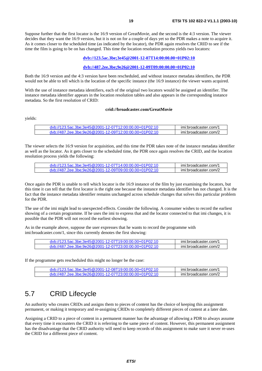Suppose further that the first locator is the 16:9 version of GreatMovie, and the second is the 4:3 version. The viewer decides that they want the 16:9 version, but it is not on for a couple of days yet so the PDR makes a note to acquire it. As it comes closer to the scheduled time (as indicated by the locator), the PDR again resolves the CRID to see if the time the film is going to be on has changed. This time the location resolution process yields two locators:

#### **dvb://123.5ac.3be;3e45@2001-12-07T14:00:00.00+01P02:10**

#### **[d](ftp://example.org/dir2/abc123.mov)vb://487.2ee.3be;9e26@2001-12-09T09:00:00.00+01P02:10**

Both the 16:9 version and the 4:3 version have been rescheduled, and without instance metadata identifiers, the PDR would not be able to tell which is the location of the specific instance (the 16:9 instance) the viewer wants acquired.

With the use of instance metadata identifiers, each of the original two locators would be assigned an identifier. The instance metadata identifier appears in the location resolution tables and also appears in the corresponding instance metadata. So the first resolution of CRID:

#### **crid://broadcaster.com/GreatMovie**

yields:

| dyb://123.5ac.3be:3e45@2001-12-07T12:00:00.00+01P02:10 | imi:broadcaster.com/1 |
|--------------------------------------------------------|-----------------------|
| dyb://487.2ee.3be:9e26@2001-12-09T12:00:00.00+01P02:10 | imi:broadcaster.com/2 |

The viewer selects the 16:9 version for acquisition, and this time the PDR takes note of the instance metadata identifier as well as the locator. As it gets closer to the scheduled time, the PDR once again resolves the CRID, and the location resolution process yields the following:

| dyb://123.5ac.3be:3e45@2001-12-07T14:00:00.00+01P02:10 | imi:broadcaster.com/1 |
|--------------------------------------------------------|-----------------------|
| dyb://487.2ee.3be:9e26@2001-12-09T09:00:00.00+01P02:10 | imi:broadcaster.com/2 |

Once again the PDR is unable to tell which locator is the 16:9 instance of the film by just examining the locators, but this time it can tell that the first locator is the right one because the instance metadata identifier has not changed. It is the fact that the instance metadata identifier remains unchanged across schedule changes that solves this particular problem for the PDR.

The use of the imi might lead to unexpected effects. Consider the following. A consumer wishes to record the earliest showing of a certain programme. If he uses the imi to express that and the locator connected to that imi changes, it is possible that the PDR will not record the earliest showing.

As in the example above, suppose the user expresses that he wants to record the programme with imi:broadcaster.com/1, since this currently denotes the first showing:

| dyb://123.5ac.3be:3e45@2001-12-07T19:00:00.00+01P02:10 | imi:broadcaster.com/1 |
|--------------------------------------------------------|-----------------------|
| dyb://487.2ee.3be:9e26@2001-12-07T23:00:00.00+01P02:10 | imi:broadcaster.com/2 |

If the programme gets rescheduled this might no longer be the case:

| dyb://123.5ac.3be:3e45@2001-12-08T19:00:00.00+01P02:10 | imi:broadcaster.com/1 |
|--------------------------------------------------------|-----------------------|
| dyb://487.2ee.3be:9e26@2001-12-07T23:00:00.00+01P02:10 | imi:broadcaster.com/2 |

### 5.7 CRID Lifecycle

An authority who creates CRIDs and assigns them to pieces of content has the choice of keeping this assignment permanent, or making it temporary and re-assigning CRIDs to completely different pieces of content at a later date.

Assigning a CRID to a piece of content in a permanent manner has the advantage of allowing a PDR to always assume that every time it encounters the CRID it is referring to the same piece of content. However, this permanent assignment has the disadvantage that the CRID authority will need to keep records of this assignment to make sure it never re-uses the CRID for a different piece of content.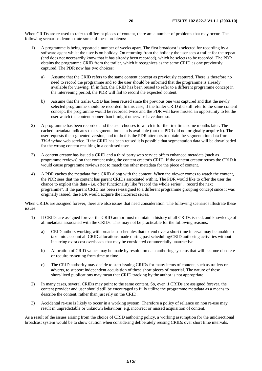When CRIDs are re-used to refer to different pieces of content, there are a number of problems that may occur. The following scenarios demonstrate some of these problems:

- 1) A programme is being repeated a number of weeks apart. The first broadcast is selected for recording by a software agent whilst the user is on holiday. On returning from the holiday the user sees a trailer for the repeat (and does not necessarily know that it has already been recorded), which he selects to be recorded. The PDR obtains the programme CRID from the trailer, which it recognizes as the same CRID as one previously captured. The PDR now has two choices:
	- a) Assume that the CRID refers to the same content concept as previously captured. There is therefore no need to record the programme and so the user should be informed that the programme is already available for viewing. If, in fact, the CRID has been reused to refer to a different programme concept in the intervening period, the PDR will fail to record the expected content.
	- b) Assume that the trailer CRID has been reused since the previous one was captured and that the newly selected programme should be recorded. In this case, if the trailer CRID did still refer to the same content concept, the programme would be recorded twice and the PDR will have missed an opportunity to let the user watch the content sooner than it might otherwise have done so.
- 2) A programme has been recorded and the user chooses to watch it for the first time some months later. The cached metadata indicates that segmentation data is available (but the PDR did not originally acquire it). The user requests the segmented version, and to do this the PDR attempts to obtain the segmentation data from a *TV-Anytime* web service. If the CRID has been reused it is possible that segmentation data will be downloaded for the wrong content resulting in a confused user.
- 3) A content creator has issued a CRID and a third party web service offers enhanced metadata (such as programme reviews) on that content using the content creator's CRID. If the content creator reuses the CRID it would cause programme reviews not to match the other metadata for the piece of content.
- 4) A PDR caches the metadata for a CRID along with the content. When the viewer comes to watch the content, the PDR sees that the content has parent CRIDs associated with it. The PDR would like to offer the user the chance to exploit this data - i.e. offer functionality like "record the whole series", "record the next programme". If the parent CRID has been re-assigned to a different programme grouping concept since it was originally issued, the PDR would acquire the incorrect series.

When CRIDs are assigned forever, there are also issues that need consideration. The following scenarios illustrate these issues:

- 1) If CRIDs are assigned forever the CRID author must maintain a history of all CRIDs issued, and knowledge of all metadata associated with the CRIDs. This may not be practicable for the following reasons:
	- a) CRID authors working with broadcast schedules that extend over a short time interval may be unable to take into account all CRID allocations made during past scheduling/CRID authoring activities without incurring extra cost overheads that may be considered commercially unattractive.
	- b) Allocation of CRID values may be made by resolution data authoring systems that will become obsolete or require re-setting from time to time.
	- c) The CRID authority may decide to start issuing CRIDs for many items of content, such as trailers or adverts, to support independent acquisition of these short pieces of material. The nature of these short-lived publications may mean that CRID tracking by the author is not appropriate.
- 2) In many cases, several CRIDs may point to the same content. So, even if CRIDs are assigned forever, the content provider and user should still be encouraged to fully utilize the programme metadata as a means to describe the content, rather than just rely on the CRID.
- 3) Accidental re-use is likely to occur in a working system. Therefore a policy of reliance on non re-use may result in unpredictable or unknown behaviour, e.g. incorrect or missed acquisition of content.

As a result of the issues arising from the choice of CRID authoring policy, a working assumption for the unidirectional broadcast system would be to show caution when considering deliberately reusing CRIDs over short time intervals.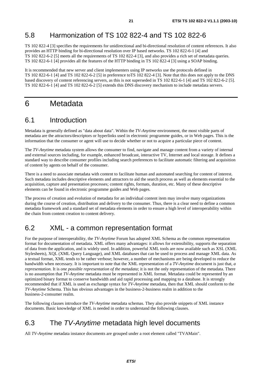# 5.8 Harmonization of TS 102 822-4 and TS 102 822-6

TS 102 822-4 [3] specifies the requirements for unidirectional and bi-directional resolution of content references. It also provides an HTTP binding for bi-directional resolution over IP based networks. TS 102 822-6-1 [4] and TS 102 822-6-2 [5] meets all the requirements of TS 102 822-4 [3], and also provides a rich set of metadata queries. TS 102 822-6-1 [4] provides all the features of the HTTP binding in TS 102 822-4 [3] using a SOAP binding.

It is recommended that new server and client implementers using IP networks use the protocols defined in TS 102 822-6-1 [4] and TS 102 822-6-2 [5] in preference toTS 102 822-4 [3]. Note that this does not apply to the DNS based discovery of content referencing servers, as this is not superseded in TS 102 822-6-1 [4] and TS 102 822-6-2 [5]. TS 102 822-6-1 [4] and TS 102 822-6-2 [5] extends this DNS discovery mechanism to include metadata servers.

# 6 Metadata

### 6.1 Introduction

Metadata is generally defined as "data about data". Within the *TV-Anytime* environment, the most visible parts of metadata are the attractors/descriptors or hyperlinks used in electronic programme guides, or in Web pages. This is the information that the consumer or agent will use to decide whether or not to acquire a particular piece of content.

The *TV-Anytime* metadata system allows the consumer to find, navigate and manage content from a variety of internal and external sources including, for example, enhanced broadcast, interactive TV, Internet and local storage. It defines a standard way to describe consumer profiles including search preferences to facilitate automatic filtering and acquisition of content by agents on behalf of the consumer.

There is a need to associate metadata with content to facilitate human and automated searching for content of interest. Such metadata includes descriptive elements and attractors to aid the search process as well as elements essential to the acquisition, capture and presentation processes; content rights, formats, duration, etc. Many of these descriptive elements can be found in electronic programme guides and Web pages.

The process of creation and evolution of metadata for an individual content item may involve many organizations during the course of creation, distribution and delivery to the consumer. Thus, there is a clear need to define a common metadata framework and a standard set of metadata elements in order to ensure a high level of interoperability within the chain from content creation to content delivery.

### 6.2 XML - a common representation format

For the purpose of interoperability, the *TV-Anytime* Forum has adopted XML Schema as the common representation format for documentation of metadata. XML offers many advantages: it allows for extensibility, supports the separation of data from the application, and is widely used. In addition, powerful XML tools are now available such as XSL (XML Stylesheets), XQL (XML Query Language), and XML databases that can be used to process and manage XML data. As a textual format, XML tends to be rather verbose; however, a number of mechanisms are being developed to reduce the bandwidth when necessary. It is important to note that the XML representation of a *TV-Anytime* document is just that, *a representation*. It is *one possible representation of the metadata*; it is not the only representation of the metadata. There is no assumption that *TV-Anytime* metadata must be represented in XML format. Metadata could be represented by an optimized binary format to conserve bandwidth and aid rapid processing and mapping to a database. It is strongly recommended that if XML is used as exchange syntax for *TV-Anytime* metadata, then that XML should conform to the *TV-Anytime* Schema. This has obvious advantages in the business-2-business realm in addition to the business-2-consumer realm.

The following clauses introduce the *TV-Anytime* metadata schemas. They also provide snippets of XML instance documents. Basic knowledge of XML is needed in order to understand the following clauses.

# 6.3 The TV-Anytime metadata high level documents

All *TV-Anytime* metadata instance documents are grouped under a root element called "TVAMain".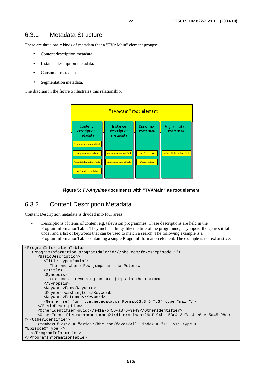### 6.3.1 Metadata Structure

There are three basic kinds of metadata that a "TVAMain" element groups:

- Content description metadata.
- Instance description metadata.
- Consumer metadata.
- Segmentation metadata.

The diagram in the figure 5 illustrates this relationship.





### 6.3.2 Content Description Metadata

Content Description metadata is divided into four areas:

Descriptions of items of content e.g. television programmes. These descriptions are held in the ProgramInformationTable. They include things like the title of the programme, a synopsis, the genres it falls under and a list of keywords that can be used to match a search. The following example is a ProgramInformationTable containing a single ProgramInformation element. The example is not exhaustive.

```

<ProgramInformationTable> 
   <ProgramInformation programId="crid://hbc.com/foxes/episode11"> 
      <BasicDescription> 
         <Title type="main"> 
            The one where Fox jumps in the Potomac 
        \epsilon/Title>
         <Synopsis> 
            Fox goes to Washington and jumps in the Potomac 
         </Synopsis> 
         <Keyword>Fox</Keyword> 
         <Keyword>Washington</Keyword> 
         <Keyword>Potomac</Keyword> 
         <Genre href="urn:tva:metadata:cs:FormatCS:3.5.7.3" type="main"/> 
      </BasicDescription> 
      <OtherIdentifier>guid://e41a-b456-a876-3e49</OtherIdentifier> 
      <OtherIdentifier>urn:mpeg:mpeg21:diid:v-isan:29ef-94ba-53c4-3e7a-4ce8-e-5a45-98ec-
f</OtherIdentifier> 
      <MemberOf crid = "crid://hbc.com/foxes/all" index = "11" xsi:type = 
"EpisodeOfType"/> 
   </ProgramInformation> 
</ProgramInformationTable>
```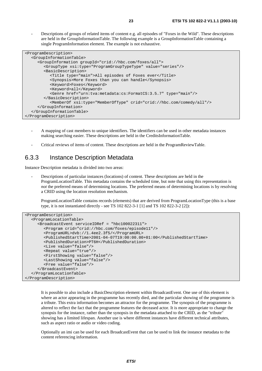- Descriptions of groups of related items of content e.g. all episodes of "Foxes in the Wild". These descriptions are held in the GroupInformationTable. The following example is a GroupInformationTable containing a single ProgramInformation element. The example is not exhaustive.

| <programdescription></programdescription>                                      |
|--------------------------------------------------------------------------------|
| <groupinformationtable></groupinformationtable>                                |
| <groupinformation qroupid="crid://hbc.com/foxes/all"></groupinformation>       |
| <grouptype value="series" xsi:type="ProgramGroupTypeType"></grouptype>         |
| <basicdescription></basicdescription>                                          |
| <title type="main">All episodes of Foxes ever</title>                          |
| <synopsis>More Foxes than you can handle</synopsis>                            |
| <keyword>Foxes</keyword>                                                       |
| <keyword>all</keyword>                                                         |
| <genre href="urn:tva:metadata:cs:FormatCS:3.5.7" type="main"></genre>          |
|                                                                                |
| <memberof crid="crid://hbc.com/comedy/all" xsi:type="MemberOfType"></memberof> |
|                                                                                |
|                                                                                |
|                                                                                |

- A mapping of cast members to unique identifiers. The identifiers can be used in other metadata instances making searching easier. These descriptions are held in the CreditsInformationTable.
- Critical reviews of items of content. These descriptions are held in the ProgramReviewTable.

### 6.3.3 Instance Description Metadata

Instance Description metadata is divided into two areas:

- Descriptions of particular instances (locations) of content. These descriptions are held in the ProgramLocationTable. This metadata contains the scheduled time, but note that using this representation is *not* the preferred means of determining locations. The preferred means of determining locations is by resolving a CRID using the location resolution mechanism.

 ProgramLocationTable contains records (elements) that are derived from ProgramLocationType (this is a base type, it is not instantiated directly - see TS 102 822-3-1 [1] and TS 102 822-3-2 [2]):

```
<ProgramDescription> 
   <ProgramLocationTable> 
      <BroadcastEvent serviceIDRef = "hbc100022311"> 
         <Program crid="crid://hbc.com/foxes/episode11"/> 
         <ProgramURL>dvb://1.4ee2.3f5/</ProgramURL> 
         <PublishedStartTime>2001-04-07T19:00:00.00+01:00</PublishedStartTime> 
         <PublishedDuration>PT6H</PublishedDuration> 
         <Live value="false"/> 
         <Repeat value="true"/> 
         <FirstShowing value="false"/> 
         <LastShowing value="false"/> 
         <Free value="false"/> 
      </BroadcastEvent> 
   </ProgramLocationTable> 
</ProgramDescription>
```
 It is possible to also include a BasicDescription element within BroadcastEvent. One use of this element is where an actor appearing in the programme has recently died, and the particular showing of the programme is a tribute. This extra information becomes an attractor for the programme. The synopsis of the programme is altered to reflect the fact that the programme features the deceased actor. It is more appropriate to change the synopsis for the instance, rather than the synopsis in the metadata attached to the CRID, as the "tribute" showing has a limited lifespan. Another use is where different instances have different technical attributes, such as aspect ratio or audio or video coding.

 Optionally an imi can be used for each BroadcastEvent that can be used to link the instance metadata to the content referencing information.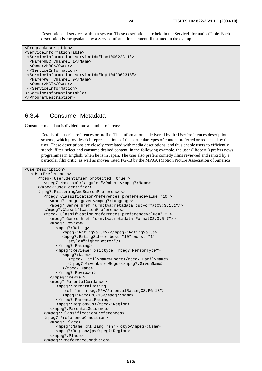Descriptions of services within a system. These descriptions are held in the ServiceInformationTable. Each description is encapsulated by a ServiceInformation element, illustrated in the example:

```
<ProgramDescription> 
<ServiceInformationTable> 
  <ServiceInformation serviceId="hbc100022311"> 
   <Name>HBC Channel 1</Name> 
  <Owner>HBC</Owner> 
  </ServiceInformation> 
  <ServiceInformation serviceId="kgt1042062318"> 
   <Name>KGT Channel 9</Name> 
   <Owner>KGT</Owner> 
  </ServiceInformation> 
</ServiceInformationTable> 
</ProgramDescription>
```
### 6.3.4 Consumer Metadata

Consumer metadata is divided into a number of areas:

- Details of a user's preferences or profile. This information is delivered by the UserPreferences description scheme, which provides rich representations of the particular types of content preferred or requested by the user. These descriptions are closely correlated with media descriptions, and thus enable users to efficiently search, filter, select and consume desired content. In the following example, the user ("Robert") prefers news programmes in English, when he is in Japan. The user also prefers comedy films reviewed and ranked by a particular film critic, as well as movies rated PG-13 by the MPAA (Motion Picture Association of America).

```
<UserDescription> 
   <UserPreferences> 
      <mpeg7:UserIdentifier protected="true"> 
         <mpeg7:Name xml:lang="en">Robert</mpeg7:Name> 
      </mpeg7:UserIdentifier> 
      <mpeg7:FilteringAndSearchPreferences> 
         <mpeg7:ClassificationPreferences preferenceValue="10"> 
            <mpeg7:Language>en</mpeg7:Language> 
            <mpeg7:Genre href="urn:tva:metadata:cs:FormatCS:3.1.1"/> 
         </mpeg7:ClassificationPreferences> 
         <mpeg7:ClassificationPreferences preferenceValue="12"> 
            <mpeg7:Genre href="urn:tva:metadata:FormatCS:3.5.7"/> 
            <mpeg7:Review> 
               <mpeg7:Rating> 
                 <mpeg7:RatingValue>7</mpeg7:RatingValue> 
                 <mpeg7:RatingScheme best="10" worst="1" 
                    style="higherBetter"/> 
               </mpeg7:Rating> 
               <mpeg7:Reviewer xsi:type="mpeg7:PersonType"> 
                 <mpeg7:Name> 
                     <mpeg7:FamilyName>Ebert</mpeg7:FamilyName> 
                     <mpeg7:GivenName>Roger</mpeg7:GivenName> 
                 </mpeg7:Name> 
               </mpeg7:Reviewer> 
            </mpeg7:Review> 
            <mpeg7:ParentalGuidance> 
               <mpeg7:ParentalRating 
                 href="urn:mpeg:MPAAParentalRatingCS:PG-13"> 
                 <mpeg7:Name>PG-13</mpeg7:Name> 
               </mpeg7:ParentalRating> 
               <mpeg7:Region>us</mpeg7:Region> 
            </mpeg7:ParentalGuidance> 
         </mpeg7:ClassificationPreferences> 
         <mpeg7:PreferenceCondition> 
            <mpeg7:Place> 
               <mpeg7:Name xml:lang="en">Tokyo</mpeg7:Name> 
               <mpeg7:Region>jp</mpeg7:Region> 
            </mpeg7:Place> 
         </mpeg7:PreferenceCondition>
```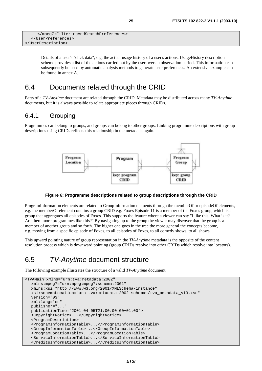```
 </mpeg7:FilteringAndSearchPreferences> 
   </UserPreferences> 
</UserDescription>
```
- Details of a user's "click data", e.g. the actual usage history of a user's actions. UsageHistory description scheme provides a list of the actions carried out by the user over an observation period. This information can subsequently be used by automatic analysis methods to generate user preferences. An extensive example can be found in annex A.

### 6.4 Documents related through the CRID

Parts of a *TV-Anytime* document are related through the CRID. Metadata may be distributed across many *TV-Anytime* documents, but it is always possible to relate appropriate pieces through CRIDs.

### 6.4.1 Grouping

Programmes can belong to groups, and groups can belong to other groups. Linking programme descriptions with group descriptions using CRIDs reflects this relationship in the metadata, again.



#### **Figure 6: Programme descriptions related to group descriptions through the CRID**

ProgramInformation elements are related to GroupInformation elements through the memberOf or episodeOf elements, e.g. the memberOf element contains a group CRID e.g. Foxes Episode 11 is a member of the Foxes group, which is a group that aggregates all episodes of Foxes. This supports the feature where a viewer can say "I like this. What is it? Are there more programmes like this?" By navigating up to the group the viewer may discover that the group is a member of another group and so forth. The higher one goes in the tree the more general the concepts become, e.g. moving from a specific episode of Foxes, to all episodes of Foxes, to all comedy shows, to all shows.

This upward pointing nature of group representation in the *TV-Anytime* metadata is the opposite of the content resolution process which is downward pointing (group CRIDs resolve into other CRIDs which resolve into locators).

# 6.5 TV-Anytime document structure

The following example illustrates the structure of a valid *TV-Anytime* document:

```
<TVAMain xmlns="urn:tva:metadata:2002" 
   xmlns:mpeg7="urn:mpeg:mpeg7:schema:2001" 
   xmlns:xsi="http://www.w3.org/2001/XMLSchema-instance" 
   xsi:schemaLocation="urn:tva:metadata:2002 schemas/tva_metadata_v13.xsd" 
   version="03" 
   xml:lang="en" 
   publisher="..." 
   publicationTime="2001-04-05T21:00:00.00+01:00"> 
   <CopyrightNotice>...</CopyrightNotice> 
   <ProgramDescription> 
   <ProgramInformationTable>...</ProgramInformationTable> 
   <GroupInformationTable>...</GroupInformationTable> 
   <ProgramLocationTable>...</ProgramLocationTable> 
   <ServiceInformationTable>...</ServiceInformationTable> 
   <CreditsInformationTable>...</CreditsInformationTable>
```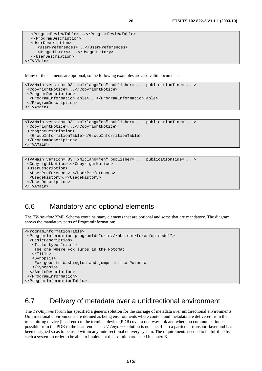```
 <ProgramReviewTable>...</ProgramReviewTable> 
   </ProgramDescription> 
   <UserDescription> 
      <UserPreferences>...</UserPreferences> 
      <UsageHistory>...</UsageHistory> 
    </UserDescription> 
</TVAMain>
```
Many of the elements are optional, so the following examples are also valid documents:

```
<TVAMain version="03" xml:lang="en" publisher=".." publicationTime=".."> 
  <CopyrightNotice>...</CopyrightNotice> 
  <ProgramDescription> 
  <ProgramInformationTable>...</ProgramInformationTable> 
  </ProgramDescription> 
</TVAMain>
```

```
<TVAMain version="03" xml:lang="en" publisher=".." publicationTime=".."> 
 <CopyrightNotice>...</CopyrightNotice> 
  <ProgramDescription> 
   <GroupInformationTable></GroupInformationTable> 
  </ProgramDescription> 
</TVAMain>
```

```
<TVAMain version="03" xml:lang="en" publisher=".." publicationTime=".."> 
  <CopyrightNotice>…</CopyrightNotice> 
  <UserDescription> 
   <UserPreferences>…</UserPreferences> 
   <UsageHistory>…</UsageHistory> 
  </UserDescription> 
</TVAMain>
```
# 6.6 Mandatory and optional elements

The *TV-Anytime* XML Schema contains many elements that are optional and some that are mandatory. The diagram shows the mandatory parts of ProgramInformation:

```
<ProgramInformationTable> 
  <ProgramInformation programId="crid://hbc.com/foxes/episode1"> 
  <BasicDescription> 
    <Title type="main"> 
    The one where Fox jumps in the Potomac 
    </Title> 
    <Synopsis> 
    Fox goes to Washington and jumps in the Potomac 
   </Synopsis> 
   </BasicDescription> 
  </ProgramInformation> 
</ProgramInformationTable>
```
# 6.7 Delivery of metadata over a unidirectional environment

The *TV-Anytime* forum has specified a generic solution for the carriage of metadata over unidirectional environments. Unidirectional environments are defined as being environments where content and metadata are delivered from the transmitting device (head-end) to the terminal device (PDR) over a one-way link and where no communication is possible from the PDR to the head-end. The *TV-Anytime* solution is not specific to a particular transport layer and has been designed so as to be used within any unidirectional delivery system. The requirements needed to be fulfilled by such a system in order to be able to implement this solution are listed in annex B.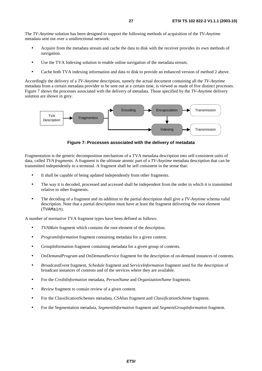The *TV-Anytime* solution has been designed to support the following methods of acquisition of the *TV-Anytime* metadata sent out over a unidirectional network:

- Acquire from the metadata stream and cache the data to disk with the receiver provides its own methods of navigation.
- Use the TVA Indexing solution to enable online navigation of the metadata stream.
- Cache both TVA indexing information and data to disk to provide an enhanced version of method 2 above.

Accordingly the delivery of a *TV-Anytime* description, namely the actual document containing all the *TV-Anytime* metadata from a certain metadata provider to be sent out at a certain time, is viewed as made of five distinct processes. Figure 7 shows the processes associated with the delivery of metadata. Those specified by the *TV-Anytime* delivery solution are shown in grey.



**Figure 7: Processes associated with the delivery of metadata** 

Fragmentation is the generic decomposition mechanism of a TVA metadata description into self-consistent units of data, called *TVA fragments.* A fragment is the ultimate atomic part of a *TV-Anytime* metadata description that can be transmitted independently to a terminal. A fragment shall be self consistent in the sense that:

- It shall be capable of being updated independently from other fragments.
- The way it is decoded, processed and accessed shall be independent from the order in which it is transmitted relative to other fragments.
- The decoding of a fragment and its addition to the partial description shall give a *TV-Anytime* schema valid description. Note that a partial description must have at least the fragment delivering the root element (TVAMain).

A number of normative TVA fragment types have been defined as follows:

- *TVAMain* fragment which contains the root element of the description.
- *ProgramInformation* fragment containing metadata for a given content.
- GroupInformation fragment containing metadata for a given group of contents.
- *OnDemandProgram* and *OnDemandService* fragment for the description of on-demand instances of contents.
- *BroadcastEvent* fragment, *Schedule* fragment and *ServiceInformation* fragment used for the description of broadcast instances of contents and of the services where they are available.
- For the *CreditInformation* metadata, *PersonName* and *OrganizationName* fragments.
- *Review* fragment to contain review of a given content.
- For the ClassificationSchemes metadata, *CSAlias* fragment and *ClassificationScheme* fragment.
- For the Segmentation metadata, *SegmentInformation* fragment and *SegmentGroupInformation* fragment.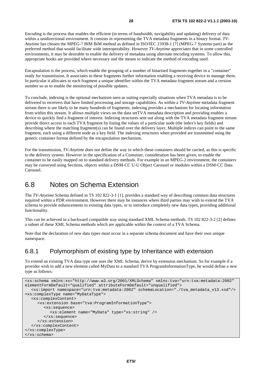Encoding is the process that enables the efficient (in terms of bandwidth, navigability and updating) delivery of data within a unidirectional environment. It consists in representing the TVA metadata fragments in a binary format. *TV-Anytime* has chosen the MPEG-7 BIM BiM method as defined in ISO/IEC 15938-1 [7] (MPEG-7 Systems part) as the preferred method that would facilitate wide interoperability. However *TV-Anytime* appreciates that in some controlled environments, it may be desirable to enable the delivery of metadata using alternate encoding systems. To allow this, appropriate hooks are provided where necessary and the means to indicate the method of encoding used.

Encapsulation is the process, which enable the grouping of a number of binarised fragments together in a "container" ready for transmission. It associates to these fragments further information enabling a receiving device to manage them. In particular it allocates to each fragment a unique identifier within the TVA metadata fragment stream and a version number so as to enable the monitoring of possible updates.

To conclude, indexing is the optional mechanism seen as suiting especially situations when TVA metadata is to be delivered to receivers that have limited processing and storage capabilities. As within a *TV-Anytime* metadata fragment stream there is are likely to be many hundreds of fragments, indexing provides a mechanism for locating information from within this stream. It allows multiple views on the data setTVA metadata description and providing enables a device to quickly find a fragment of interest. Indexing structures sent out along with the TVA metadata fragment stream provide direct access to each TVA fragment by listing the values of a particular node (the index's key fields) and describing where the matching fragment(s) can be found over the delivery layer. Multiple indices can point to the same fragment, each using a different node as a key field. The indexing structures when provided are transmitted using the generic container format defined by the encapsulation mechanism.

For the transmission, *TV-Anytime* does not define the way in which these containers should be carried, as this is specific to the delivery system. However in the specification of a Container, consideration has been given, to enable the container to be easily mapped on to standard delivery methods. For example in an MPEG-2 environment, the containers may be conveyed using Sections, objects within a DSM-CC U-U Object Carousel or modules within a DSM-CC Data Carousel.

### 6.8 Notes on Schema Extension

The *TV-Anytime* Schema defined in TS 102 822-3-1 [1], provides a standard way of describing common data structures required within a PDR environment. However there may be instances where third parties may wish to extend the TVA schema to provide enhancements to existing data types, or to introduce completely new data types, providing additional functionality.

This can be achieved in a backward compatible way using standard XML Schema methods. TS 102 822-3-2 [2] defines a subset of these XML Schema methods which are applicable within the context of a TVA Schema.

Note that the declaration of new data types must occur in a separate schema document and have their own unique namespace.

### 6.8.1 Polymorphism of existing type by Inheritance with extension

To extend an existing TVA data type one uses the XML Schema, derive by extension mechanism. So for example if a provider wish to add a new element called MyData to a standard TVA ProgramInformationType, he would define a new type as follows:

```
<xs:schema xmlns:xs="http://www.w3.org/2001/XMLSchema" xmlns:tva="urn:tva:metadata:2002" 
elementFormDefault="qualified" attributeFormDefault="unqualified"> 
   <xs:import namespace="urn:tva:metadata:2002" schemaLocation="./tva_metadata_v13.xsd"/> 
<xs:complexType name="MyDataType"> 
   <xs:complexContent> 
      <xs:extension base="tva:ProgramInformationType"> 
         <xs:sequence> 
           <xs:element name="MyData" type="xs:string" /> 
         </xs:sequence> 
      </xs:extension> 
   </xs:complexContent> 
</xs:complexType> 
</xs:schema>
```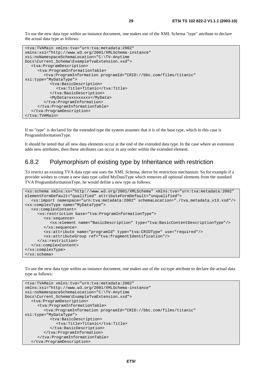To use the new data type within an instance document, one makes use of the XML Schema "type" attribute to declare the actual data type as follows:

```
<tva:TVAMain xmlns:tva="urn:tva:metadata:2002" 
xmlns:xsi="http://www.w3.org/2001/XMLSchema-instance" 
xsi:noNamespaceSchemaLocation="C:\TV-Anytime 
Docs\Current_Schema\ExampleTvaExtension.xsd"> 
    <tva:ProgramDescription> 
      <tva:ProgramInformationTable> 
         <tva:ProgramInformation programId="CRID://bbc.com/films/titanic" 
xsi:type="MyDataType"> 
            <tva:BasicDescription> 
               <tva:Title>Titanic</tva:Title> 
            </tva:BasicDescription> 
            <MyData>xxxxxxxxx</MyData> 
         </tva:ProgramInformation> 
      </tva:ProgramInformationTable> 
    </tva:ProgramDescription> 
</tva:TVAMain>
```
If no "type" is declared for the extended type the system assumes that it is of the base type, which in this case is ProgramInformationType.

It should be noted that all new data elements occur at the end of the extended data type. In the case where an extension adds new attributes, then these attributes can occur in any order within the extended element.

### 6.8.2 Polymorphism of existing type by Inheritance with restriction

To restrict an existing TVA data type one uses the XML Schema, derive by restriction mechanism. So for example if a provider wishes to create a new data type called MyDataType which removes all optional elements from the standard TVA ProgramInformationType, he would define a new type as follows:

```
<xs:schema xmlns:xs="http://www.w3.org/2001/XMLSchema" xmlns:tva="urn:tva:metadata:2002" 
elementFormDefault="qualified" attributeFormDefault="unqualified"> 
   <xs:import namespace="urn:tva:metadata:2002" schemaLocation="./tva_metadata_v13.xsd"/> 
<xs:complexType name="MyDataType"> 
   <xs:complexContent> 
      <xs:restriction base="tva:ProgramInformationType"> 
         <xs:sequence> 
           <xs:element name="BasicDescription" type="tva:BasicContentDescriptionType"/> 
         </xs:sequence> 
         <xs:attribute name="programId" type="tva:CRIDType" use="required"/> 
         <xs:attributeGroup ref="tva:fragmentIdentification"/> 
      </xs:restriction> 
   </xs:complexContent> 
</xs:complexType> 
</xs:schema>
```
To use the new data type within an instance document, one makes use of the xsi:type attribute to declare the actual data type as follows:

```
<tva:TVAMain xmlns:tva="urn:tva:metadata:2002" 
xmlns:xsi="http://www.w3.org/2001/XMLSchema-instance" 
xsi:noNamespaceSchemaLocation="C:\TV-Anytime 
Docs\Current_Schema\ExampleTvaExtension.xsd"> 
   <tva:ProgramDescription> 
      <tva:ProgramInformationTable> 
         <tva:ProgramInformation programId="CRID://bbc.com/films/titanic" 
xsi:type="MyDataType"> 
            <tva:BasicDescription> 
               <tva:Title>Titanic</tva:Title> 
            </tva:BasicDescription> 
         </tva:ProgramInformation> 
      </tva:ProgramInformationTable> 
   </tva:ProgramDescription>
```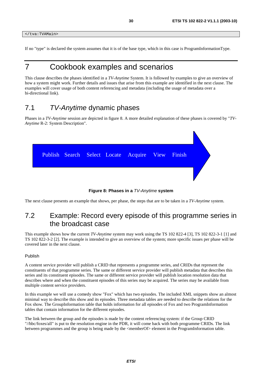</tva:TVAMain>

If no "type" is declared the system assumes that it is of the base type, which in this case is ProgramInformationType.

# 7 Cookbook examples and scenarios

This clause describes the phases identified in a *TV-Anytime* System. It is followed by examples to give an overview of how a system might work. Further details and issues that arise from this example are identified in the next clause. The examples will cover usage of both content referencing and metadata (including the usage of metadata over a bi-directional link).

# 7.1 TV-Anytime dynamic phases

Phases in a *TV-Anytime* session are depicted in figure 8. A more detailed explanation of these phases is covered by "*TV-Anytime* R-2: System Description".

|  |  | Publish Search Select Locate Acquire View Finish |  |  |
|--|--|--------------------------------------------------|--|--|
|  |  |                                                  |  |  |
|  |  |                                                  |  |  |

**Figure 8: Phases in a** TV-Anytime **system** 

The next clause presents an example that shows, per phase, the steps that are to be taken in a *TV-Anytime* system.

# 7.2 Example: Record every episode of this programme series in the broadcast case

This example shows how the current *TV-Anytime* system may work using the TS 102 822-4 [3], TS 102 822-3-1 [1] and TS 102 822-3-2 [2]. The example is intended to give an overview of the system; more specific issues per phase will be covered later in the next clause.

#### Publish

A content service provider will publish a CRID that represents a programme series, and CRIDs that represent the constituents of that programme series. The same or different service provider will publish metadata that describes this series and its constituent episodes. The same or different service provider will publish location resolution data that describes where and when the constituent episodes of this series may be acquired. The series may be available from multiple content service providers.

In this example we will use a comedy show "Fox" which has two episodes. The included XML snippets show an almost minimal way to describe this show and its episodes. Three metadata tables are needed to describe the relations for the Fox show. The GroupInformation table that holds information for all episodes of Fox and two ProgramInformation tables that contain information for the different episodes.

The link between the group and the episodes is made by the content referencing system: if the Group CRID "//hbc/foxes/all" is put to the resolution engine in the PDR, it will come back with both programme CRIDs. The link between programmes and the group is being made by the <memberOf> element in the ProgramInformation table.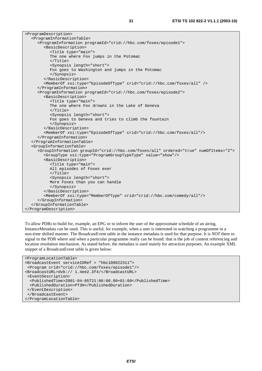| <programdescription></programdescription>                                                              |  |  |  |
|--------------------------------------------------------------------------------------------------------|--|--|--|
| <programinformationtable></programinformationtable>                                                    |  |  |  |
| <programinformation programid="crid://hbc.com/foxes/episode1"></programinformation>                    |  |  |  |
| <basicdescription></basicdescription>                                                                  |  |  |  |
| <title type="main"></title>                                                                            |  |  |  |
| The one where Fox jumps in the Potomac                                                                 |  |  |  |
| $\langle$ Title>                                                                                       |  |  |  |
| <synopsis length="short"></synopsis>                                                                   |  |  |  |
| Fox goes to Washington and jumps in the Potomac                                                        |  |  |  |
|                                                                                                        |  |  |  |
|                                                                                                        |  |  |  |
| <memberof crid="crid://hbc.com/foxes/all" xsi:type="EpisodeOfType"></memberof>                         |  |  |  |
|                                                                                                        |  |  |  |
| <programinformation programid="crid://hbc.com/foxes/episode2"></programinformation>                    |  |  |  |
| <basicdescription></basicdescription>                                                                  |  |  |  |
| <title type="main"></title>                                                                            |  |  |  |
| The one where Fox drowns in the Lake of Geneva                                                         |  |  |  |
| $\langle$ Title>                                                                                       |  |  |  |
| <synopsis length="short"></synopsis>                                                                   |  |  |  |
| Fox goes to Geneva and tries to climb the fountain                                                     |  |  |  |
|                                                                                                        |  |  |  |
|                                                                                                        |  |  |  |
| <memberof crid="crid://hbc.com/foxes/all" xsi:type="EpisodeOfType"></memberof>                         |  |  |  |
|                                                                                                        |  |  |  |
|                                                                                                        |  |  |  |
| <groupinformationtable></groupinformationtable>                                                        |  |  |  |
| <groupinformation groupid="crid://hbc.com/foxes/all" numofitems="2" ordered="true"></groupinformation> |  |  |  |
| <grouptype value="show" xsi:type="ProgramGroupTypeType"></grouptype>                                   |  |  |  |
| <basicdescription></basicdescription>                                                                  |  |  |  |
| <title type="main"></title>                                                                            |  |  |  |
| All episodes of Foxes ever                                                                             |  |  |  |
| $\langle$ Title>                                                                                       |  |  |  |
| <synopsis length="short"></synopsis>                                                                   |  |  |  |
| More Foxes than you can handle                                                                         |  |  |  |
|                                                                                                        |  |  |  |
|                                                                                                        |  |  |  |
| <memberof crid="crid://hbc.com/comedy/all" xsi:type="MemberOfType"></memberof>                         |  |  |  |
|                                                                                                        |  |  |  |
|                                                                                                        |  |  |  |
|                                                                                                        |  |  |  |

To allow PDRs to build for, example, an EPG or to inform the user of the approximate schedule of an airing, InstanceMetadata can be used. This is useful, for example, when a user is interested in watching a programme in a non-time shifted manner. The BroadcastEvent table in the instance metadata is used for that purpose. It is *NOT* there to signal to the PDR where and when a particular programme really can be found: that is the job of content referencing and location resolution mechanism. As stated before, the metadata is used mainly for attraction purposes. An example XML snippet of a BroadcastEvent table is given below:

```
<ProgramLocationTable> 
<BroadcastEvent serviceIDRef = "hbc100022311"> 
 <Program crid="crid://hbc.com/foxes/episode1"/> 
<BroadcastURL>dvb:// 1.4ee2.3f4/</BroadcastURL> 
  <EventDescription> 
   <PublishedTime>2001-04-05T21:00:00.00+01:00</PublishedTime> 
   <PublishedDuration>PT3H</PublishedDuration> 
  </EventDescription> 
  </BroadcastEvent> 
</ProgramLocationTable>
```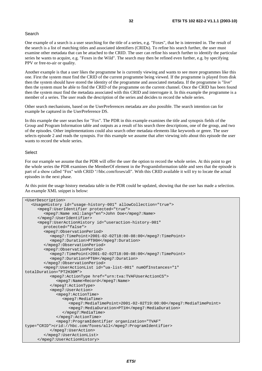#### Search

One example of a search is a user searching for the title of a series, e.g. "Foxes", that he is interested in. The result of the search is a list of matching titles and associated identifiers (CRIDs). To refine his search further, the user must examine other metadata that can be attached to the CRID. The user can refine his search further to identify the particular series he wants to acquire, e.g. "Foxes in the Wild". The search may then be refined even further, e.g. by specifying PPV or free-to-air or quality.

Another example is that a user likes the programme he is currently viewing and wants to see more programmes like this one. First the system must find the CRID of the current programme being viewed. If the programme is played from disk then the system should have stored the identity of the programme and associated metadata. If the programme is "live" then the system must be able to find the CRID of the programme on the current channel. Once the CRID has been found then the system must find the metadata associated with this CRID and interrogate it. In this example the programme is a member of a series. The user reads the description of the series and decides to record the whole series.

Other search mechanisms, based on the UserPreferences metadata are also possible. The search intention can for example be captured in the UserPreference DS.

In this example the user searches for "Fox". The PDR in this example examines the title and synopsis fields of the Group and Program Information table and outputs as a result of his search three descriptions, one of the group, and two of the episodes. Other implementations could also search other metadata elements like keywords or genre. The user selects episode 2 and reads the synopsis. For this example we assume that after viewing info about this episode the user wants to record the whole series.

#### Select

For our example we assume that the PDR will offer the user the option to record the whole series. At this point to get the whole series the PDR examines the MemberOf element in the ProgramInformation table and sees that the episode is part of a show called "Fox" with CRID "//hbc.com/foxes/all". With this CRID available it will try to locate the actual episodes in the next phase.

At this point the usage history metadata table in the PDR could be updated, showing that the user has made a selection. An example XML snippet is below:

```
<UserDescription> 
   <UsageHistory id="usage-history-001" allowCollection="true"> 
      <mpeg7:UserIdentifier protected="true"> 
         <mpeg7:Name xml:lang="en">John Doe</mpeg7:Name> 
      </mpeg7:UserIdentifier> 
      <mpeg7:UserActionHistory id="useraction-history-001" 
         protected="false"> 
         <mpeg7:ObservationPeriod> 
            <mpeg7:TimePoint>2001-02-02T18:00-08:00</mpeg7:TimePoint> 
            <mpeg7:Duration>PT96H</mpeg7:Duration> 
         </mpeg7:ObservationPeriod> 
         <mpeg7:ObservationPeriod> 
            <mpeg7:TimePoint>2001-02-02T18:00-08:00</mpeg7:TimePoint> 
            <mpeg7:Duration>PT6H</mpeg7:Duration> 
         </mpeg7:ObservationPeriod> 
         <mpeg7:UserActionList id="ua-list-001" numOfInstances="1" 
totalDuration="PT2H30M"> 
            <mpeg7:ActionType href="urn:tva:TVAFUserActionCS"> 
              <mpeg7:Name>Record</mpeg7:Name> 
            </mpeg7:ActionType> 
            <mpeg7:UserAction> 
               <mpeg7:ActionTime> 
                 <mpeg7:MediaTime> 
                    <mpeg7:MediaTimePoint>2001-02-02T19:00:00</mpeg7:MediaTimePoint> 
                    <mpeg7:MediaDuration>PT1H</mpeg7:MediaDuration> 
                 </mpeg7:MediaTime> 
              </mpeg7:ActionTime> 
               <mpeg7:ProgramIdentifier organization="TVAF" 
type="CRID">crid://hbc.com/foxes/all</mpeg7:ProgramIdentifier> 
            </mpeg7:UserAction> 
         </mpeg7:UserActionList> 
      </mpeg7:UserActionHistory>
```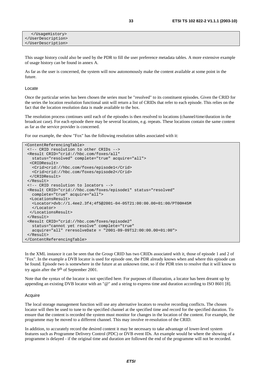This usage history could also be used by the PDR to fill the user preference metadata tables. A more extensive example of usage history can be found in annex A.

As far as the user is concerned, the system will now autonomously make the content available at some point in the future.

#### Locate

Once the particular series has been chosen the series must be "resolved" to its constituent episodes. Given the CRID for the series the location resolution functional unit will return a list of CRIDs that refer to each episode. This relies on the fact that the location resolution data is made available to the box.

The resolution process continues until each of the episodes is then resolved to locations (channel/time/duration in the broadcast case). For each episode there may be several locations, e.g. repeats. These locations contain the same content as far as the service provider is concerned.

For our example, the show "Fox" has the following resolution tables associated with it:

```
<ContentReferencingTable> 
 <!-- CRID resolution to other CRIDs --> 
 <Result CRID="crid://hbc.com/foxes/all" 
   status="resolved" complete="true" acquire="all"> 
  <CRIDResult> 
   <Crid>crid://hbc.com/foxes/episode1</Crid> 
   <Crid>crid://hbc.com/foxes/episode2</Crid> 
  </CRIDResult> 
 </Result> 
 <!-- CRID resolution to locators --> 
 <Result CRID="crid://hbc.com/foxes/episode1" status="resolved" 
   complete="true" acquire="all"> 
  <LocationsResult> 
   <Locator>dvb://1.4ee2.3f4;4f5@2001-04-05T21:00:00.00+01:00/PT00H45M 
   </Locator> 
  </LocationsResult> 
 </Result> 
 <Result CRID="crid://hbc.com/foxes/episode2" 
   status="cannot yet resolve" complete="true" 
   acquire="all" reresolveDate = "2001-09-09T12:00:00.00+01:00"> 
\langleResult>
</ContentReferencingTable>
```
In the XML instance it can be seen that the Group CRID has two CRIDs associated with it, those of episode 1 and 2 of "Fox". In the example a DVB locator is used for episode one, the PDR already knows when and where this episode can be found. Episode two is somewhere in the future at an unknown time, so if the PDR tries to resolve that it will know to try again after the 9th of September 2001.

Note that the syntax of the locator is not specified here. For purposes of illustration, a locator has been dreamt up by appending an existing DVB locator with an "@" and a string to express time and duration according to ISO 8601 [8].

#### Acquire

The local storage management function will use any alternative locators to resolve recording conflicts. The chosen locator will then be used to tune to the specified channel at the specified time and record for the specified duration. To ensure that the content is recorded the system must monitor for changes in the location of the content. For example, the programme may be moved to a different channel. This may involve re-resolution of the CRID.

In addition, to accurately record the desired content it may be necessary to take advantage of lower-level system features such as Programme Delivery Control (PDC) or DVB event IDs. An example would be where the showing of a programme is delayed - if the original time and duration are followed the end of the programme will not be recorded.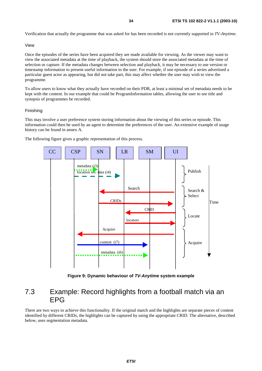Verification that actually the programme that was asked for has been recorded is not currently supported in *TV-Anytime*.

#### View

Once the episodes of the series have been acquired they are made available for viewing. As the viewer may want to view the associated metadata at the time of playback, the system should store the associated metadata at the time of selection or capture. If the metadata changes between selection and playback, it may be necessary to use version or timestamp information to present useful information to the user. For example, if one episode of a series advertised a particular guest actor as appearing, but did not take part, this may affect whether the user may wish to view the programme.

To allow users to know what they actually have recorded on their PDR, at least a minimal set of metadata needs to be kept with the content. In our example that could be ProgramInformation tables, allowing the user to see title and synopsis of programmes he recorded.

#### Finishing

This may involve a user preference system storing information about the viewing of this series or episode. This information could then be used by an agent to determine the preferences of the user. An extensive example of usage history can be found in annex A.

The following figure gives a graphic representation of this process.



**Figure 9: Dynamic behaviour of TV-Anytime system example** 

### 7.3 Example: Record highlights from a football match via an EPG

There are two ways to achieve this functionality. If the original match and the highlights are separate pieces of content identified by different CRIDs, the highlights can be captured by using the appropriate CRID. The alternative, described below, uses segmentation metadata.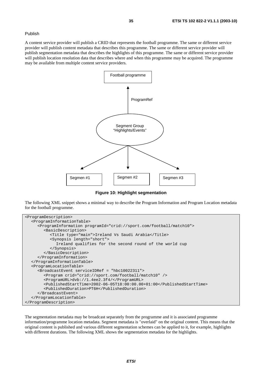#### Publish

A content service provider will publish a CRID that represents the football programme. The same or different service provider will publish content metadata that describes this programme. The same or different service provider will publish segmentation metadata that describes the highlights of this programme. The same or different service provider will publish location resolution data that describes where and when this programme may be acquired. The programme may be available from multiple content service providers.



**Figure 10: Highlight segmentation** 

The following XML snippet shows a minimal way to describe the Program Information and Program Location metadata for the football programme.

```
<ProgramDescription> 
   <ProgramInformationTable> 
      <ProgramInformation programId="crid://sport.com/football/match10"> 
         <BasicDescription> 
            <Title type="main">Ireland Vs Saudi Arabia</Title> 
            <Synopsis length="short"> 
              Ireland qualifies for the second round of the world cup 
            </Synopsis> 
         </BasicDescription> 
      </ProgramInformation> 
   </ProgramInformationTable> 
   <ProgramLocationTable> 
      <BroadcastEvent serviceIDRef = "hbc10022311"> 
         <Program crid="crid://sport.com/football/match10" /> 
         <ProgramURL>dvb://1.4ee2.3f4/</ProgramURL> 
         <PublishedStartTime>2002-06-05T18:00:00.00+01:00</PublishedStartTime> 
         <PublishedDuration>PT6H</PublishedDuration> 
      </BroadcastEvent> 
   </ProgramLocationTable> 
</ProgramDescription>
```
The segmentation metadata may be broadcast separately from the programme and it is associated programme information/programme location metadata. Segment metadata is "overlaid" on the original content. This means that the original content is published and various different segmentation schemes can be applied to it, for example, highlights with different durations. The following XML shows the segmentation metadata for the highlights.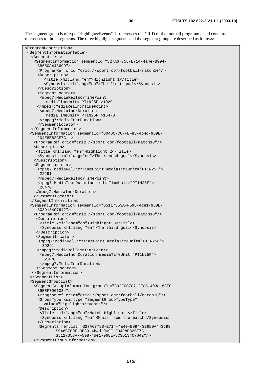The segment group is of type "Highlights/Events". It references the CRID of the football programme and contains references to three segments. The three highlight segments and the segment group are described as follows:

```
<ProgramDescription> 
  <SegmentInformationTable> 
   <SegmentList> 
    <SegmentInformation segmentId="S27A67758-E714-4a4e-B994- 
      3B650A443699"> 
      <ProgramRef crid="crid://sport.com/football/match10"/> 
      <Description> 
         <Title xml:lang="en">Highlight 1</Title> 
         <Synopsis xml:lang="en">The first goal</Synopsis> 
      </Description> 
      <SegmentLocator> 
       <mpeg7:MediaRelIncrTimePoint 
          mediaTimeUnit="PT1N25F">10291 
      </mpeg7:MediaRelIncrTimePoint> 
       <mpeg7:MediaIncrDuration 
          mediaTimeUnit="PT1N25F">15470 
       </mpeg7:MediaIncrDuration> 
      </SegmentLocator> 
   </SegmentInformation> 
   <SegmentInformation segmentId="S046C7C0F-BF83-4b4d-969E- 
      204E8E82CF7C "> 
    <ProgramRef crid="crid://sport.com/football/match10"/> 
    <Description> 
     <Title xml:lang="en">Highlight 2</Title> 
      <Synopsis xml:lang="en">The second goal</Synopsis> 
    </Description> 
    <SegmentLocator> 
      <mpeg7:MediaRelIncrTimePoint mediaTimeUnit="PT1N25F"> 
       22291 
      </mpeg7:MediaRelIncrTimePoint> 
      <mpeg7:MediaIncrDuration mediaTimeUnit="PT1N25F"> 
       26470 
     </mpeg7:MediaIncrDuration> 
    </SegmentLocator> 
   </SegmentInformation> 
   <SegmentInformation segmentId="S5117353A-F598-4de1-968E- 
      8C3D134C7642"> 
    <ProgramRef crid="crid://sport.com/football/match10"/> 
     <Description> 
       <Title xml:lang="en">Highlight 3</Title> 
       <Synopsis xml:lang="en">The third goal</Synopsis> 
      </Description> 
      <SegmentLocator> 
       <mpeg7:MediaRelIncrTimePoint mediaTimeUnit="PT1N25F"> 
        39291 
      </mpeg7:MediaRelIncrTimePoint> 
       <mpeg7:MediaIncrDuration mediaTimeUnit="PT1N25F"> 
         55470 
       </mpeg7:MediaIncrDuration> 
     </SegmentLocator> 
    </SegmentInformation> 
   </SegmentList> 
   <SegmentGroupList> 
    <SegmentGroupInformation groupId="G92F0C707-2ECB-403a-88FC- 
      89EEF7961034"> 
      <ProgramRef crid="crid://sport.com/football/match10"/> 
      <GroupType xsi:type="SegmentGroupTypeType" 
         value="highlights/events"/> 
      <Description> 
       <Title xml:lang="en">Match Highlights</Title> 
       <Synopsis xml:lang="en">Goals from the match</Synopsis> 
      </Description> 
      <Segments refList="S27A67758-E714-4a4e-B994-3B650A443699 
              S046C7C0F-BF83-4b4d-969E-204E8E82CF7C 
              S5117353A-F598-4de1-968E-8C3D134C7642"/> 
    </SegmentGroupInformation>
```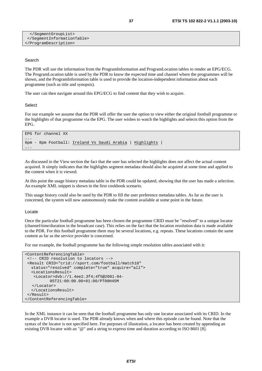```
 </SegmentGroupList> 
  </SegmentInformationTable> 
</ProgramDescription>
```
### Search

The PDR will use the information from the ProgramInformation and ProgramLocation tables to render an EPG/ECG. The ProgramLocation table is used by the PDR to know the expected time and channel where the programmes will be shown, and the ProgramInformation table is used to provide the location-independent information about each programme (such as title and synopsis).

The user can then navigate around this EPG/ECG to find content that they wish to acquire.

### **Select**

For our example we assume that the PDR will offer the user the option to view either the original football programme or the highlights of that programme via the EPG. The user wishes to watch the highlights and selects this option from the EPG.

```
EPG for channel XX 
….
6pm - 8pm Football: Ireland Vs Saudi Arabia | Highlights | 
….
```
As discussed in the View section the fact that the user has selected the highlights does not affect the actual content acquired. It simply indicates that the highlights segment metadata should also be acquired at some time and applied to the content when it is viewed.

At this point the usage history metadata table in the PDR could be updated, showing that the user has made a selection. An example XML snippet is shown in the first cookbook scenario.

This usage history could also be used by the PDR to fill the user preference metadata tables. As far as the user is concerned, the system will now autonomously make the content available at some point in the future.

### Locate

Once the particular football programme has been chosen the programme CRID must be "resolved" to a unique locator (channel/time/duration in the broadcast case). This relies on the fact that the location resolution data is made available to the PDR. For this football programme there may be several locations, e.g. repeats. These locations contain the same content as far as the service provider is concerned.

For our example, the football programme has the following simple resolution tables associated with it:

```
<ContentReferencingTable> 
 <!-- CRID resolution to locators --> 
 <Result CRID="crid://sport.com/football/match10" 
   status="resolved" complete="true" acquire="all"> 
   <LocationsResult> 
    <Locator>dvb://1.4ee2.3f4;4f5@2001-04- 
            05T21:00:00.00+01:00/PT00H45M 
   </Locator> 
   </LocationsResult> 
 </Result> 
</ContentReferencingTable>
```
In the XML instance it can be seen that the football programme has only one locator associated with its CRID. In the example a DVB locator is used. The PDR already knows when and where this episode can be found. Note that the syntax of the locator is not specified here. For purposes of illustration, a locator has been created by appending an existing DVB locator with an "@" and a string to express time and duration according to ISO 8601 [8].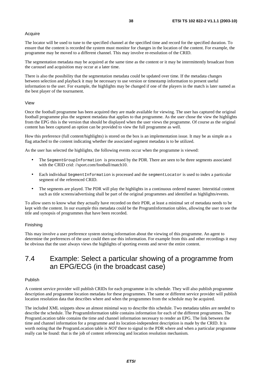### Acquire

The locator will be used to tune to the specified channel at the specified time and record for the specified duration. To ensure that the content is recorded the system must monitor for changes in the location of the content. For example, the programme may be moved to a different channel. This may involve re-resolution of the CRID.

The segmentation metadata may be acquired at the same time as the content or it may be intermittently broadcast from the carousel and acquisition may occur at a later time.

There is also the possibility that the segmentation metadata could be updated over time. If the metadata changes between selection and playback it may be necessary to use version or timestamp information to present useful information to the user. For example, the highlights may be changed if one of the players in the match is later named as the best player of the tournament.

### View

Once the football programme has been acquired they are made available for viewing. The user has captured the original football programme plus the segment metadata that applies to that programme. As the user chose the view the highlights from the EPG this is the version that should be displayed when the user views the programme. Of course as the original content has been captured an option can be provided to view the full programme as well.

How this preference (full content/highlights) is stored on the box is an implementation issue. It may be as simple as a flag attached to the content indicating whether the associated segment metadata is to be utilized.

As the user has selected the highlights, the following events occur when the programme is viewed:

- The SegmentGroupInformation is processed by the PDR. There are seen to be three segments associated with the CRID crid: //sport.com/football/match10.
- Each individual SegmentInformation is processed and the segmentLocator is used to index a particular segment of the referenced CRID.
- The segments are played. The PDR will play the highlights in a continuous ordered manner. Interstitial content such as title screens/advertising shall be part of the original programmes and identified as highlights/events.

To allow users to know what they actually have recorded on their PDR, at least a minimal set of metadata needs to be kept with the content. In our example this metadata could be the ProgramInformation tables, allowing the user to see the title and synopsis of programmes that have been recorded.

### Finishing

This may involve a user preference system storing information about the viewing of this programme. An agent to determine the preferences of the user could then use this information. For example from this and other recordings it may be obvious that the user always views the highlights of sporting events and never the entire content.

### 7.4 Example: Select a particular showing of a programme from an EPG/ECG (in the broadcast case)

### Publish

A content service provider will publish CRIDs for each programme in its schedule. They will also publish programme description and programme location metadata for these programmes. The same or different service provider will publish location resolution data that describes where and when the programmes from the schedule may be acquired.

The included XML snippets show an almost minimal way to describe this schedule. Two metadata tables are needed to describe the schedule. The ProgramInformation table contains information for each of the different programmes. The ProgramLocation table contains the time and channel information necessary to render an EPG. The link between the time and channel information for a programme and its location-independent description is made by the CRID. It is worth noting that the ProgramLocation table is *NOT* there to signal to the PDR where and when a particular programme really can be found: that is the job of content referencing and location resolution mechanism.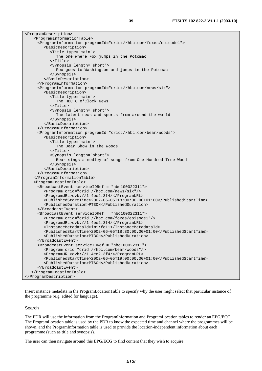| <programdescription></programdescription>                                           |
|-------------------------------------------------------------------------------------|
| <programinformationtable></programinformationtable>                                 |
| <programinformation programid="crid://hbc.com/foxes/episodel"></programinformation> |
| <basicdescription></basicdescription>                                               |
| <title type="main"></title>                                                         |
| The one where Fox jumps in the Potomac                                              |
| $\langle$ Title>                                                                    |
| <synopsis length="short"></synopsis>                                                |
| Fox goes to Washington and jumps in the Potomac                                     |
|                                                                                     |
|                                                                                     |
|                                                                                     |
| <programinformation programid="crid://hbc.com/news/six"></programinformation>       |
| <basicdescription></basicdescription>                                               |
| <title type="main"></title>                                                         |
| The HBC 6 o'Clock News                                                              |
| $\langle$ Title>                                                                    |
| <synopsis length="short"></synopsis>                                                |
| The latest news and sports from around the world                                    |
|                                                                                     |
|                                                                                     |
|                                                                                     |
| <programinformation programid="crid://hbc.com/bear/woods"></programinformation>     |
| <basicdescription></basicdescription>                                               |
| <title type="main"></title>                                                         |
| The Bear Show in the Woods                                                          |
| $\langle$ Title>                                                                    |
| <synopsis length="short"></synopsis>                                                |
| Bear sings a medley of songs from One Hundred Tree Wood                             |
|                                                                                     |
|                                                                                     |
|                                                                                     |
|                                                                                     |
| <programlocationtable></programlocationtable>                                       |
| <broadcastevent serviceidref="hbc100022311"></broadcastevent>                       |
| <program crid="crid://hbc.com/news/six"></program>                                  |
| <programurl>dvb://1.4ee2.3f4/</programurl>                                          |
| <publishedstarttime>2002-06-05T18:00:00.00+01:00</publishedstarttime>               |
| <publishedduration>PT30H</publishedduration>                                        |
|                                                                                     |
| <broadcastevent serviceidref="hbc100022311"></broadcastevent>                       |
| <program crid="crid://hbc.com/foxes/episode1"></program>                            |
| <programurl>dvb://1.4ee2.3f4/</programurl>                                          |
| <instancemetadataid>imi:fell</instancemetadataid>                                   |
| <publishedstarttime>2002-06-05T18:30:00.00+01:00</publishedstarttime>               |
| <publishedduration>PT30H</publishedduration>                                        |
|                                                                                     |
| <broadcastevent serviceidref="hbc100022311"></broadcastevent>                       |
| <program crid="crid://hbc.com/bear/woods"></program>                                |
| <programurl>dvb://1.4ee2.3f4/</programurl>                                          |
| <publishedstarttime>2002-06-05T19:00:00.00+01:00</publishedstarttime>               |
| <publishedduration>PT60H</publishedduration>                                        |
|                                                                                     |
|                                                                                     |
|                                                                                     |

Insert instance metadata in the ProgramLocationTable to specify why the user might select that particular instance of the programme (e.g. edited for language).

### Search

The PDR will use the information from the ProgramInformation and ProgramLocation tables to render an EPG/ECG. The ProgramLocation table is used by the PDR to know the expected time and channel where the programmes will be shown, and the ProgramInformation table is used to provide the location-independent information about each programme (such as title and synopsis).

The user can then navigate around this EPG/ECG to find content that they wish to acquire.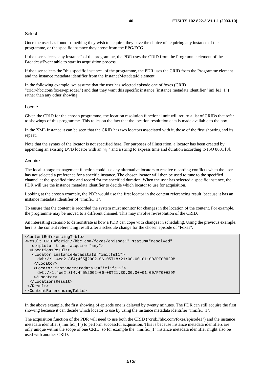### **Select**

Once the user has found something they wish to acquire, they have the choice of acquiring any instance of the programme, or the specific instance they chose from the EPG/ECG.

If the user selects "any instance" of the programme, the PDR uses the CRID from the Programme element of the BroadcastEvent table to start its acquisition process.

If the user selects the "this specific instance" of the programme, the PDR uses the CRID from the Programme element and the instance metadata identifier from the InstanceMetadataId element.

In the following example, we assume that the user has selected episode one of foxes (CRID "crid://hbc.com/foxes/episode1") and that they want this specific instance (instance metadata identifier "imi:fe1\_1") rather than any other showing.

### Locate

Given the CRID for the chosen programme, the location resolution functional unit will return a list of CRIDs that refer to showings of this programme. This relies on the fact that the location resolution data is made available to the box.

In the XML instance it can be seen that the CRID has two locators associated with it, those of the first showing and its repeat.

Note that the syntax of the locator is not specified here. For purposes of illustration, a locator has been created by appending an existing DVB locator with an "@" and a string to express time and duration according to ISO 8601 [8].

### Acquire

The local storage management function could use any alternative locators to resolve recording conflicts when the user has not selected a preference for a specific instance. The chosen locator will then be used to tune to the specified channel at the specified time and record for the specified duration. When the user has selected a specific instance, the PDR will use the instance metadata identifier to decide which locator to use for acquisition.

Looking at the chosen example, the PDR would use the first locator in the content referencing result, because it has an instance metadata identifier of "imi:fe1\_1".

To ensure that the content is recorded the system must monitor for changes in the location of the content. For example, the programme may be moved to a different channel. This may involve re-resolution of the CRID.

An interesting scenario to demonstrate is how a PDR can cope with changes in scheduling. Using the previous example, here is the content referencing result after a schedule change for the chosen episode of "Foxes".

```
<ContentReferencingTable> 
<Result CRID="crid://hbc.com/foxes/episode1" status="resolved" 
    complete="true" acquire="any"> 
   <LocationsResult> 
    <Locator instanceMetadataId="imi:fe11"> 
      dvb://1.4ee2.3f4;4f5@2002-06-05T18:21:00.00+01:00/PT00H29M 
    </Locator> 
    <Locator instanceMetadataId="imi:fe12"> 
      dvb://1.4ee2.3f4;4f5@2002-06-08T21:30:00.00+01:00/PT00H29M 
    </Locator> 
   </LocationsResult> 
 \langleResult>
</ContentReferencingTable>
```
In the above example, the first showing of episode one is delayed by twenty minutes. The PDR can still acquire the first showing because it can decide which locator to use by using the instance metadata identifier "imi:fe1\_1".

The acquisition function of the PDR will need to use both the CRID ("crid://hbc.com/foxes/episode1") and the instance metadata identifier ("imi:fe1\_1") to perform successful acquisition. This is because instance metadata identifiers are only unique within the scope of one CRID, so for example the "imi:fe1\_1" instance metadata identifier might also be used with another CRID.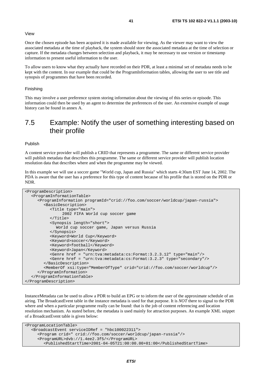### View

Once the chosen episode has been acquired it is made available for viewing. As the viewer may want to view the associated metadata at the time of playback, the system should store the associated metadata at the time of selection or capture. If the metadata changes between selection and playback, it may be necessary to use version or timestamp information to present useful information to the user.

To allow users to know what they actually have recorded on their PDR, at least a minimal set of metadata needs to be kept with the content. In our example that could be the ProgramInformation tables, allowing the user to see title and synopsis of programmes that have been recorded.

#### Finishing

This may involve a user preference system storing information about the viewing of this series or episode. This information could then be used by an agent to determine the preferences of the user. An extensive example of usage history can be found in annex A.

### 7.5 Example: Notify the user of something interesting based on their profile

#### Publish

A content service provider will publish a CRID that represents a programme. The same or different service provider will publish metadata that describes this programme. The same or different service provider will publish location resolution data that describes where and when the programme may be viewed.

In this example we will use a soccer game "World cup, Japan and Russia" which starts 4:30am EST June 14, 2002. The PDA is aware that the user has a preference for this type of content because of his profile that is stored on the PDR or NDR.

```
<ProgramDescription> 
   <ProgramInformationTable> 
      <ProgramInformation programId="crid://foo.com/soccer/worldcup/japan-russia"> 
         <BasicDescription> 
            <Title type="main"> 
                 2002 FIFA World cup soccer game 
           <Title> <Synopsis length="short"> 
              World cup soccer game, Japan versus Russia 
            </Synopsis> 
            <Keyword>World Cup</Keyword> 
            <Keyword>soccer</Keyword> 
            <Keyword>football</Keyword> 
            <Keyword>Japan</Keyword> 
            <Genre href = "urn:tva:metadata:cs:Format:3.2.3.12" type="main"/> 
            <Genre href = "urn:tva:metadata:cs:Format:3.2.3" type="secondary"/> 
         </BasicDescription> 
         <MemberOf xsi:type="MemberOfType" crid="crid://foo.com/soccer/worldcup"/> 
      </ProgramInformation> 
   </ProgramInformationTable> 
</ProgramDescription>
```
InstanceMetadata can be used to allow a PDR to build an EPG or to inform the user of the approximate schedule of an airing. The BroadcastEvent table in the instance metadata is used for that purpose. It is *NOT* there to signal to the PDR where and when a particular programme really can be found: that is the job of content referencing and location resolution mechanism. As stated before, the metadata is used mainly for attraction purposes. An example XML snippet of a BroadcastEvent table is given below:

```
<ProgramLocationTable> 
   <BroadcastEvent serviceIDRef = "hbc100022311"> 
      <Program crid=" crid://foo.com/soccer/worldcup/japan-russia"/> 
      <ProgramURL>dvb://1.4ee2.3f5/</ProgramURL> 
         <PublishedStartTime>2001-04-05T21:00:00.00+01:00</PublishedStartTime>
```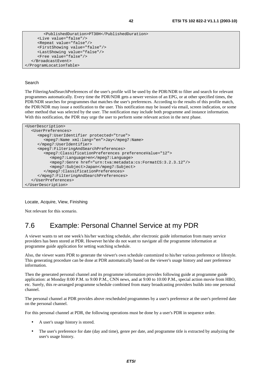```
 <PublishedDuration>PT30H</PublishedDuration> 
      <Live value="false"/> 
      <Repeat value="false"/> 
      <FirstShowing value="false"/> 
      <LastShowing value="false"/> 
      <Free value="false"/> 
   </BroadcastEvent> 
</ProgramLocationTable>
```
### Search

The FilteringAndSearchPreferences of the user's profile will be used by the PDR/NDR to filter and search for relevant programmes automatically. Every time the PDR/NDR gets a newer version of an EPG, or at other specified times, the PDR/NDR searches for programmes that matches the user's preferences. According to the results of this profile match, the PDR/NDR may issue a notification to the user. This notification may be issued via email, screen indication, or some other method that was selected by the user. The notification may include both programme and instance information. With this notification, the PDR may urge the user to perform some relevant action in the next phase.

```
<UserDescription> 
   <UserPreferences> 
      <mpeg7:UserIdentifier protected="true"> 
         <mpeg7:Name xml:lang="en">Jay</mpeg7:Name> 
      </mpeg7:UserIdentifier> 
      <mpeg7:FilteringAndSearchPreferences> 
         <mpeg7:ClassificationPreferences preferenceValue="12"> 
            <mpeg7:Language>en</mpeg7:Language> 
            <mpeg7:Genre href="urn:tva:metadata:cs:FormatCS:3.2.3.12"/> 
            <mpeg7:Subject>Japan</mpeg7:Subject> 
         </mpeg7:ClassificationPreferences> 
      </mpeg7:FilteringAndSearchPreferences> 
   </UserPreferences> 
</UserDescription>
```
Locate, Acquire, View, Finishing

Not relevant for this scenario.

## 7.6 Example: Personal Channel Service at my PDR

A viewer wants to set one week's his/her watching schedule, after electronic guide information from many service providers has been stored at PDR. However he/she do not want to navigate all the programme information at programme guide application for setting watching schedule.

Also, the viewer wants PDR to generate the viewer's own schedule customized to his/her various preference or lifestyle. This generating procedure can be done at PDR automatically based on the viewer's usage history and user preference information.

Then the generated personal channel and its programme information provides following guide at programme guide application: at Monday 8:00 P.M. to 9:00 P.M., CNN news, and at 9:00 to 10:00 P.M., special action movie from HBO, etc. Surely, this re-arranged programme schedule combined from many broadcasting providers builds into one personal channel.

The personal channel at PDR provides above rescheduled programmes by a user's preference at the user's preferred date on the personal channel.

For this personal channel at PDR, the following operations must be done by a user's PDR in sequence order.

- A user's usage history is stored.
- The user's preference for date (day and time), genre per date, and programme title is extracted by analyzing the user's usage history.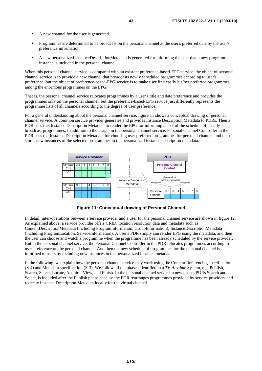- A new channel for the user is generated.
- Programmes are determined to be broadcast on the personal channel at the user's preferred date by the user's preference information.
- A new personalized InstanceDescriptionMetadata is generated for informing the user that a new programme instance is included in the personal channel.

When this personal channel service is compared with an existent preference-based-EPG service, the object of personal channel service is to provide a new channel that broadcasts newly scheduled programmes according to user's preference, but the object of preference-based-EPG service is to make user find easily his/her preferred programmes among the enormous programmes on the EPG.

That is, the personal channel service relocates programmes by a user's title and date preference and provides the programmes only on the personal channel, but the preference-based-EPG service just differently represents the programme lists of all channels according to the degree of user preference.

For a general understanding about the personal channel service, figure 11 shows a conceptual drawing of personal channel service. A common service provider generates and provides Instance Description Metadata to PDRs. Then a PDR uses this Instance Description Metadata to render the EPG for informing a user of the schedule of usually broadcast programmes. In addition to the usage, in the personal channel service, Personal Channel Controller in the PDR uses the Instance Description Metadata for choosing user preferred programmes for personal channel, and then stores new instances of the selected programmes in the personalized instance description metadata.



**Figure 11: Conceptual drawing of Personal Channel** 

In detail, inter-operations between a service provider and a user for the personal channel service are shown in figure 12. As explained above, a service provider offers CRID, location resolution data and metadata such as ContentDescriptionMetadata (including ProgramInformation, GroupInformation), InstanceDescriptionMetadata (including ProgramLocation, ServiceInformation). A user's PDR simply can render EPG using the metadata, and then the user can choose and watch a programme when the programme has been already scheduled by the service provider. But in the personal channel service, the Personal Channel Controller in the PDR relocates programmes according to user preference on the personal channel. And then the new schedule of programmes for the personal channel is informed to users by including new instances in the personalized instance metadata.

In the following, we explain how the personal channel service may work using the Content Referencing specification (S-4) and Metadata specification (S-3). We follow all the phases identified in a *TV-Anytime* System, e.g. Publish, Search, Select, Locate, Acquire, View, and Finish. In the personal channel service, a new phase, PDRs Search and Select, is included after the Publish phase because the PDR rearranges programmes provided by service providers and recreate Instance Description Metadata locally for the virtual channel.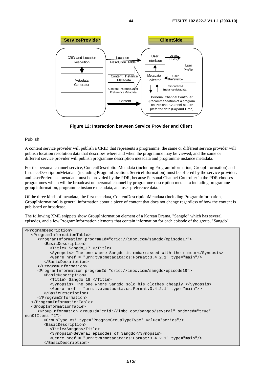

**Figure 12: Interaction between Service Provider and Client** 

### Publish

A content service provider will publish a CRID that represents a programme, the same or different service provider will publish location resolution data that describes where and when the programme may be viewed, and the same or different service provider will publish programme description metadata and programme instance metadata.

For the personal channel service, ContentDescriptionMetadata (including ProgramInformation, GroupInformation) and InstanceDescriptionMetadata (including ProgramLocation, ServiceInformation) must be offered by the service provider, and UserPreference metadata must be provided by the PDR, because Personal Channel Controller in the PDR chooses programmes which will be broadcast on personal channel by programme description metadata including programme group information, programme instance metadata, and user preference data.

Of the three kinds of metadata, the first metadata, ContentDescriptionMetadata (including ProgramInformation, GroupInformation) is general information about a piece of content that does not change regardless of how the content is published or broadcast.

The following XML snippets show GroupInformation element of a Korean Drama, "Sangdo" which has several episodes, and a few ProgramInformation elements that contain information for each episode of the group, "Sangdo".

```
<ProgramDescription> 
    <ProgramInformationTable> 
      <ProgramInformation programId="crid://imbc.com/sangdo/episode17"> 
         <BasicDescription> 
            <Title> Sangdo_17 </Title> 
            <Synopsis> The one where Sangdo is embarrassed with the rumour</Synopsis> 
            <Genre href = "urn:tva:metadata:cs:Format:3.4.2.1" type="main"/> 
         </BasicDescription> 
      </ProgramInformation> 
      <ProgramInformation programId="crid://imbc.com/sangdo/episode18"> 
         <BasicDescription> 
            <Title> Sangdo_18 </Title> 
            <Synopsis> The one where Sangdo sold his clothes cheaply </Synopsis> 
            <Genre href = "urn:tva:metadata:cs:Format:3.4.2.1" type="main"/> 
         </BasicDescription> 
      </ProgramInformation> 
   </ProgramInformationTable> 
    <GroupInformationTable> 
      <GroupInformation groupId="crid://imbc.com/sangdo/several" ordered="true" 
numOfItems="2"> 
         <GroupType xsi:type="ProgramGroupTypeType" value="series"/> 
         <BasicDescription> 
            <Title>Sangdo</Title> 
            <Synopsis>Several episodes of Sangdo</Synopsis> 
            <Genre href = "urn:tva:metadata:cs:Format:3.4.2.1" type="main"/> 
         </BasicDescription>
```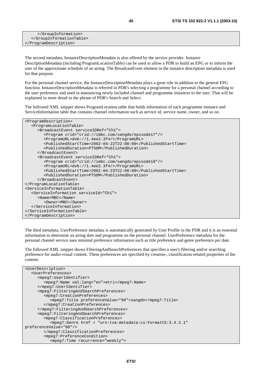The second metadata, InstanceDescriptionMetadata is also offered by the service provider. Instance DescriptionMetadata (including ProgramLocationTable) can be used to allow a PDR to build an EPG or to inform the user of the approximate schedule of an airing. The BroadcastEvent element in the instance description metadata is used for that purpose.

For the personal channel service, the InstanceDescriptionMetadata plays a great role in addition to the general EPG function. InstanceDescriptionMetadata is referred in PDR's selecting a programme for a personal channel according to the user preference and used in announcing newly included channel and programme instances to the user. That will be explained in more detail in the phrase of PDR's Search and Select.

The followed XML snippet shows ProgramLocation table that holds information of each programme instance and ServiceInformation table that contains channel information such as service id, service name, owner, and so on.

```
<ProgramDescription> 
    <ProgramLocationTable> 
      <BroadcastEvent serviceIDRef="Ch1"> 
         <Program crid="crid://imbc.com/sangdo/episode17"/> 
         <ProgramURL>dvb://1.4ee2.3f4/</ProgramURL> 
         <PublishedStartTime>2002-04-22T22:00:00</PublishedStartTime> 
         <PublishedDuration>PT50M</PublishedDuration> 
      </BroadcastEvent> 
      <BroadcastEvent serviceIDRef="Ch1"> 
         <Program crid="crid://imbc.com/sangdo/episode18"/> 
         <ProgramURL>dvb://1.4ee2.3f4/</ProgramURL> 
         <PublishedStartTime>2002-04-23T22:00:00</PublishedStartTime> 
         <PublishedDuration>PT50M</PublishedDuration> 
      </BroadcastEvent> 
</ProgramLocationTable> 
<ServiceInformationTable> 
   <ServiceInformation serviceId="Ch1"> 
      <Name>MBC</Name> 
         <Owner>MBC</Owner> 
    </ServiceInformation> 
</ServiceInformationTable> 
</ProgramDescription>
```
The third metadata, UserPreference metadata is automatically generated by User Profile in the PDR and it is an essential information to determine an airing date and programme on the personal channel. UserPreference metadata for the personal channel service uses minimal preference information such as title preference and genre preference per date.

The followed XML snippet shows FilteringAndSearchPreferences that specifies a user's filtering and/or searching preference for audio-visual content. These preferences are specified by creation-, classification-related properties of the content.

```
<UserDescription> 
   <UserPreferences> 
      <mpeg7:UserIdentifier> 
         <mpeg7:Name xml:lang="en">etri</mpeg7:Name> 
      </mpeg7:UserIdentifier> 
      <mpeg7:FilteringAndSearchPreferences> 
         <mpeg7:CreationPreferences> 
            <mpeg7:Title preferenceValue="99">sangdo</mpeg7:Title> 
         </mpeg7:CreationPreferences> 
      </mpeg7:FilteringAndSearchPreferences> 
      <mpeg7:FilteringAndSearchPreferences> 
         <mpeg7:ClassificationPreferences> 
            <mpeg7:Genre href = "urn:tva:metadata:cs:FormatCS:3.4.2.1" 
preferenceValue="80"/> 
         </mpeg7:ClassificationPreferences> 
         <mpeg7:PreferenceCondition> 
            <mpeg7:Time recurrence="weekly">
```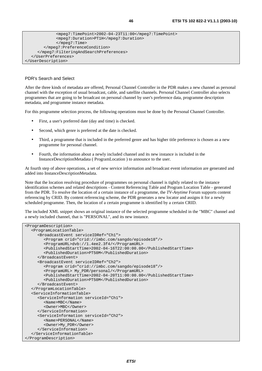```
 <mpeg7:TimePoint>2002-04-23T11:00</mpeg7:TimePoint> 
 <mpeg7:Duration>PT1H</mpeg7:Duration> 
 </mpeg7:Time>
```

```
 </mpeg7:PreferenceCondition>
```

```
 </mpeg7:FilteringAndSearchPreferences> 
 </UserPreferences>
```
</UserDescription>

### PDR's Search and Select

After the three kinds of metadata are offered, Personal Channel Controller in the PDR makes a new channel as personal channel with the exception of usual broadcast, cable, and satellite channels. Personal Channel Controller also selects programmes that are going to be broadcast on personal channel by user's preference data, programme description metadata, and programme instance metadata.

For this programme selection process, the following operations must be done by the Personal Channel Controller.

- First, a user's preferred date (day and time) is checked.
- Second, which genre is preferred at the date is checked.
- Third, a programme that is included in the preferred genre and has higher title preference is chosen as a new programme for personal channel.
- Fourth, the information about a newly included channel and its new instance is included in the InstanceDescriptionMetadata ( ProgramLocation ) to announce to the user.

At fourth step of above operations, a set of new service information and broadcast event information are generated and added into InstanceDescriptionMetadata.

Note that the location resolving procedure of programmes on personal channel is tightly related to the instance identification schemes and related descriptions - Content Referencing Table and Program Location Table - generated from the PDR. To resolve the location of a certain instance of a programme, the *TV-Anytime* Forum supports content referencing by CRID. By content referencing scheme, the PDR generates a new locator and assigns it for a newly scheduled programme. Then, the location of a certain programme is identified by a certain CRID.

The included XML snippet shows an original instance of the selected programme scheduled in the "MBC" channel and a newly included channel, that is "PERSONAL", and its new instance.

```
<ProgramDescription> 
   <ProgramLocationTable> 
      <BroadcastEvent serviceIDRef="Ch1"> 
         <Program crid="crid://imbc.com/sangdo/episode18"/> 
         <ProgramURL>dvb://1.4ee2.3f4/</ProgramURL> 
         <PublishedStartTime>2002-04-16T22:00:00.00</PublishedStartTime> 
         <PublishedDuration>PT50M</PublishedDuration> 
      </BroadcastEvent> 
      <BroadcastEvent serviceIDRef="Ch2"> 
         <Program crid="crid://imbc.com/sangdo/episode18"/> 
         <ProgramURL> My_PDR/personal/</ProgramURL> 
         <PublishedStartTime>2002-04-20T11:00:00.00</PublishedStartTime> 
         <PublishedDuration>PT50M</PublishedDuration> 
      </BroadcastEvent> 
   </ProgramLocationTable> 
   <ServiceInformationTable> 
      <ServiceInformation serviceId="Ch1"> 
         <Name>MBC</Name> 
         <Owner>MBC</Owner> 
      </ServiceInformation> 
      <ServiceInformation serviceId="Ch2"> 
         <Name>PERSONAL</Name> 
         <Owner>My_PDR</Owner> 
      </ServiceInformation> 
   </ServiceInformationTable> 
</ProgramDescription>
```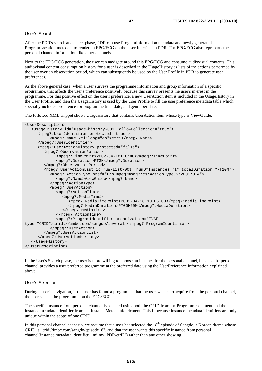### User's Search

After the PDR's search and select phase, PDR can use ProgramInformation metadata and newly generated ProgramLocation metadata to render an EPG/ECG on the User Interface in PDR. The EPG/ECG also represents the personal channel information like other channels.

Next to the EPG/ECG generation, the user can navigate around this EPG/ECG and consume audiovisual contents. This audiovisual content consumption history for a user is described in the UsageHistory as lists of the actions performed by the user over an observation period, which can subsequently be used by the User Profile in PDR to generate user preferences.

As the above general case, when a user surveys the programme information and group information of a specific programme, that affects the user's preference positively because this survey presents the user's interest in the programme. For this positive effect on the user's preference, a new UserAction item is included in the UsageHistory in the User Profile, and then the UsageHistory is used by the User Profile to fill the user preference metadata table which specially includes preference for programme title, date, and genre per date.

The followed XML snippet shows UsageHistory that contains UserAction item whose type is ViewGuide.

| <userdescription></userdescription>                                                                     |
|---------------------------------------------------------------------------------------------------------|
| <usagehistory allowcollection="true" id="usage-history-001"></usagehistory>                             |
| <mpeg7:useridentifier protected="true"></mpeg7:useridentifier>                                          |
| <mpeq7:name xml:lang="en">etri</mpeq7:name>                                                             |
|                                                                                                         |
| <mpeg7:useractionhistory protected="false"></mpeg7:useractionhistory>                                   |
| <mpeq7:0bservationperiod></mpeq7:0bservationperiod>                                                     |
| <mpeq7:timepoint>2002-04-18T10:00</mpeq7:timepoint>                                                     |
| <mpeq7:duration>PT3H</mpeq7:duration>                                                                   |
|                                                                                                         |
| <mpeq7:useractionlist id="ua-list-001" numofinstances="1" totalduration="PT20M"></mpeq7:useractionlist> |
| <mpeq7:actiontype href="urn:mpeq:mpeq7:cs:ActionTypeCS:2001:3.4"></mpeq7:actiontype>                    |
| <mpeg7:name>ViewGuide</mpeg7:name>                                                                      |
|                                                                                                         |
| <mpeq7:useraction></mpeq7:useraction>                                                                   |
| <mpeg7:actiontime></mpeg7:actiontime>                                                                   |
| <mpeq7:mediatime></mpeq7:mediatime>                                                                     |
| <mpeq7:mediatimepoint>2002-04-18T10:05:00</mpeq7:mediatimepoint>                                        |
| <mpeq7:mediaduration>PT00H20M</mpeq7:mediaduration>                                                     |
| $\alpha$ /mpeq7:MediaTime>                                                                              |
|                                                                                                         |
| <mpeq7:programidentifier <="" organization="TVAF" td=""></mpeq7:programidentifier>                      |
| type="CRID">crid://imbc.com/sangdo/several                                                              |
|                                                                                                         |
|                                                                                                         |
|                                                                                                         |
|                                                                                                         |
|                                                                                                         |

In the User's Search phase, the user is more willing to choose an instance for the personal channel, because the personal channel provides a user preferred programme at the preferred date using the UserPreference information explained above.

### User's Selection

During a user's navigation, if the user has found a programme that the user wishes to acquire from the personal channel, the user selects the programme on the EPG/ECG.

The specific instance from personal channel is selected using both the CRID from the Programme element and the instance metadata identifier from the InstanceMetadataId element. This is because instance metadata identifiers are only unique within the scope of one CRID.

In this personal channel scenario, we assume that a user has selected the  $18<sup>th</sup>$  episode of Sangdo, a Korean drama whose CRID is "crid://imbc.com/sangdo/episode18", and that the user wants this specific instance from personal channel(instance metadata identifier "imi:my\_PDR/etri2") rather than any other showing.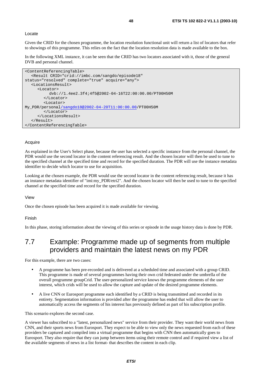Locate

Given the CRID for the chosen programme, the location resolution functional unit will return a list of locators that refer to showings of this programme. This relies on the fact that the location resolution data is made available to the box.

In the following XML instance, it can be seen that the CRID has two locators associated with it, those of the general DVB and personal channel.

```
<ContentReferencingTable> 
   <Result CRID="crid://imbc.com/sangdo/episode18" 
status="resolved" complete="true" acquire="any"> 
   <LocationsResult> 
      <Locator> 
           dvb://1.4ee2.3f4;4f5@2002-04-16T22:00:00.00/PT00H50M 
         </Locator> 
         <Locator> 
My_PDR/personal/sangdo18@2002-04-20T11:00:00.00/PT00H50M 
         </Locator> 
      </LocationsResult> 
    </Result> 
</ContentReferencingTable>
```
### Acquire

As explained in the User's Select phase, because the user has selected a specific instance from the personal channel, the PDR would use the second locator in the content referencing result. And the chosen locator will then be used to tune to the specified channel at the specified time and record for the specified duration. The PDR will use the instance metadata identifier to decide which locator to use for acquisition.

Looking at the chosen example, the PDR would use the second locator in the content referencing result, because it has an instance metadata identifier of "imi:my\_PDR/etri2". And the chosen locator will then be used to tune to the specified channel at the specified time and record for the specified duration.

View

Once the chosen episode has been acquired it is made available for viewing.

#### Finish

In this phase, storing information about the viewing of this series or episode in the usage history data is done by PDR.

# 7.7 Example: Programme made up of segments from multiple providers and maintain the latest news on my PDR

For this example, there are two cases:

- A programme has been pre-recorded and is delivered at a scheduled time and associated with a group CRID. This programme is made of several programmes having their own crid federated under the umbrella of the overall programme groupCrid. The user-personalized service knows the programme elements of the user interest, which crids will be used to allow the capture and update of the desired programme elements.
- A live CNN or Eurosport programme each identified by a CRID is being transmitted and recorded in its entirety. Segmentation information is provided after the programme has ended that will allow the user to automatically access the segments of his interest has previously defined as part of his subscription profile.

This scenario explores the second case.

A viewer has subscribed to a "latest, personalized news" service from their provider. They want their world news from CNN, and their sports news from Eurosport. They expect to be able to view only the news requested from each of these providers be captured and compiled into a virtual programme that begins with CNN then automatically goes to Eurosport. They also require that they can jump between items using their remote control and if required view a list of the available segments of news in a list format- that describes the content in each clip.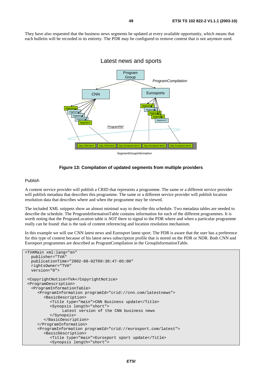They have also requested that the business news segments be updated at every available opportunity, which means that each bulletin will be recorded in its entirety. The PDR may be configured to remove content that is not anymore used.



### **Figure 13: Compilation of updated segments from multiple providers**

### Publish

A content service provider will publish a CRID that represents a programme. The same or a different service provider will publish metadata that describes this programme. The same or a different service provider will publish location resolution data that describes where and when the programme may be viewed.

The included XML snippets show an almost minimal way to describe this schedule. Two metadata tables are needed to describe the schedule. The ProgramInformationTable contains information for each of the different programmes. It is worth noting that the ProgramLocation table is *NOT* there to signal to the PDR where and when a particular programme really can be found: that is the task of content referencing and location resolution mechanism.

In this example we will use CNN latest news and Eurosport latest sport. The PDR is aware that the user has a preference for this type of content because of his latest news subscription profile that is stored on the PDR or NDR. Both CNN and Eurosport programmes are described as ProgramCompilation in the GroupInformationTable.

```
<TVAMain xml:lang="en" 
   publisher="TVA" 
   publicationTime="2002-08-02T09:30:47-05:00" 
   rightsOwner="TVA" 
   version="0"> 
 <CopyrightNotice>TVA</CopyrightNotice> 
 <ProgramDescription> 
   <ProgramInformationTable> 
      <ProgramInformation programId="crid://cnn.com/latestnews"> 
         <BasicDescription> 
            <Title type="main">CNN Business update</Title> 
            <Synopsis length="short"> 
                 Latest version of the CNN business news 
            </Synopsis> 
         </BasicDescription> 
      </ProgramInformation> 
      <ProgramInformation programId="crid://eurosport.com/latest"> 
         <BasicDescription> 
            <Title type="main">Eurosport sport update</Title> 
            <Synopsis length="short">
```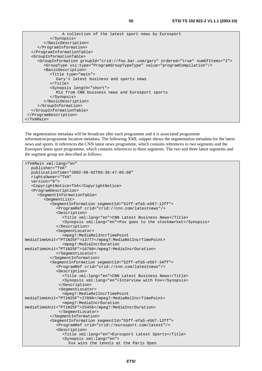```
 A collection of the latest sport news by Eurosport 
            </Synopsis> 
         </BasicDescription> 
      </ProgramInformation> 
   </ProgramInformationTable> 
   <GroupInformationTable> 
      <GroupInformation groupId="crid://foo.bar.com/gary" ordered="true" numOfItems="2"> 
         <GroupType xsi:type="ProgramGroupTypeType" value="programCompilation"/> 
         <BasicDescription> 
            <Title type="main"> 
               Gary's latest business and sports news 
           \epsilon/Title>
            <Synopsis length="short"> 
               Mix from CNN business news and Eurosport sports 
            </Synopsis> 
         </BasicDescription> 
      </GroupInformation> 
   </GroupInformationTable> 
  </ProgramDescription> 
</TVAMain>
```
The segmentation metadata will be broadcast after each programme and it is associated programme information/programme location metadata. The following XML snippet shows the segmentation metadata for the latest news and sports. It references the CNN latest news programme, which contains references to two segments and the Eurosport latest sport programme, which contains references to three segments. The two and three latest segments and the segment group are described as follows:

```
<TVAMain xml:lang="en" 
   publisher="TVA" 
   publicationTime="2002-08-02T09:30:47-05:00" 
   rightsOwner="TVA" 
   version="0"> 
    <CopyrightNotice>TVA</CopyrightNotice> 
    <ProgramDescription> 
       <SegmentInformationTable> 
         <SegmentList> 
            <SegmentInformation segmentId="S1ff-efa5-e567-12ff"> 
               <ProgramRef crid="crid://cnn.com/latestnews"/> 
               <Description> 
                  <Title xml:lang="en">CNN Latest Business News</Title> 
                  <Synopsis xml:lang="en">Fox goes to the stockmarket</Synopsis> 
               </Description> 
               <SegmentLocator> 
                  <mpeg7:MediaRelIncrTimePoint 
mediaTimeUnit="PT1N25F">13777</mpeg7:MediaRelIncrTimePoint> 
                  <mpeg7:MediaIncrDuration 
mediaTimeUnit="PT1N25F">16780</mpeg7:MediaIncrDuration> 
               </SegmentLocator> 
            </SegmentInformation> 
            <SegmentInformation segmentId="S2ff-efa5-e567-34ff"> 
               <ProgramRef crid="crid://cnn.com/latestnews"/> 
               <Description> 
                  <Title xml:lang="en">CNN Latest Business News</Title> 
                  <Synopsis xml:lang="en">Interview with Fox</Synopsis> 
                </Description> 
                <SegmentLocator> 
                  <mpeg7:MediaRelIncrTimePoint 
mediaTimeUnit="PT1N25F">27890</mpeg7:MediaRelIncrTimePoint> 
                  <mpeg7:MediaIncrDuration 
mediaTimeUnit="PT1N25F">25456</mpeg7:MediaIncrDuration> 
                </SegmentLocator> 
            </SegmentInformation> 
            <SegmentInformation segmentId="S5ff-efa5-e567-12ff"> 
               <ProgramRef crid="crid://eurosport.com/latest"/> 
               <Description> 
                  <Title xml:lang="en">Eurosport Latest Sports</Title> 
                  <Synopsis xml:lang="en"> 
                    Fox wins the tennis at the Paris Open
```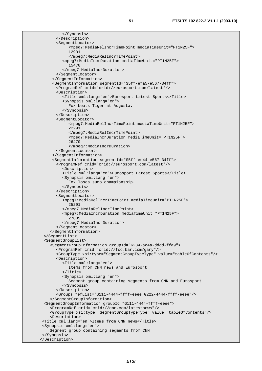</Synopsis> </Description> <SegmentLocator> <mpeg7:MediaRelIncrTimePoint mediaTimeUnit="PT1N25F"> 12901 </mpeg7:MediaRelIncrTimePoint> <mpeg7:MediaIncrDuration mediaTimeUnit="PT1N25F"> 15470 </mpeg7:MediaIncrDuration> </SegmentLocator> </SegmentInformation> <SegmentInformation segmentId="S5ff-efa5-e567-34ff"> <ProgramRef crid="crid://eurosport.com/latest"/> <Description> <Title xml:lang="en">Eurosport Latest Sports</Title> <Synopsis xml:lang="en"> Fox beats Tiger at Augusta. </Synopsis> </Description> <SegmentLocator> <mpeg7:MediaRelIncrTimePoint mediaTimeUnit="PT1N25F"> 22291 </mpeg7:MediaRelIncrTimePoint> <mpeg7:MediaIncrDuration mediaTimeUnit="PT1N25F"> 26470 </mpeg7:MediaIncrDuration> </SegmentLocator> </SegmentInformation> <SegmentInformation segmentId="S5ff-ee44-e567-34ff"> <ProgramRef crid="crid://eurosport.com/latest"/> <Description> <Title xml:lang="en">Eurosport Latest Sports</Title> <Synopsis xml:lang="en"> Fox loses sumo championship. </Synopsis> </Description> <SegmentLocator> <mpeg7:MediaRelIncrTimePoint mediaTimeUnit="PT1N25F"> 25291 </mpeg7:MediaRelIncrTimePoint> <mpeg7:MediaIncrDuration mediaTimeUnit="PT1N25F"> 27885 </mpeg7:MediaIncrDuration> </SegmentLocator> </SegmentInformation> </SegmentList> <SegmentGroupList> <SegmentGroupInformation groupId="G234-ac4a-dddd-ffa9"> <ProgramRef crid="crid://foo.bar.com/gary"/> <GroupType xsi:type="SegmentGroupTypeType" value="tableOfContents"/> <Description> <Title xml:lang="en"> Items from CNN news and Eurosport  $\langle$ Title> <Synopsis xml:lang="en"> Segment group containing segments from CNN and Eurosport </Synopsis> </Description> <Groups refList="G111-4444-ffff-eeee G222-4444-ffff-eeee"/> </SegmentGroupInformation> <SegmentGroupInformation groupId="G111-4444-ffff-eeee"> <ProgramRef crid="crid://cnn.com/latestnews"/> <GroupType xsi:type="SegmentGroupTypeType" value="tableOfContents"/> <Description> <Title xml:lang="en">Items from CNN news</Title> <Synopsis xml:lang="en"> Segment group containing segments from CNN </Synopsis> </Description>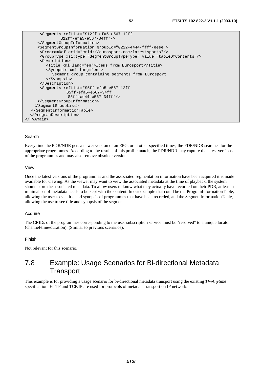```
 <Segments refList="S12ff-efa5-e567-12ff 
                S12ff-efa5-e567-34ff"/> 
      </SegmentGroupInformation> 
      <SegmentGroupInformation groupId="G222-4444-ffff-eeee"> 
       <ProgramRef crid="crid://eurosport.com/latestsports"/> 
       <GroupType xsi:type="SegmentGroupTypeType" value="tableOfContents"/> 
       <Description> 
          <Title xml:lang="en">Items from Eurosport</Title> 
          <Synopsis xml:lang="en"> 
            Segment group containing segments from Eurosport 
          </Synopsis> 
       </Description> 
       <Segments refList="S5ff-efa5-e567-12ff 
                   S5ff-efa5-e567-34ff 
                   S5ff-ee44-e567-34ff"/> 
      </SegmentGroupInformation> 
    </SegmentGroupList> 
   </SegmentInformationTable> 
  </ProgramDescription> 
</TVAMain>
```
### Search

Every time the PDR/NDR gets a newer version of an EPG, or at other specified times, the PDR/NDR searches for the appropriate programmes. According to the results of this profile match, the PDR/NDR may capture the latest versions of the programmes and may also remove obsolete versions.

### View

Once the latest versions of the programmes and the associated segmentation information have been acquired it is made available for viewing. As the viewer may want to view the associated metadata at the time of playback, the system should store the associated metadata. To allow users to know what they actually have recorded on their PDR, at least a minimal set of metadata needs to be kept with the content. In our example that could be the ProgramInformationTable, allowing the user to see title and synopsis of programmes that have been recorded, and the SegmentInformationTable, allowing the use to see title and synopsis of the segments.

#### Acquire

The CRIDs of the programmes corresponding to the user subscription service must be "resolved" to a unique locator (channel/time/duration). (Similar to previous scenarios).

#### Finish

Not relevant for this scenario.

### 7.8 Example: Usage Scenarios for Bi-directional Metadata **Transport**

This example is for providing a usage scenario for bi-directional metadata transport using the existing *TV-Anytime* specification. HTTP and TCP/IP are used for protocols of metadata transport on IP network.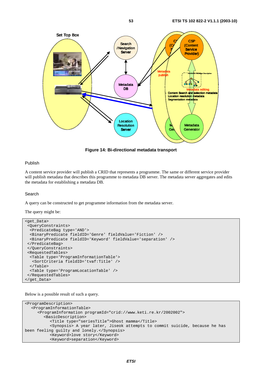

**Figure 14: Bi-directional metadata transport** 

### Publish

A content service provider will publish a CRID that represents a programme. The same or different service provider will publish metadata that describes this programme to metadata DB server. The metadata server aggregates and edits the metadata for establishing a metadata DB.

#### Search

A query can be constructed to get programme information from the metadata server.

The query might be:

```
<get_Data> 
  <QueryConstraints> 
  <PredicateBag type='AND'> 
   <BinaryPredicate fieldID='Genre' fieldValue='Fiction' /> 
  <BinaryPredicate fieldID='Keyword' fieldValue='separation' /> 
  </PredicateBag> 
  </QueryConstraints> 
  <RequestedTables> 
  <Table type='ProgramInformationTable'> 
    <SortCriteria fieldID='tvaf:Title' /> 
   </Table> 
  <Table type='ProgramLocationTable' /> 
 </RequestedTables> 
</get_Data>
```
Below is a possible result of such a query.

```
<ProgramDescription> 
   <ProgramInformationTable> 
      <ProgramInformation programId="crid://www.keti.re.kr/2002002"> 
         <BasicDescription> 
            <Title type="seriesTitle">Ghost mamma</Title> 
            <Synopsis> A year later, Jiseok attempts to commit suicide, because he has 
been feeling guilty and lonely.</Synopsis> 
            <Keyword>love story</Keyword> 
            <Keyword>separation</Keyword>
```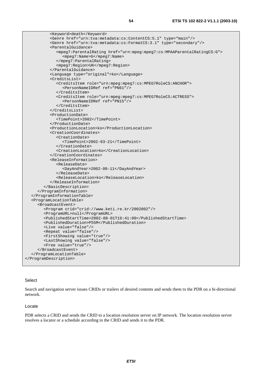<Keyword>death</Keyword> <Genre href="urn:tva:metadata:cs:ContentCS:5.1" type="main"/> <Genre href="urn:tva:metadata:cs:FormatCS:3.1" type="secondary"/> <ParentalGuidance> <mpeg7:ParentalRating href="urn:mpeg:mpeg7:cs:MPAAParentalRatingCS:G"> <mpeg7:Name>G</mpeg7:Name> </mpeg7:ParentalRating> <mpeg7:Region>UK</mpeg7:Region> </ParentalGuidance> <Language type="original">ko</Language> <CreditsList> <CreditsItem role="urn:mpeg:mpeg7:cs:MPEG7RoleCS:ANCHOR"> <PersonNameIDRef ref="PN61"/> </CreditsItem> <CreditsItem role="urn:mpeg:mpeg7:cs:MPEG7RoleCS:ACTRESS"> <PersonNameIDRef ref="PN15"/> </CreditsItem> </CreditsList> <ProductionDate> <TimePoint>2002</TimePoint> </ProductionDate> <ProductionLocation>ko</ProductionLocation> <CreationCoordinates> <CreationDate> <TimePoint>2002-03-21</TimePoint> </CreationDate> <CreationLocation>ko</CreationLocation> </CreationCoordinates> <ReleaseInformation> <ReleaseDate> <DayAndYear>2002-08-11</DayAndYear> </ReleaseDate> <ReleaseLocation>ko</ReleaseLocation> </ReleaseInformation> </BasicDescription> </ProgramInformation> </ProgramInformationTable> <ProgramLocationTable> <BroadcastEvent> <Program crid="crid://www.keti.re.kr/2002002"/> <ProgramURL>null</ProgramURL> <PublishedStartTime>2002-08-01T16:41:00</PublishedStartTime> <PublishedDuration>P55M</PublishedDuration> <Live value="false"/> <Repeat value="false"/> <FirstShowing value="true"/> <LastShowing value="false"/> <Free value="true"/> </BroadcastEvent> </ProgramLocationTable> </ProgramDescription>

### Select

Search and navigation server issues CRIDs or trailers of desired contents and sends them to the PDR on a bi-directional network.

### Locate

PDR selects a CRID and sends the CRID to a location resolution server on IP network. The location resolution server resolves a locator or a schedule according to the CRID and sends it to the PDR.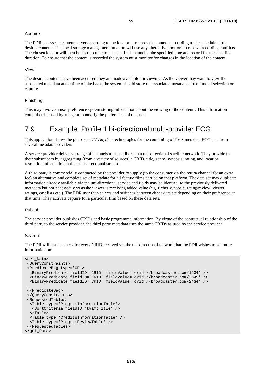### Acquire

The PDR accesses a content server according to the locator or records the contents according to the schedule of the desired contents. The local storage management function will use any alternative locators to resolve recording conflicts. The chosen locator will then be used to tune to the specified channel at the specified time and record for the specified duration. To ensure that the content is recorded the system must monitor for changes in the location of the content.

### View

The desired contents have been acquired they are made available for viewing. As the viewer may want to view the associated metadata at the time of playback, the system should store the associated metadata at the time of selection or capture.

#### Finishing

This may involve a user preference system storing information about the viewing of the contents. This information could then be used by an agent to modify the preferences of the user.

## 7.9 Example: Profile 1 bi-directional multi-provider ECG

This application shows the phase one *TV-Anytime* technologies for the combining of TVA metadata ECG sets from several metadata providers

A service provider delivers a range of channels to subscribers on a uni-directional satellite network. They provide to their subscribers by aggregating (from a variety of sources) a CRID, title, genre, synopsis, rating, and location resolution information in their uni-directional stream.

A third party is commercially contracted by the provider to supply (to the consumer via the return channel for an extra fee) an alternative and complete set of metadata for all feature films carried on that platform. The data set may duplicate information already available via the uni-directional service and fields may be identical to the previously delivered metadata but not necessarily so as the viewer is receiving added value (e.g. richer synopsis, rating/review, viewer ratings, cast lists etc.). The PDR user then selects and switches between either data set depending on their preference at that time. They activate capture for a particular film based on these data sets.

### Publish

The service provider publishes CRIDs and basic programme information. By virtue of the contractual relationship of the third party to the service provider, the third party metadata uses the same CRIDs as used by the service provider.

#### Search

The PDR will issue a query for every CRID received via the uni-directional network that the PDR wishes to get more information on:

```
<get_Data> 
  <QueryConstraints> 
  <PredicateBag type='OR'> 
  <BinaryPredicate fieldID='CRID' fieldValue='crid://broadcaster.com/1234' /> 
   <BinaryPredicate fieldID='CRID' fieldValue='crid://broadcaster.com/2345' /> 
   <BinaryPredicate fieldID='CRID' fieldValue='crid://broadcaster.com/2434' /> 
 … 
  </PredicateBag> 
  </QueryConstraints> 
  <RequestedTables> 
   <Table type='ProgramInformationTable'> 
    <SortCriteria fieldID='tvaf:Title' /> 
   </Table> 
   <Table type='CreditsInformationTable' /> 
  <Table type='ProgramReviewTable' /> 
  </RequestedTables> 
</get_Data>
```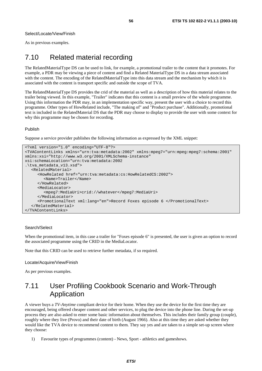Select/Locate/View/Finish

As in previous examples.

# 7.10 Related material recording

The RelatedMaterialType DS can be used to link, for example, a promotional trailer to the content that it promotes. For example, a PDR may be viewing a piece of content and find a Related MaterialType DS in a data stream associated with the content. The encoding of the RelatedMaterialType into this data stream and the mechanism by which it is associated with the content is transport specific and outside the scope of TVA.

The RelatedMaterialType DS provides the crid of the material as well as a description of how this material relates to the trailer being viewed. In this example, "Trailer" indicates that this content is a small preview of the whole programme. Using this information the PDR may, in an implementation specific way, present the user with a choice to record this programme. Other types of HowRelated include, "The making of" and "Product purchase". Additionally, promotional text is included in the RelatedMaterial DS that the PDR may choose to display to provide the user with some context for why this programme may be chosen for recording.

### Publish

Suppose a service provider publishes the following information as expressed by the XML snippet:

```
<?xml version="1.0" encoding="UTF-8"?> 
<TVAContentLinks xmlns="urn:tva:metadata:2002" xmlns:mpeg7="urn:mpeg:mpeg7:schema:2001" 
xmlns:xsi="http://www.w3.org/2001/XMLSchema-instance" 
xsi:schemaLocation="urn:tva:metadata:2002 
.\tva_metadata_v13.xsd"> 
   <RelatedMaterial> 
      <HowRelated href="urn:tva:metadata:cs:HowRelatedCS:2002"> 
         <Name>Trailer</Name> 
      </HowRelated> 
      <MediaLocator> 
         <mpeg7:MediaUri>crid://whatever</mpeg7:MediaUri> 
      </MediaLocator> 
      <PromotionalText xml:lang="en">Record Foxes episode 6 </PromotionalText> 
   </RelatedMaterial> 
</TVAContentLinks>
```
### Search/Select

When the promotional item, in this case a trailer for "Foxes episode 6" is presented, the user is given an option to record the associated programme using the CRID in the MediaLocator.

Note that this CRID can be used to retrieve further metadata, if so required.

Locate/Acquire/View/Finish

As per previous examples.

# 7.11 User Profiling Cookbook Scenario and Work-Through Application

A viewer buys a *TV-Anytime* compliant device for their home. When they use the device for the first time they are encouraged, being offered cheaper content and other services, to plug the device into the phone line. During the set-up process they are also asked to enter some basic information about themselves. This includes their family group (couple), roughly where they live (Provo) and their date of birth (August 1966). Also at this time they are asked whether they would like the TVA device to recommend content to them. They say yes and are taken to a simple set-up screen where they choose:

1) Favourite types of programmes (content) - News, Sport - athletics and gameshows.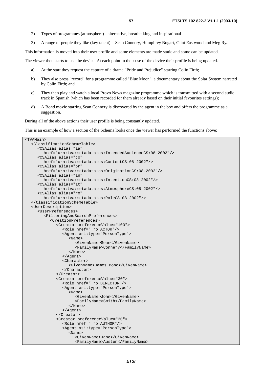- 2) Types of programmes (atmosphere) alternative, breathtaking and inspirational.
- 3) A range of people they like (key talent). Sean Connery, Humphrey Bogart, Clint Eastwood and Meg Ryan.

This information is moved into their user profile and some elements are made static and some can be updated.

The viewer then starts to use the device. At each point in their use of the device their profile is being updated.

- a) At the start they request the capture of a drama "Pride and Prejudice" starring Colin Firth;
- b) They also press "record" for a programme called "Blue Moon", a documentary about the Solar System narrated by Colin Firth; and
- c) They then play and watch a local Provo News magazine programme which is transmitted with a second audio track in Spanish (which has been recorded for them already based on their initial favourites settings);
- d) A Bond movie starring Sean Connery is discovered by the agent in the box and offers the programme as a suggestion.

During all of the above actions their user profile is being constantly updated.

This is an example of how a section of the Schema looks once the viewer has performed the functions above:

```
<TVAMain> 
   <ClassificationSchemeTable> 
      <CSAlias alias="ia" 
         href="urn:tva:metadata:cs:IntendedAudienceCS:08-2002"/> 
      <CSAlias alias="co" 
         href="urn:tva:metadata:cs:ContentCS:08-2002"/> 
      <CSAlias alias="or" 
         href="urn:tva:metadata:cs:OriginationCS:08-2002"/> 
      <CSAlias alias="in" 
         href="urn:tva:metadata:cs:IntentionCS:08-2002"/> 
      <CSAlias alias="at" 
         href="urn:tva:metadata:cs:AtmosphereCS:08-2002"/> 
      <CSAlias alias="ro" 
         href="urn:tva:metadata:cs:RoleCS:08-2002"/> 
   </ClassificationSchemeTable> 
   <UserDescription> 
      <UserPreferences> 
         <FilteringAndSearchPreferences> 
            <CreationPreferences> 
               <Creator preferenceValue="100"> 
                  <Role href=":ro:ACTOR"/> 
                  <Agent xsi:type="PersonType"> 
                     <Name> 
                        <GivenName>Sean</GivenName> 
                        <FamilyName>Connery</FamilyName> 
                     </Name> 
                  </Agent> 
                  <Character> 
                     <GivenName>James Bond</GivenName> 
                  </Character> 
               </Creator> 
               <Creator preferenceValue="30"> 
                  <Role href=":ro:DIRECTOR"/> 
                  <Agent xsi:type="PersonType"> 
                     <Name> 
                        <GivenName>John</GivenName> 
                        <FamilyName>Smith</FamilyName> 
                     </Name> 
                  </Agent> 
               </Creator> 
               <Creator preferenceValue="30"> 
                  <Role href=":ro:AUTHOR"/> 
                  <Agent xsi:type="PersonType"> 
                     <Name> 
                        <GivenName>Jane</GivenName> 
                        <FamilyName>Austen</FamilyName>
```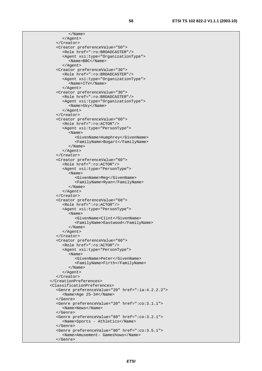</Name> </Agent> </Creator> <Creator preferenceValue="50"> <Role href=":ro:BROADCASTER"/> <Agent xsi:type="OrganizationType"> <Name>BBC</Name> </Agent> <Creator preferenceValue="30"> <Role href=":ro:BROADCASTER"/> <Agent xsi:type="OrganizationType"> <Name>ITV</Name> </Agent> <Creator preferenceValue="30"> <Role href=":ro:BROADCASTER"/> <Agent xsi:type="OrganizationType"> <Name>Sky</Name> </Agent> </Creator> <Creator preferenceValue="60"> <Role href=":ro:ACTOR"/> <Agent xsi:type="PersonType"> <Name> <GivenName>Humphrey</GivenName> <FamilyName>Bogart</FamilyName> </Name> </Agent> </Creator> <Creator preferenceValue="60"> <Role href=":ro:ACTOR"/> <Agent xsi:type="PersonType"> <Name> <GivenName>Meg</GivenName> <FamilyName>Ryan</FamilyName> </Name> </Agent> </Creator> <Creator preferenceValue="60"> <Role href=":ro:ACTOR"/> <Agent xsi:type="PersonType"> <Name> <GivenName>Clint</GivenName> <FamilyName>Eastwood</FamilyName> </Name> </Agent> </Creator> <Creator preferenceValue="60"> <Role href=":ro:ACTOR"/> <Agent xsi:type="PersonType"> <Name> <GivenName>Peter</GivenName> <FamilyName>Firth</FamilyName> </Name> </Agent> </Creator> </CreationPreferences> <ClassificationPreferences> <Genre preferenceValue="20" href=":ia:4.2.2.2"> <Name>Age 25-34</Name> </Genre> <Genre preferenceValue="20" href=":co:3.1.1"> <Name>News</Name> </Genre> <Genre preferenceValue="80" href=":co:3.2.1"> <Name>Sports - Athletics</Name> </Genre> <Genre preferenceValue="80" href=":co:3.5.1"> <Name>Amusement- Gameshows</Name> </Genre>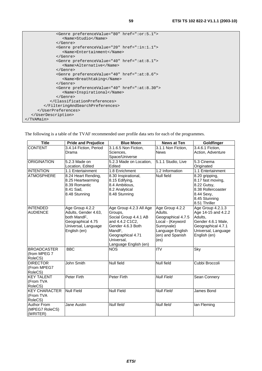| <genre href=":or:5.1" preferencevalue="80"><br/><name>Studio</name></genre>        |
|------------------------------------------------------------------------------------|
|                                                                                    |
| <genre href=":in:1.1" preferencevalue="20"><br/><name>Entertainment</name></genre> |
| $\langle$ Genre>                                                                   |
| <genre href=":at:8.1" preferencevalue="40"><br/><name>Alternative</name></genre>   |
|                                                                                    |
| <genre href=":at:8.6" preferencevalue="40"><br/><name>Breathtaking</name></genre>  |
| $\langle$ Genre $\rangle$                                                          |
| <genre href=":at:8.30" preferencevalue="40"></genre>                               |
| <name>Inspirational</name>                                                         |
| $\langle$ Genre $\rangle$                                                          |
|                                                                                    |
|                                                                                    |
|                                                                                    |
|                                                                                    |
|                                                                                    |

The following is a table of the TVAF recommended user profile data sets for each of the programmes.

| <b>Title</b>         | <b>Pride and Prejudice</b> | <b>Blue Moon</b>        | <b>News at Ten</b>      | Goldfinger          |
|----------------------|----------------------------|-------------------------|-------------------------|---------------------|
| <b>CONTENT</b>       | 3.4.14 Fiction, Period     | 3.1.6.5 Non Fiction,    | 3.1.1 Non Fiction,      | 3.4.6.1 Fiction,    |
|                      | Drama                      | Sciences,               | <b>News</b>             | Action, Adventure   |
|                      |                            | Space/Universe          |                         |                     |
| <b>ORIGINATION</b>   | 5.2.3 Made on              | 5.2.3 Made on Location, | 5.1.1 Studio, Live      | 5.3 Cinema          |
|                      | Location, Edited           | Edited                  |                         | Originated          |
| <b>INTENTION</b>     | 1.1 Entertainment          | 1.8 Enrichment          | 1.2 Information         | 1.1 Entertainment   |
| <b>ATMOSPHERE</b>    | 8.24 Heart Rending,        | 8.30 Inspirational,     | Null field              | 8.20 gripping,      |
|                      | 8.25 Heartwarming          | 8.15 Edifying,          |                         | 8.17 fast moving,   |
|                      | 8.39 Romantic              | 8.4 Ambitious,          |                         | 8.22 Gutsy,         |
|                      | 8.41 Sad,                  | 8.2 Analytical          |                         | 8.38 Rollercoaster  |
|                      | 8.48 Stunning              | 8.48 Stunning           |                         | 8.44 Sexy,          |
|                      |                            |                         |                         | 8.45 Stunning       |
|                      |                            |                         |                         | 8.51 Thriller       |
| <b>INTENDED</b>      | Age Group 4.2.2            | Age Group 4.2.3 All Age | Age Group 4.2.2         | Age Group 4.2.1.3   |
| <b>AUDIENCE</b>      | Adults, Gender 4.63,       | Groups.                 | Adults.                 | Age 14-15 and 4.2.2 |
|                      | both MandF,                | Social Group 4.4.1 AB   | Geographical 4.7.5      | Adults.             |
|                      | Geographical 4.75          | and 4.4.2 C1C2,         | Local - (Keyword        | Gender 4.6.1 Male,  |
|                      | Universal, Language        | Gender 4.6.3 Both       | Sunnyvale)              | Geographical 4.7.1  |
|                      | English (en)               | MandF,                  | Language English        | Universal, Language |
|                      |                            | Geographical 4.71       | (en) and Spanish        | English (en)        |
|                      |                            | Universal,              | (es)                    |                     |
|                      |                            | Language English (en)   |                         |                     |
| <b>BROADCASTER</b>   | <b>BBC</b>                 | <b>NOS</b>              | $\overline{\text{ITV}}$ | Sky                 |
| (from MPEG 7         |                            |                         |                         |                     |
| RoleCS)              |                            |                         |                         |                     |
| <b>DIRECTOR</b>      | John Smith                 | <b>Null field</b>       | <b>Null field</b>       | Cubbi Broccoli      |
| (From MPEG7          |                            |                         |                         |                     |
| RoleCS)              |                            |                         |                         |                     |
| <b>KEY TALENT</b>    | <b>Peter Firth</b>         | Peter Firth             | <b>Null Field</b>       | Sean Connery        |
| (From TVA            |                            |                         |                         |                     |
| RoleCS)              |                            |                         |                         |                     |
| <b>KEY CHARACTER</b> | <b>Null Field</b>          | <b>Null Field</b>       | <b>Null Field</b>       | James Bond          |
| (From TVA            |                            |                         |                         |                     |
| RoleCS)              |                            |                         |                         |                     |
| Author From          | Jane Austin                | <b>Null field</b>       | Null field              | lan Fleming         |
| (MPEG7 RoleCS)       |                            |                         |                         |                     |
| (WRITER)             |                            |                         |                         |                     |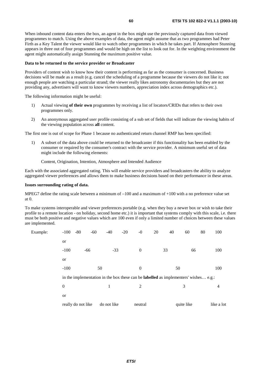When inbound content data enters the box, an agent in the box might use the previously captured data from viewed programmes to match. Using the above examples of data, the agent might assume that as two programmes had Peter Firth as a Key Talent the viewer would like to watch other programmes in which he takes part. If Atmosphere Stunning appears in three out of four programmes and would be high on the list to look out for. In the weighting environment the agent might automatically assign Stunning the maximum positive value.

### **Data to be returned to the service provider or Broadcaster**

Providers of content wish to know how their content is performing as far as the consumer is concerned. Business decisions will be made as a result (e.g. cancel the scheduling of a programme because the viewers do not like it; not enough people are watching a particular strand; the viewer really likes astronomy documentaries but they are not providing any, advertisers will want to know viewers numbers, appreciation index across demographics etc.).

The following information might be useful:

- 1) Actual viewing **of their own** programmes by receiving a list of locators/CRIDs that refers to their own programmes only.
- 2) An anonymous aggregated user profile consisting of a sub set of fields that will indicate the viewing habits of the viewing population across **all** content.

The first one is out of scope for Phase 1 because no authenticated return channel RMP has been specified:

1) A subset of the data above could be returned to the broadcaster if this functionality has been enabled by the consumer or required by the consumer's contract with the service provider. A minimum useful set of data might include the following elements:

Content, Origination, Intention, Atmosphere and Intended Audience

Each with the associated aggregated rating. This will enable service providers and broadcasters the ability to analyze aggregated viewer preferences and allows them to make business decisions based on their performance in these areas.

### **Issues surrounding rating of data.**

MPEG7 define the rating scale between a minimum of  $-100$  and a maximum of  $+100$  with a no preference value set at 0.

 $-100$  and a maximum of  $+100$  with a no preference value set<br>portable (e.g. when they buy a newer box or wish to take their<br>etc.) it is important that systems comply with this scale, i.e. th<br>0 even if only a limited numb To make systems interoperable and viewer preferences portable (e.g. when they buy a newer box or wish to take their profile to a remote location - on holiday, second home etc.) it is important that systems comply with this scale, i.e. there must be both positive and negative values which are 100 even if only a limited number of choices between these values are implemented.

| Example: | $-100 - 80$        | $-60$ | $-40$                                                                                       | $-20$ | $-0$     | 20 | 40 | 60         | 80 | 100        |
|----------|--------------------|-------|---------------------------------------------------------------------------------------------|-------|----------|----|----|------------|----|------------|
|          | <b>or</b>          |       |                                                                                             |       |          |    |    |            |    |            |
|          | $-100$             | $-66$ | $-33$                                                                                       |       | $\theta$ |    | 33 | 66         |    | 100        |
|          | <b>or</b>          |       |                                                                                             |       |          |    |    |            |    |            |
|          | $-100$             |       | 50                                                                                          |       | $\theta$ |    | 50 |            |    | 100        |
|          |                    |       | in the implementation in the box these can be <b>labelled</b> as implementers' wishes e.g.: |       |          |    |    |            |    |            |
|          | $\overline{0}$     |       |                                                                                             |       | 2        |    |    | 3          |    | 4          |
|          | <b>or</b>          |       |                                                                                             |       |          |    |    |            |    |            |
|          | really do not like |       | do not like                                                                                 |       | neutral  |    |    | quite like |    | like a lot |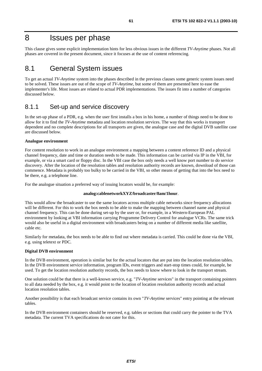### 8 Issues per phase

This clause gives some explicit implementation hints for less obvious issues in the different *TV-Anytime* phases. Not all phases are covered in the present document, since it focuses at the use of content referencing.

### 8.1 General System issues

To get an actual *TV-Anytime* system into the phases described in the previous clauses some generic system issues need to be solved. These issues are out of the scope of *TV-Anytime*, but some of them are presented here to ease the implementer's life. Most issues are related to actual PDR implementations. The issues fit into a number of categories discussed below.

### 8.1.1 Set-up and service discovery

In the set-up phase of a PDR, e.g. when the user first installs a box in his home, a number of things need to be done to allow for it to find the *TV-Anytime* metadata and location resolution services. The way that this works is transport dependent and no complete descriptions for all transports are given, the analogue case and the digital DVB satellite case are discussed below.

### **Analogue environment**

For content resolution to work in an analogue environment a mapping between a content reference ID and a physical channel frequency, date and time or duration needs to be made. This information can be carried via IP in the VBI, for example, or via a smart card or floppy disc. In the VBI case the box only needs a well know port number to do service discovery. After the location of the resolution tables and resolution authority records are known, download of those can commence. Metadata is probably too bulky to be carried in the VBI, so other means of getting that into the box need to be there, e.g. a telephone line.

For the analogue situation a preferred way of issuing locators would be, for example:

### **analog:cablenetworkXYZ/broadcaster/8am/1hour**.

This would allow the broadcaster to use the same locators across multiple cable networks since frequency allocations will be different. For this to work the box needs to be able to make the mapping between channel name and physical channel frequency. This can be done during set-up by the user or, for example, in a Western-European PAL environment by looking at VBI information carrying Programme Delivery Control for analogue VCRs. The same trick would also be useful in a digital environment with broadcasters being on a number of different media like satellite, cable etc.

Similarly for metadata, the box needs to be able to find out where metadata is carried. This could be done via the VBI, e.g. using teletext or PDC.

### **Digital DVB environment**

In the DVB environment, operation is similar but for the actual locators that are put into the location resolution tables. In the DVB environment service information, program IDs, event triggers and start-stop times could, for example, be used. To get the location resolution authority records, the box needs to know where to look in the transport stream.

One solution could be that there is a well-known service, e.g. "*TV-Anytime* services" in the transport containing pointers to all data needed by the box, e.g. it would point to the location of location resolution authority records and actual location resolution tables.

Another possibility is that each broadcast service contains its own "*TV-Anytime* services" entry pointing at the relevant tables.

In the DVB environment containers should be reserved, e.g. tables or sections that could carry the pointer to the TVA metadata. The current TVA specifications do not cater for this.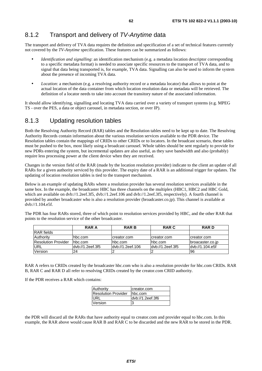### 8.1.2 Transport and delivery of TV-Anytime data

The transport and delivery of TVA data requires the definition and specification of a set of technical features currently not covered by the *TV-Anytime* specification. These features can be summarized as follows:

- *Identification and signalling*: an identification mechanism (e.g. a metadata location descriptor corresponding to a specific metadata format) is needed to associate specific resources to the transport of TVA data, and to signal that data being transported is, for example, TVA data. Signalling can also be used to inform the system about the presence of incoming TVA data.
- *Location*: a mechanism (e.g. a resolving authority record or a metadata locator) that allows to point at the actual location of the data container from which location resolution data or metadata will be retrieved. The definition of a locator needs to take into account the transitory nature of the associated information.

It should allow identifying, signalling and locating TVA data carried over a variety of transport systems (e.g. MPEG TS - over the PES, a data or object carousel, in metadata section, or over IP).

### 8.1.3 Updating resolution tables

Both the Resolving Authority Record (RAR) tables and the Resolution tables need to be kept up to date. The Resolving Authority Records contain information about the various resolution services available to the PDR device. The Resolution tables contain the mappings of CRIDs to other CRIDs or to locators. In the broadcast scenario, these tables must be pushed to the box, most likely using a broadcast carousel. Whole tables should be sent regularly to provide for new PDRs entering the system, but incremental updates are also useful, as they save bandwidth and also (probably) require less processing power at the client device when they are received.

Changes in the version field of the RAR (made by the location resolution provider) indicate to the client an update of all RARs for a given authority serviced by this provider. The expiry date of a RAR is an additional trigger for updates. The updating of location resolution tables is tied to the transport mechanism.

Below is an example of updating RARs where a resolution provider has several resolution services available in the same box. In the example, the broadcaster HBC has three channels on the multiplex (HBC1, HBC2 and HBC Gold, which are available on dvb://1.2eef.3f5, dvb://1.2eef.106 and dvb://1.2eef.3f5, respectively). A fourth channel is provided by another broadcaster who is also a resolution provider (broadcaster.co.jp). This channel is available at dvb://1.104.e5f.

The PDR has four RARs stored, three of which point to resolution services provided by HBC, and the other RAR that points to the resolution service of the other broadcaster.

|                            | RAR A            | <b>RARB</b>      | <b>RAR C</b>      | <b>RARD</b>      |
|----------------------------|------------------|------------------|-------------------|------------------|
| <b>RAR</b> fields          |                  |                  |                   |                  |
| Authority                  | Thbc.com         | creator.com      | creator.com       | creator.com      |
| <b>Resolution Provider</b> | Thbc.com         | lhbc.com         | hbc.com           | broacaster.co.jp |
| URL                        | dyb://1.2eef.3f5 | dyb://1.2eef.106 | ldyb://1.2eef.3f5 | dyb://1.104.e5f  |
| Version                    | 24               |                  |                   | 96               |

RAR A refers to CRIDs created by the broadcaster hbc.com who is also a resolution provider for hbc.com CRIDs. RAR B, RAR C and RAR D all refer to resolving CRIDs created by the creator.com CRID authority.

If the PDR receives a RAR which contains:

| Authority                  | creator.com      |
|----------------------------|------------------|
| <b>Resolution Provider</b> | hbc.com          |
| <b>IURL</b>                | dvb://1.2eef.3f6 |
| Version                    |                  |

the PDR will discard all the RARs that have authority equal to creator.com and provider equal to hbc.com. In this example, the RAR above would cause RAR B and RAR C to be discarded and the new RAR to be stored in the PDR.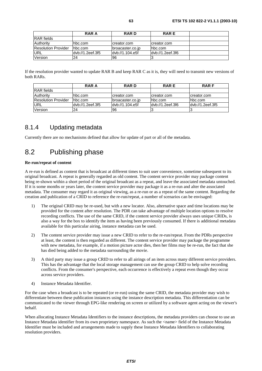|                     | <b>RAR A</b>     | <b>RARD</b>      | <b>RARE</b>      |  |
|---------------------|------------------|------------------|------------------|--|
| <b>IRAR</b> fields  |                  |                  |                  |  |
| Authority           | hbc.com          | creator.com      | creator.com      |  |
| Resolution Provider | Thbc.com         | broacaster.co.jp | Ihbc.com         |  |
| URL                 | dyb://1.2eef.3f5 | dyb://1.104.e5f  | dyb://1.2eef.3f6 |  |
| Version             | 24               | 196              |                  |  |

If the resolution provider wanted to update RAR B and keep RAR C as it is, they will need to transmit new versions of both RARs.

|                            | <b>RAR A</b>      | <b>RARD</b>      | <b>RARE</b>      | <b>RARF</b>      |
|----------------------------|-------------------|------------------|------------------|------------------|
| <b>RAR</b> fields          |                   |                  |                  |                  |
| <b>Authority</b>           | hbc.com           | Icreator.com     | Icreator.com     | Icreator.com     |
| <b>Resolution Provider</b> | Thbc.com          | broacaster.co.jp | lhbc.com         | hbc.com          |
| <b>IURL</b>                | ldvb://1.2eef.3f5 | dyb://1.104.e5f  | dyb://1.2eef.3f6 | dyb://1.2eef.3f5 |
| <b>Version</b>             | 24                | 196              |                  |                  |

### 8.1.4 Updating metadata

Currently there are no mechanisms defined that allow for update of part or all of the metadata.

### 8.2 Publishing phase

### **Re-run/repeat of content**

A re-run is defined as content that is broadcast at different times to suit user convenience, sometime subsequent to its original broadcast. A repeat is generally regarded as old content. The content service provider may package content being re-shown within a short period of the original broadcast as a repeat, and leave the associated metadata untouched. If it is some months or years later, the content service provider may package it as a re-run and alter the associated metadata. The consumer may regard it as original viewing, as a re-run or as a repeat of the same content. Regarding the creation and publication of a CRID to reference the re-run/repeat, a number of scenarios can be envisaged:

- 1) The original CRID may be re-used, but with a new locator. Also, alternative space and time locations may be provided for the content after resolution. The PDR can take advantage of multiple location options to resolve recording conflicts. The use of the same CRID, if the content service provider always uses unique CRIDs, is also a way for the box to identify the item as having been previously consumed. If there is additional metadata available for this particular airing, instance metadata can be used.
- 2) The content service provider may issue a new CRID to refer to the re-run/repeat. From the PDRs perspective at least, the content is then regarded as different. The content service provider may package the programme with new metadata, for example, if a motion picture actor dies, then her films may be re-run, the fact that she has died being added to the metadata surrounding the movie.
- 3) A third party may issue a group CRID to refer to all airings of an item across many different service providers. This has the advantage that the local storage management can use the group CRID to help solve recording conflicts. From the consumer's perspective, each occurrence is effectively a repeat even though they occur across service providers.
- 4) Instance Metadata Identifier.

For the case when a broadcast is to be repeated (or re-run) using the same CRID, the metadata provider may wish to differentiate between these publication instances using the instance description metadata. This differentiation can be communicated to the viewer through EPG-like rendering on screen or utilized by a software agent acting on the viewer's behalf.

When allocating Instance Metadata Identifiers to the instance descriptions, the metadata providers can choose to use an Instance Metadata identifier from its own proprietary namespace. As such the <name> field of the Instance Metadata Identifier must be included and arrangements made to supply these Instance Metadata Identifiers to collaborating resolution providers.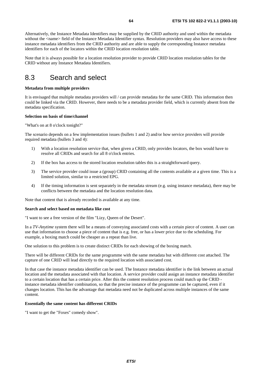Alternatively, the Instance Metadata Identifiers may be supplied by the CRID authority and used within the metadata without the <name> field of the Instance Metadata Identifier syntax. Resolution providers may also have access to these instance metadata identifiers from the CRID authority and are able to supply the corresponding Instance metadata identifiers for each of the locators within the CRID location resolution table.

Note that it is always possible for a location resolution provider to provide CRID location resolution tables for the CRID without any Instance Metadata Identifiers.

### 8.3 Search and select

### **Metadata from multiple providers**

It is envisaged that multiple metadata providers will / can provide metadata for the same CRID. This information then could be linked via the CRID. However, there needs to be a metadata provider field, which is currently absent from the metadata specification.

### **Selection on basis of time/channel**

"What's on at 8 o'clock tonight?"

The scenario depends on a few implementation issues (bullets 1 and 2) and/or how service providers will provide required metadata (bullets 3 and 4):

- 1) With a location resolution service that, when given a CRID, only provides locators, the box would have to resolve all CRIDs and search for all 8 o'clock entries.
- 2) If the box has access to the stored location resolution tables this is a straightforward query.
- 3) The service provider could issue a (group) CRID containing all the contents available at a given time. This is a limited solution, similar to a restricted EPG.
- 4) If the timing information is sent separately in the metadata stream (e.g. using instance metadata), there may be conflicts between the metadata and the location resolution data.

Note that content that is already recorded is available at any time.

#### **Search and select based on metadata like cost**

"I want to see a free version of the film "Lizy, Queen of the Desert".

In a *TV-Anytime* system there will be a means of conveying associated costs with a certain piece of content. A user can use that information to choose a piece of content that is e.g. free, or has a lower price due to the scheduling. For example, a boxing match could be cheaper as a repeat than live.

One solution to this problem is to create distinct CRIDs for each showing of the boxing match.

There will be different CRIDs for the same programme with the same metadata but with different cost attached. The capture of one CRID will lead directly to the required location with associated cost.

In that case the instance metadata identifier can be used. The Instance metadata identifier is the link between an actual location and the metadata associated with that location. A service provider could assign an instance metadata identifier to a certain location that has a certain price. After this the content resolution process could match up the CRID instance metadata identifier combination, so that the precise instance of the programme can be captured, even if it changes location. This has the advantage that metadata need not be duplicated across multiple instances of the same content.

### **Essentially the same content has different CRIDs**

"I want to get the "Foxes" comedy show".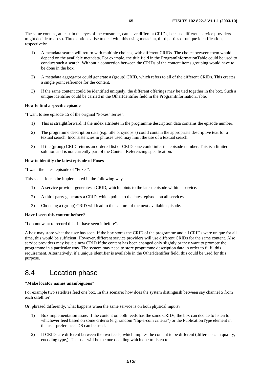The same content, at least in the eyes of the consumer, can have different CRIDs, because different service providers might decide to do so. Three options arise to deal with this using metadata, third parties or unique identification, respectively:

- 1) A metadata search will return with multiple choices, with different CRIDs. The choice between them would depend on the available metadata. For example, the title field in the ProgramInformationTable could be used to conduct such a search. Without a connection between the CRIDs of the content items grouping would have to be done in the box.
- 2) A metadata aggregator could generate a (group) CRID, which refers to all of the different CRIDs. This creates a single point reference for the content.
- 3) If the same content could be identified uniquely, the different offerings may be tied together in the box. Such a unique identifier could be carried in the OtherIdentifier field in the ProgramInformationTable.

### **How to find a specific episode**

"I want to see episode 15 of the original "Foxes" series".

- 1) This is straightforward, if the index attribute in the programme description data contains the episode number.
- 2) The programme description data (e.g. title or synopsis) could contain the appropriate descriptive text for a textual search. Inconsistencies in phrases used may limit the use of a textual search.
- 3) If the (group) CRID returns an ordered list of CRIDs one could infer the episode number. This is a limited solution and is not currently part of the Content Referencing specification.

### **How to identify the latest episode of Foxes**

"I want the latest episode of "Foxes".

This scenario can be implemented in the following ways:

- 1) A service provider generates a CRID, which points to the latest episode within a service.
- 2) A third-party generates a CRID, which points to the latest episode on all services.
- 3) Choosing a (group) CRID will lead to the capture of the next available episode.

#### **Have I seen this content before?**

"I do not want to record this if I have seen it before".

A box may store what the user has seen. If the box stores the CRID of the programme and all CRIDs were unique for all time, this would be sufficient. However, different service providers will use different CRIDs for the same content. Also service providers may issue a new CRID if the content has been changed only slightly or they want to promote the programme in a particular way. The system may need to store programme description data in order to fulfil this requirement. Alternatively, if a unique identifier is available in the OtherIdentifier field, this could be used for this purpose.

### 8.4 Location phase

### **"Make locator names unambiguous"**

For example two satellites feed one box. In this scenario how does the system distinguish between say channel 5 from each satellite?

Or, phrased differently, what happens when the same service is on both physical inputs?

- 1) Box implementation issue. If the content on both feeds has the same CRIDs, the box can decide to listen to whichever feed based on some criteria (e.g. random "flip-a-coin criteria") or the PublicationType element in the user preferences DS can be used.
- 2) If CRIDs are different between the two feeds, which implies the content to be different (differences in quality, encoding type,). The user will be the one deciding which one to listen to.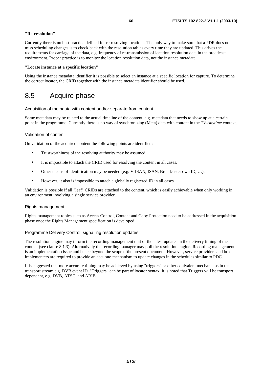### **"Re-resolution"**

Currently there is no best practice defined for re-resolving locations. The only way to make sure that a PDR does not miss scheduling changes is to check back with the resolution tables every time they are updated. This drives the requirements for carriage of the data, e.g. frequency of re-transmission of location resolution data in the broadcast environment. Proper practice is to monitor the location resolution data, not the instance metadata.

### **"Locate instance at a specific location"**

Using the instance metadata identifier it is possible to select an instance at a specific location for capture. To determine the correct locator, the CRID together with the instance metadata identifier should be used.

### 8.5 Acquire phase

Acquisition of metadata with content and/or separate from content

Some metadata may be related to the actual timeline of the content, e.g. metadata that needs to show up at a certain point in the programme. Currently there is no way of synchronizing (Meta) data with content in the *TV-Anytime* context.

### Validation of content

On validation of the acquired content the following points are identified:

- Trustworthiness of the resolving authority may be assumed.
- It is impossible to attach the CRID used for resolving the content in all cases.
- Other means of identification may be needed (e.g. V-ISAN, ISAN, Broadcaster own ID, ...).
- However, it also is impossible to attach a globally registered ID in all cases.

Validation is possible if all "leaf" CRIDs are attached to the content, which is easily achievable when only working in an environment involving a single service provider.

### Rights management

Rights management topics such as Access Control, Content and Copy Protection need to be addressed in the acquisition phase once the Rights Management specification is developed.

### Programme Delivery Control, signalling resolution updates

The resolution engine may inform the recording management unit of the latest updates in the delivery timing of the content (see clause 8.1.3). Alternatively the recording manager may poll the resolution engine. Recording management is an implementation issue and hence beyond the scope ofthe present document. However, service providers and box implementers are required to provide an accurate mechanism to update changes in the schedules similar to PDC.

It is suggested that more accurate timing may be achieved by using "triggers" or other equivalent mechanisms in the transport stream e.g. DVB event ID. "Triggers" can be part of locator syntax. It is noted that Triggers will be transport dependent, e.g. DVB, ATSC, and ARIB.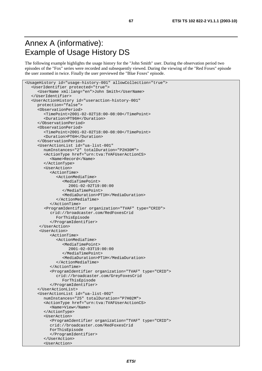# Annex A (informative): Example of Usage History DS

The following example highlights the usage history for the "John Smith" user. During the observation period two episodes of the "Fox" series were recorded and subsequently viewed. During the viewing of the "Red Foxes" episode the user zoomed in twice. Finally the user previewed the "Blue Foxes" episode.

```
<UsageHistory id="usage-history-001" allowCollection="true"> 
   <UserIdentifier protected="true"> 
      <UserName xml:lang="en">John Smith</UserName> 
    </UserIdentifier> 
   <UserActionHistory id="useraction-history-001" 
      protection="false"> 
      <ObservationPeriod> 
         <TimePoint>2001-02-02T18:00-08:00</TimePoint> 
         <Duration>PT96H</Duration> 
      </ObservationPeriod> 
      <ObservationPeriod> 
         <TimePoint>2001-02-02T18:00-08:00</TimePoint> 
         <Duration>PT6H</Duration> 
      </ObservationPeriod> 
      <UserActionList id="ua-list-001" 
         numInstances="2" totalDuration="P2H30M"> 
         <ActionType href="urn:tva:TVAFUserActionCS> 
            <Name>Record</Name> 
         </ActionType> 
         <UserAction> 
            <ActionTime> 
               <ActionMediaTime> 
                  <MediaTimePoint> 
                     2001-02-02T19:00:00 
                  </MediaTimePoint> 
                  <MediaDuration>PT1H</MediaDuration> 
               </ActionMediaTime> 
            </ActionTime> 
         <ProgramIdentifier organization="TVAF" type="CRID"> 
            crid://broadcaster.com/RedFoxesCrid 
               ForThisEpisode 
            </ProgramIdentifier> 
       </UserAction> 
       <UserAction> 
           \epsilonActionTime>
               <ActionMediaTime> 
                  <MediaTimePoint> 
                     2001-02-03T19:00:00 
                  </MediaTimePoint> 
                  <MediaDuration>PT1H</MediaDuration> 
               </ActionMediaTime> 
            </ActionTime> 
            <ProgramIdentifier organization="TVAF" type="CRID"> 
               crid://broadcaster.com/GreyFoxesCrid 
                  ForThisEpisode 
            </ProgramIdentifier> 
      </UserActionList> 
      <UserActionList id="ua-list-002" 
         numInstances="25" totalDuration="P7H02M"> 
         <ActionType href="urn:tva:TVAFUserActionCS> 
            <Name>View</Name> 
         </ActionType> 
         <UserAction> 
            <ProgramIdentifier organization="TVAF" type="CRID"> 
            crid://broadcaster.com/RedFoxesCrid 
            ForThisEpisode 
            </ProgramIdentifier> 
         </UserAction> 
         <UserAction>
```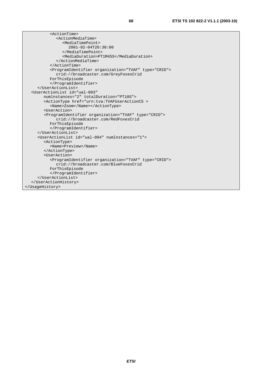| <actiontime></actiontime>                                                                                                                                                                                                                                                                                              |
|------------------------------------------------------------------------------------------------------------------------------------------------------------------------------------------------------------------------------------------------------------------------------------------------------------------------|
| <actionmediatime></actionmediatime>                                                                                                                                                                                                                                                                                    |
| <mediatimepoint></mediatimepoint>                                                                                                                                                                                                                                                                                      |
| $2001 - 02 - 04T20:30:00$                                                                                                                                                                                                                                                                                              |
|                                                                                                                                                                                                                                                                                                                        |
| <mediaduration>PT1M45S</mediaduration>                                                                                                                                                                                                                                                                                 |
|                                                                                                                                                                                                                                                                                                                        |
|                                                                                                                                                                                                                                                                                                                        |
| <programidentifier organization="TVAF" type="CRID"></programidentifier>                                                                                                                                                                                                                                                |
| crid://broadcaster.com/GreyFoxesCrid                                                                                                                                                                                                                                                                                   |
| ForThisEpisode                                                                                                                                                                                                                                                                                                         |
|                                                                                                                                                                                                                                                                                                                        |
|                                                                                                                                                                                                                                                                                                                        |
| <useractionlist <="" id="ual-003" td=""></useractionlist>                                                                                                                                                                                                                                                              |
| numlnstances="2" totalDuration="PT10S">                                                                                                                                                                                                                                                                                |
| <actiontype href="urn:tva:TVAFUserActionCS &gt;&lt;/td&gt;&lt;/tr&gt;&lt;tr&gt;&lt;td&gt;&lt;Name&gt;Zoom&lt;/Name&gt;&lt;/ActionType&gt;&lt;/td&gt;&lt;/tr&gt;&lt;tr&gt;&lt;td&gt;&lt;UserAction&gt;&lt;/td&gt;&lt;/tr&gt;&lt;tr&gt;&lt;td&gt;&lt;ProgramIdentifier organization=" tvaf"="" type="CRID"></actiontype> |
| crid://broadcaster.com/RedFoxesCrid                                                                                                                                                                                                                                                                                    |
| ForThisEpisode                                                                                                                                                                                                                                                                                                         |
|                                                                                                                                                                                                                                                                                                                        |
|                                                                                                                                                                                                                                                                                                                        |
| <useractionlist id="ual-004" numlnstances="1"></useractionlist>                                                                                                                                                                                                                                                        |
| <actiontype></actiontype>                                                                                                                                                                                                                                                                                              |
| <name>Preview</name>                                                                                                                                                                                                                                                                                                   |
|                                                                                                                                                                                                                                                                                                                        |
| <useraction></useraction>                                                                                                                                                                                                                                                                                              |
| <programidentifier organization="TVAF" type="CRID"></programidentifier>                                                                                                                                                                                                                                                |
| crid://broadcaster.com/BlueFoxesCrid                                                                                                                                                                                                                                                                                   |
| ForThisEpisode                                                                                                                                                                                                                                                                                                         |
|                                                                                                                                                                                                                                                                                                                        |
|                                                                                                                                                                                                                                                                                                                        |
|                                                                                                                                                                                                                                                                                                                        |
|                                                                                                                                                                                                                                                                                                                        |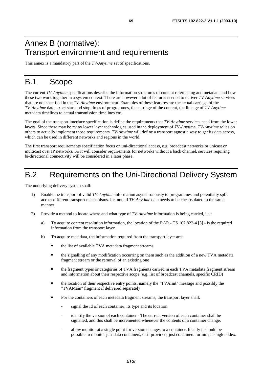# Annex B (normative): Transport environment and requirements

This annex is a mandatory part of the *TV-Anytime* set of specifications.

# B.1 Scope

The current *TV-Anytime* specifications describe the information structures of content referencing and metadata and how these two work together in a system context. There are however a lot of features needed to deliver *TV-Anytime* services that are not specified in the *TV-Anytime* environment. Examples of these features are the actual carriage of the *TV-Anytime* data, exact start and stop times of programmes, the carriage of the content, the linkage of *TV-Anytime* metadata timelines to actual transmission timelines etc.

The goal of the transport interface specification is define the requirements that *TV-Anytime* services need from the lower layers. Since there may be many lower layer technologies used in the deployment of *TV-Anytime*, *TV-Anytime* relies on others to actually implement those requirements. *TV-Anytime* will define a transport agnostic way to get its data across, which can be used in different networks and regions in the world.

The first transport requirements specification focus on uni-directional access, e.g. broadcast networks or unicast or multicast over IP networks. So it will consider requirements for networks without a back channel, services requiring bi-directional connectivity will be considered in a later phase.

# B.2 Requirements on the Uni-Directional Delivery System

The underlying delivery system shall:

- 1) Enable the transport of valid *TV-Anytime* information asynchronously to programmes and potentially split across different transport mechanisms. I.e. not all *TV-Anytime* data needs to be encapsulated in the same manner.
- 2) Provide a method to locate where and what type of *TV-Anytime* information is being carried, i.e.:
	- a) To acquire content resolution information, the location of the RAR TS 102 822-4 [3] is the required information from the transport layer.
	- b) To acquire metadata, the information required from the transport layer are:
		- the list of available TVA metadata fragment streams,
		- the signalling of any modification occurring on them such as the addition of a new TVA metadata fragment stream or the removal of an existing one
		- the fragment types or categories of TVA fragments carried in each TVA metadata fragment stream and information about their respective scope (e.g. list of broadcast channels, specific CRID)
		- the location of their respective entry points, namely the "TVAInit" message and possibly the "TVAMain" fragment if delivered separately
		- For the containers of each metadata fragment streams, the transport layer shall:
			- signal the Id of each container, its type and its location
			- identify the version of each container The current version of each container shall be signalled, and this shall be incremented whenever the contents of a container change.
			- allow monitor at a single point for version changes to a container. Ideally it should be possible to monitor just data containers, or if provided, just containers forming a single index.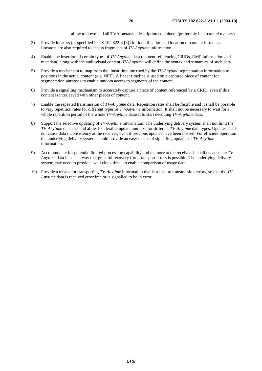- allow to download all TVA metadata description containers (preferably in a parallel manner)
- 3) Provide locators (as specified in TS 102 822-4 [3]) for identification and location of content instances. Locators are also required to access fragments of *TV-Anytime* information.
- 4) Enable the insertion of certain types of *TV-Anytime* data (content referencing CRIDs, RMP information and metadata) along with the audiovisual content. *TV-Anytime* will define the syntax and semantics of such data.
- 5) Provide a mechanism to map from the linear timeline used by the *TV-Anytime* segmentation information to positions in the actual content (e.g. NPT). A linear timeline is used on a captured piece of content for segmentation purposes to enable random access to segments of the content.
- 6) Provide a signalling mechanism to accurately capture a piece of content referenced by a CRID, even if this content is interleaved with other pieces of content.
- 7) Enable the repeated transmission of *TV-Anytime* data. Repetition rates shall be flexible and it shall be possible to vary repetition rates for different types of *TV-Anytime* information. It shall not be necessary to wait for a whole repetition period of the whole *TV-Anytime* dataset to start decoding *TV-Anytime* data.
- 8) Support the selective updating of *TV-Anytime* information. The underlying delivery system shall not limit the *TV-Anytime* data size and allow for flexible update unit size for different *TV-Anytime* data types. Updates shall not cause data inconsistency at the receiver, even if previous updates have been missed. For efficient operation the underlying delivery system should provide an easy means of signalling updates of *TV-Anytime* information.
- 9) Accommodate for potential limited processing capability and memory at the receiver. It shall encapsulate *TV-Anytime* data in such a way that graceful recovery from transport errors is possible. The underlying delivery system may need to provide "wall clock time" to enable comparison of usage data.
- 10) Provide a means for transporting *TV-Anytime* information that is robust to transmission errors, so that the *TV-Anytime* data is received error free or is signalled to be in error.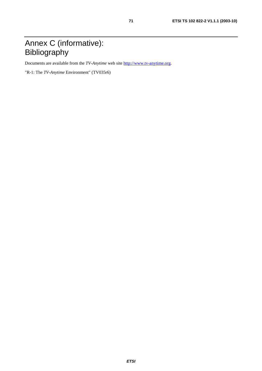# Annex C (informative): Bibliography

Documents are available from the *TV-Anytime* web site [http://www.tv-anytime.org](http://www.tv-anytime.org/).

"R-1: The *TV-Anytime* Environment" (TV035r6)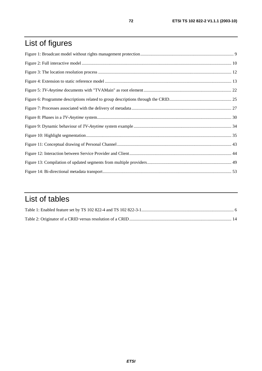# List of figures

# List of tables